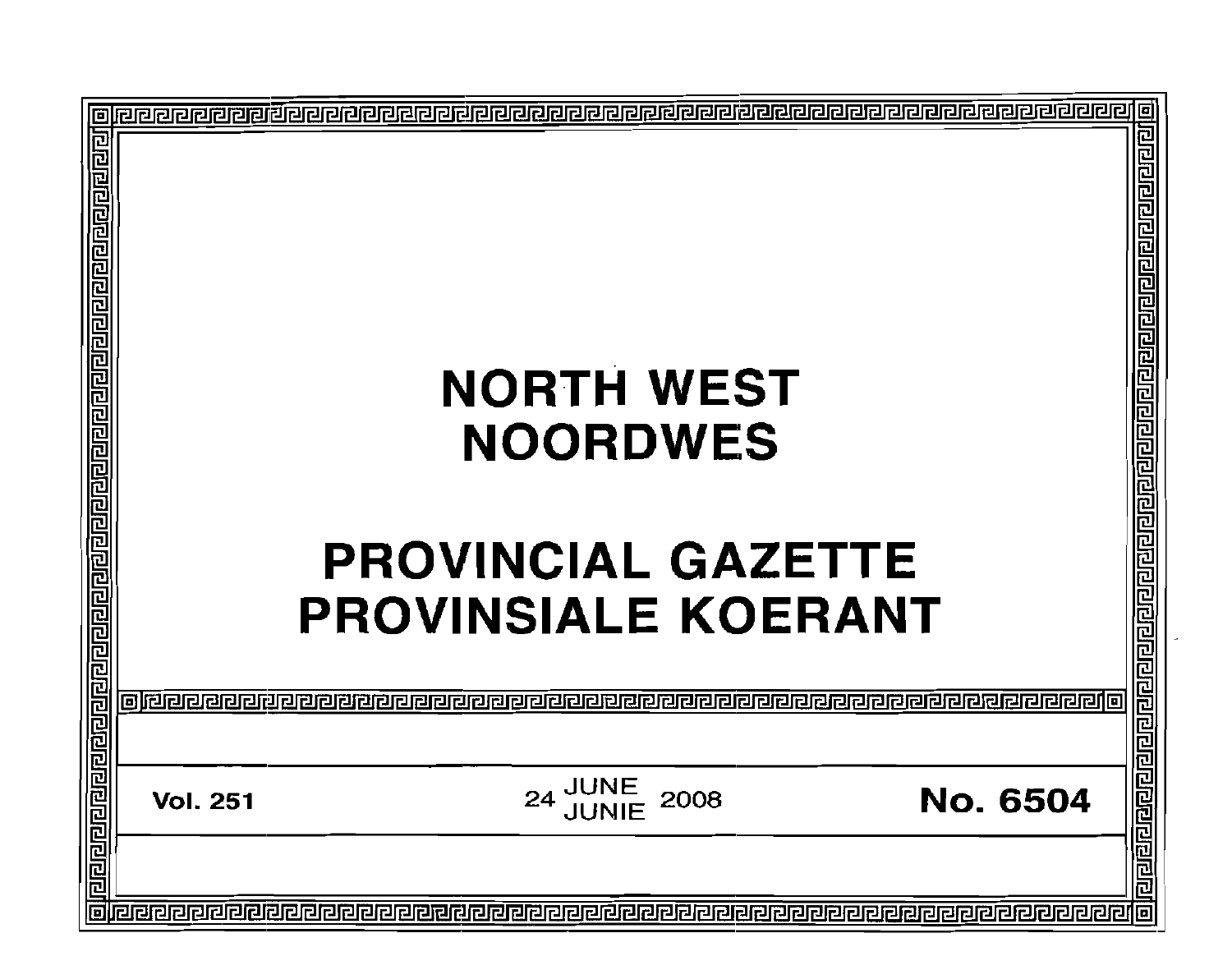|                    |                 | <b>NORTH WEST</b><br><b>NOORDWES</b>                    |                                                                            |
|--------------------|-----------------|---------------------------------------------------------|----------------------------------------------------------------------------|
|                    |                 | <b>PROVINCIAL GAZETTE</b><br><b>PROVINSIALE KOERANT</b> | <u>ग्रवाराघाराग्रवाराण्याग्रवाराग्रवाराण्याग्रवाराण्याग्रवाण्याग्रवाणे</u> |
| <u>ejdaaaaaaja</u> | <b>Vol. 251</b> | <b>JUNE<br/>JUNIE</b><br>2008<br>24                     | <u>ने विशिषान गणे प</u><br><b>No. 6504</b>                                 |
|                    |                 |                                                         |                                                                            |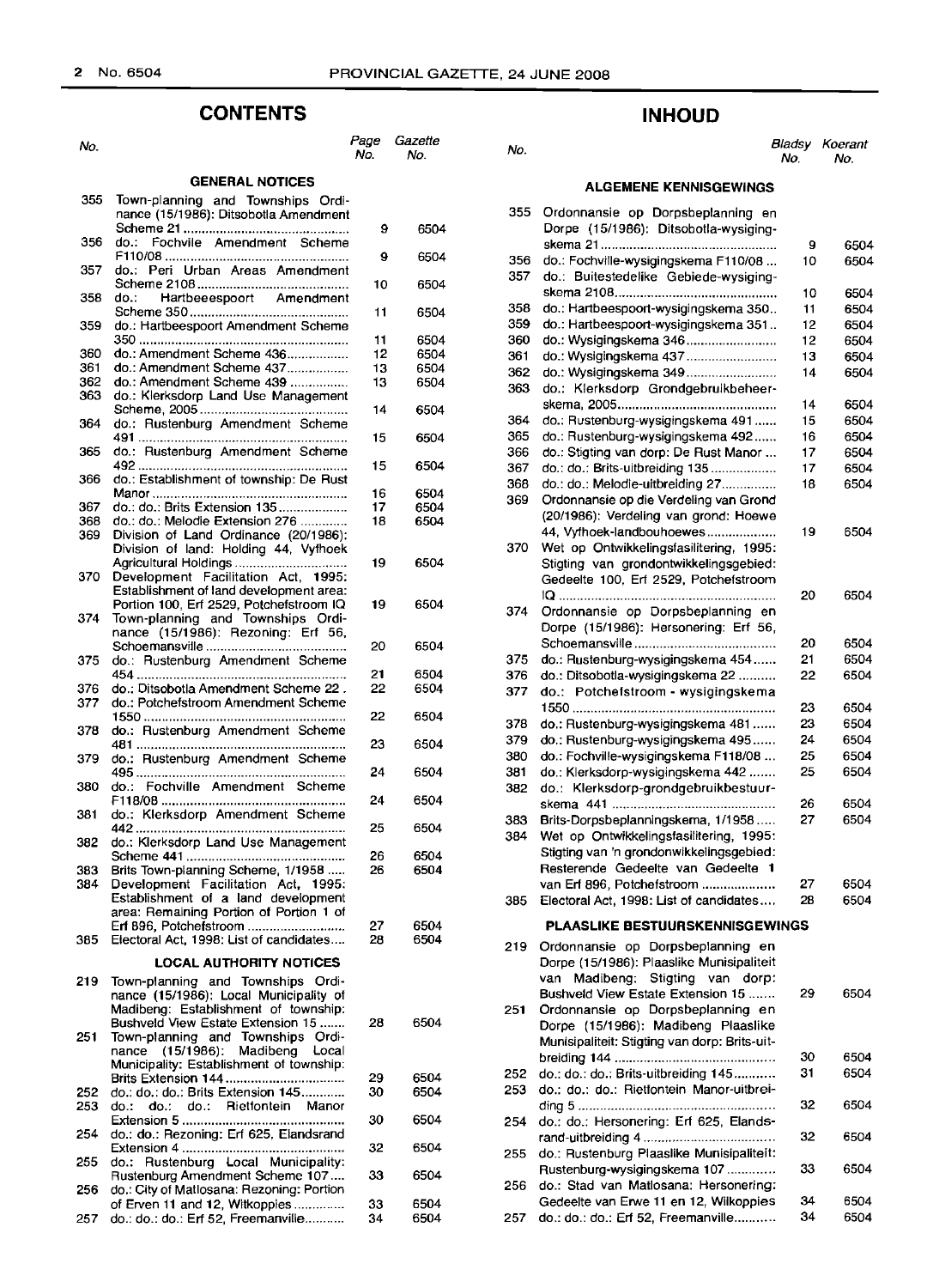### **CONTENTS**

### **GENERAL NOTICES**

| 355        | Town-planning and Townships Ordi-<br>nance (15/1986): Ditsobotla Amendment |          |      |
|------------|----------------------------------------------------------------------------|----------|------|
|            |                                                                            | 9        | 6504 |
| 356        | Fochvile Amendment Scheme<br>do.:                                          |          |      |
|            |                                                                            | 9        | 6504 |
| 357        | do.:<br>Peri Urban Areas Amendment                                         |          |      |
| 358        | do.:                                                                       | 10       | 6504 |
|            | Hartbeeespoort Amendment                                                   | 11       | 6504 |
| 359        | do.: Hartbeespoort Amendment Scheme                                        |          |      |
|            |                                                                            | 11       | 6504 |
| 360        | do.: Amendment Scheme 436                                                  | 12       | 6504 |
| 361        | do.: Amendment Scheme 437                                                  | 13       | 6504 |
| 362        | do.: Amendment Scheme 439                                                  | 13       | 6504 |
| 363        | do.: Klerksdorp Land Use Management                                        |          |      |
| 364        | do.: Rustenburg Amendment Scheme                                           | 14       | 6504 |
|            |                                                                            | 15       | 6504 |
| 365        | do.: Rustenburg Amendment Scheme                                           |          |      |
|            |                                                                            | 15       | 6504 |
| 366        | do.: Establishment of township: De Rust                                    |          |      |
|            |                                                                            | 16       | 6504 |
| 367        | do.: do.: Brits Extension 135                                              | 17<br>18 | 6504 |
| 368<br>369 | do.: do.: Melodie Extension 276<br>Division of Land Ordinance (20/1986):   |          | 6504 |
|            | Division of land: Holding 44, Vyfhoek                                      |          |      |
|            | Agricultural Holdings                                                      | 19       | 6504 |
| 370        | Development Facilitation Act, 1995:                                        |          |      |
|            | Establishment of land development area:                                    |          |      |
|            | Portion 100, Erf 2529, Potchefstroom IQ                                    | 19       | 6504 |
| 374        | Town-planning and Townships Ordi-<br>nance (15/1986): Rezoning: Erf 56,    |          |      |
|            |                                                                            | 20       | 6504 |
| 375        | do.: Rustenburg Amendment Scheme                                           |          |      |
|            |                                                                            | 21       | 6504 |
| 376        | do.: Ditsobotla Amendment Scheme 22.                                       | 22       | 6504 |
| 377        | do.: Potchefstroom Amendment Scheme                                        |          |      |
|            |                                                                            | 22       | 6504 |
| 378        | do.: Rustenburg Amendment Scheme                                           | 23       | 6504 |
| 379        | do.: Rustenburg Amendment Scheme                                           |          |      |
|            |                                                                            | 24       | 6504 |
| 380        | Fochville Amendment Scheme<br>do.:                                         |          |      |
|            |                                                                            | 24       | 6504 |
| 381        | do.: Klerksdorp Amendment Scheme                                           | 25       | 6504 |
| 382        | do.: Klerksdorp Land Use Management                                        |          |      |
|            |                                                                            | 26       | 6504 |
| 383        | Brits Town-planning Scheme, 1/1958                                         | 26       | 6504 |
| 384        | Development Facilitation Act, 1995:                                        |          |      |
|            | Establishment of a land development                                        |          |      |
|            | area: Remaining Portion of Portion 1 of                                    |          | 6504 |
| 385        | Erf 896, Potchefstroom<br>Electoral Act, 1998: List of candidates          | 27<br>28 | 6504 |
|            |                                                                            |          |      |
|            | <b>LOCAL AUTHORITY NOTICES</b>                                             |          |      |
| 219        | Town-planning and Townships Ordi-                                          |          |      |
|            | nance (15/1986): Local Municipality of                                     |          |      |
|            | Madibeng: Establishment of township:<br>Bushveld View Estate Extension 15  | 28       | 6504 |
| 251        | Town-planning and Townships Ordi-                                          |          |      |
|            | nance (15/1986): Madibeng<br>Local                                         |          |      |
|            | Municipality: Establishment of township:                                   |          |      |
|            |                                                                            | 29       | 6504 |
| 252        | do.: do.: do.: Brits Extension 145                                         | 30       | 6504 |
| 253        | do.: do.: Rietfontein Manor<br>do.:                                        | 30       | 6504 |
| 254        | do.: do.: Rezoning: Erf 625, Elandsrand                                    |          |      |
|            |                                                                            | 32       | 6504 |
| 255        | do.: Rustenburg Local Municipality:                                        |          |      |
|            | Rustenburg Amendment Scheme 107                                            | 33       | 6504 |
| 256        | do.: City of Matlosana: Rezoning: Portion                                  |          |      |
|            | of Erven 11 and 12, Witkoppies                                             | 33       | 6504 |
| 257        | do.: do.: do.: Erf 52, Freemanville                                        | 34       | 6504 |

### **INHOUD**

| No.        |                                                                                    | Page<br>No. | Gazette<br>No. | No.        |                                                                                      | No.      | Bladsy Koerant<br>No. |
|------------|------------------------------------------------------------------------------------|-------------|----------------|------------|--------------------------------------------------------------------------------------|----------|-----------------------|
|            | <b>GENERAL NOTICES</b>                                                             |             |                |            | <b>ALGEMENE KENNISGEWINGS</b>                                                        |          |                       |
| 355        | Town-planning and Townships Ordi-<br>nance (15/1986): Ditsobotla Amendment         |             |                | 355 .      | Ordonnansie op Dorpsbeplanning en<br>Dorpe (15/1986): Ditsobotla-wysiging-           |          |                       |
| 356        | do.: Fochvile Amendment Scheme                                                     | 9           | 6504           |            |                                                                                      | 9        | 6504                  |
| 357 -      | do.: Peri Urban Areas Amendment                                                    | 9           | 6504<br>6504   | 356<br>357 | do.: Fochville-wysigingskema F110/08<br>do.: Buitestedelike Gebiede-wysiging-        | 10       | 6504                  |
|            | 358 do.:<br>Hartbeeespoort<br>Amendment                                            | 10          |                | 358        | do.: Hartbeespoort-wysigingskema 350                                                 | 10<br>11 | 6504<br>6504          |
| 359.       | do.: Hartbeespoort Amendment Scheme                                                | 11          | 6504           | 359.       | do.: Hartbeespoort-wysigingskema 351                                                 | 12       | 6504                  |
| 360.       | do.: Amendment Scheme 436                                                          | 11<br>12    | 6504<br>6504   | 360<br>361 | do.: Wysigingskema 346<br>do.: Wysigingskema 437                                     | 12       | 6504<br>6504          |
| 361        | do.: Amendment Scheme 437                                                          | 13          | 6504           | 362        |                                                                                      | 13<br>14 | 6504                  |
| 362<br>363 | do.: Amendment Scheme 439<br>do.: Klerksdorp Land Use Management                   | 13          | 6504           | 363.       | do.: Klerksdorp Grondgebruikbeheer-                                                  |          |                       |
|            |                                                                                    | 14          | 6504           |            |                                                                                      | 14       | 6504                  |
| 364        | do.: Rustenburg Amendment Scheme                                                   |             |                | 364        | do.: Rustenburg-wysigingskema 491                                                    | 15       | 6504                  |
|            |                                                                                    | 15          | 6504           | 365        | do.: Rustenburg-wysigingskema 492                                                    | 16       | 6504                  |
| 365 -      | do.: Rustenburg Amendment Scheme                                                   | 15          | 6504           | 366        | do.: Stigting van dorp: De Rust Manor                                                | 17       | 6504                  |
| 366.       | do.: Establishment of township: De Rust                                            |             |                | 367        | do.: do.: Brits-uitbreiding 135                                                      | 17       | 6504                  |
|            |                                                                                    | 16          | 6504           | 368        | do.: do.: Melodie-uitbreiding 27                                                     | 18       | 6504                  |
| 367        | do.: do.: Brits Extension 135                                                      | 17          | 6504           | 369        | Ordonnansie op die Verdeling van Grond                                               |          |                       |
| 368        | do.: do.: Melodie Extension 276                                                    | 18          | 6504           |            | (20/1986): Verdeling van grond: Hoewe                                                |          |                       |
| 369        | Division of Land Ordinance (20/1986):                                              |             |                |            | 44, Vyfhoek-landbouhoewes                                                            | 19       | 6504                  |
|            | Division of land: Holding 44, Vyfhoek                                              |             |                |            | 370 Wet op Ontwikkelingsfasilitering, 1995:                                          |          |                       |
| 370.       | Agricultural Holdings<br>Development Facilitation Act, 1995:                       | 19          | 6504           |            | Stigting van grondontwikkelingsgebied:<br>Gedeelte 100, Erf 2529, Potchefstroom      |          |                       |
|            | Establishment of land development area:<br>Portion 100, Erf 2529, Potchefstroom IQ | 19          | 6504           |            |                                                                                      | 20       | 6504                  |
| 374        | Town-planning and Townships Ordi-                                                  |             |                | 374        | Ordonnansie op Dorpsbeplanning en                                                    |          |                       |
|            | nance (15/1986): Rezoning: Erf 56,                                                 |             |                |            | Dorpe (15/1986): Hersonering: Erf 56,                                                |          |                       |
|            |                                                                                    | 20          | 6504           |            |                                                                                      | 20       | 6504                  |
| 375.       | do.: Rustenburg Amendment Scheme                                                   |             |                | 375        | do.: Rustenburg-wysigingskema 454                                                    | 21       | 6504                  |
|            |                                                                                    | 21          | 6504           | 376        | do.: Ditsobotla-wysigingskema 22                                                     | 22       | 6504                  |
| 376        | do.: Ditsobotla Amendment Scheme 22.<br>do.: Potchefstroom Amendment Scheme        | 22          | 6504           | 377        | do.: Potchefstroom - wysigingskema                                                   |          |                       |
| 377        |                                                                                    | 22          | 6504           |            |                                                                                      | 23       | 6504                  |
| 378        | do.: Rustenburg Amendment Scheme                                                   |             |                | 378        | do.: Rustenburg-wysigingskema 481                                                    | 23       | 6504                  |
|            |                                                                                    | 23          | 6504           | 379        | do.: Rustenburg-wysigingskema 495                                                    | 24       | 6504                  |
| 379.       | do Rustenburg Amendment Scheme                                                     |             |                | 380        | do.: Fochville-wysigingskema F118/08                                                 | 25       | 6504                  |
|            |                                                                                    | 24          | 6504           | 381        | do.: Klerksdorp-wysigingskema 442                                                    | 25       | 6504                  |
| 380.       | do.: Fochville Amendment Scheme                                                    | 24          | 6504           | 382        | do.: Klerksdorp-grondgebruikbestuur-                                                 |          |                       |
| 381        | do.: Klerksdorp Amendment Scheme                                                   |             |                |            |                                                                                      | 26       | 6504                  |
|            |                                                                                    | 25          | 6504           | 383        | Brits-Dorpsbeplanningskema, 1/1958                                                   | 27       | 6504                  |
| 382        | do.: Klerksdorp Land Use Management                                                |             |                | 384        | Wet op Ontwikkelingsfasilitering, 1995:                                              |          |                       |
|            |                                                                                    | 26          | 6504           |            | Stigting van 'n grondonwikkelingsgebied:                                             |          |                       |
| 383        | Brits Town-planning Scheme, 1/1958                                                 | 26          | 6504           |            | Resterende Gedeelte van Gedeelte 1                                                   |          |                       |
| 384        | Development Facilitation Act, 1995:<br>Establishment of a land development         |             |                |            | van Erf 896, Potchefstroom                                                           | 27       | 6504                  |
|            | area: Remaining Portion of Portion 1 of                                            |             |                | 385.       | Electoral Act, 1998: List of candidates                                              | 28       | 6504                  |
|            |                                                                                    | 27          | 6504           |            | <b>PLAASLIKE BESTUURSKENNISGEWINGS</b>                                               |          |                       |
| 385        | Electoral Act, 1998: List of candidates                                            | 28          | 6504           |            | 219 Ordonnansie op Dorpsbeplanning en                                                |          |                       |
|            | <b>LOCAL AUTHORITY NOTICES</b>                                                     |             |                |            | Dorpe (15/1986): Plaaslike Munisipaliteit                                            |          |                       |
| 219        | Town-planning and Townships Ordi-                                                  |             |                |            | van Madibeng: Stigting van dorp:                                                     |          |                       |
|            | nance (15/1986): Local Municipality of                                             |             |                |            | Bushveld View Estate Extension 15                                                    | 29       | 6504                  |
|            | Madibeng: Establishment of township:<br>Bushveld View Estate Extension 15          | 28          | 6504           | 251        | Ordonnansie op Dorpsbeplanning en                                                    |          |                       |
| 251        | Town-planning and Townships Ordi-                                                  |             |                |            | Dorpe (15/1986): Madibeng Plaaslike<br>Munisipaliteit: Stigting van dorp: Brits-uit- |          |                       |
|            | nance (15/1986): Madibeng Local                                                    |             |                |            |                                                                                      |          |                       |
|            | Municipality: Establishment of township:                                           |             |                |            |                                                                                      | 30<br>31 | 6504<br>6504          |
|            |                                                                                    | 29          | 6504           | 252<br>253 | do.: do.: do.: Brits-uitbreiding 145<br>do.: do.: do.: Rietfontein Manor-uitbrei-    |          |                       |
| 252.       | do.: do.: do.: Brits Extension 145                                                 | 30          | 6504           |            |                                                                                      | 32       | 6504                  |
| 253        | do.: do.: do.: Rietfontein Manor                                                   | 30          | 6504           |            | 254 do.: do.: Hersonering: Erf 625, Elands-                                          |          |                       |
| 254        | do.: do.: Rezoning: Erf 625, Elandsrand                                            |             |                |            |                                                                                      | 32       | 6504                  |
|            |                                                                                    | 32          | 6504           | 255        | do.: Rustenburg Plaaslike Munisipaliteit:                                            |          |                       |
| 255.       | do.: Rustenburg Local Municipality:                                                |             |                |            | Rustenburg-wysigingskema 107                                                         | 33       | 6504                  |
|            | Rustenburg Amendment Scheme 107                                                    | 33          | 6504           |            | 256 do.: Stad van Matlosana: Hersonering:                                            |          |                       |
| 256.       | do.: City of Matlosana: Rezoning: Portion<br>of Erven 11 and 12, Witkoppies        | 33          | 6504           |            | Gedeelte van Erwe 11 en 12, Wilkoppies                                               | 34       | 6504                  |
|            | 257    do.: do.: do.: Erf 52. Freemanville                                         | 34          | 6504           |            | 257 do.: do.: do.: Erf 52. Freemanville                                              | 34       | 6504                  |

257 do.: do.: do.: Erf 52, Freemanville........... 34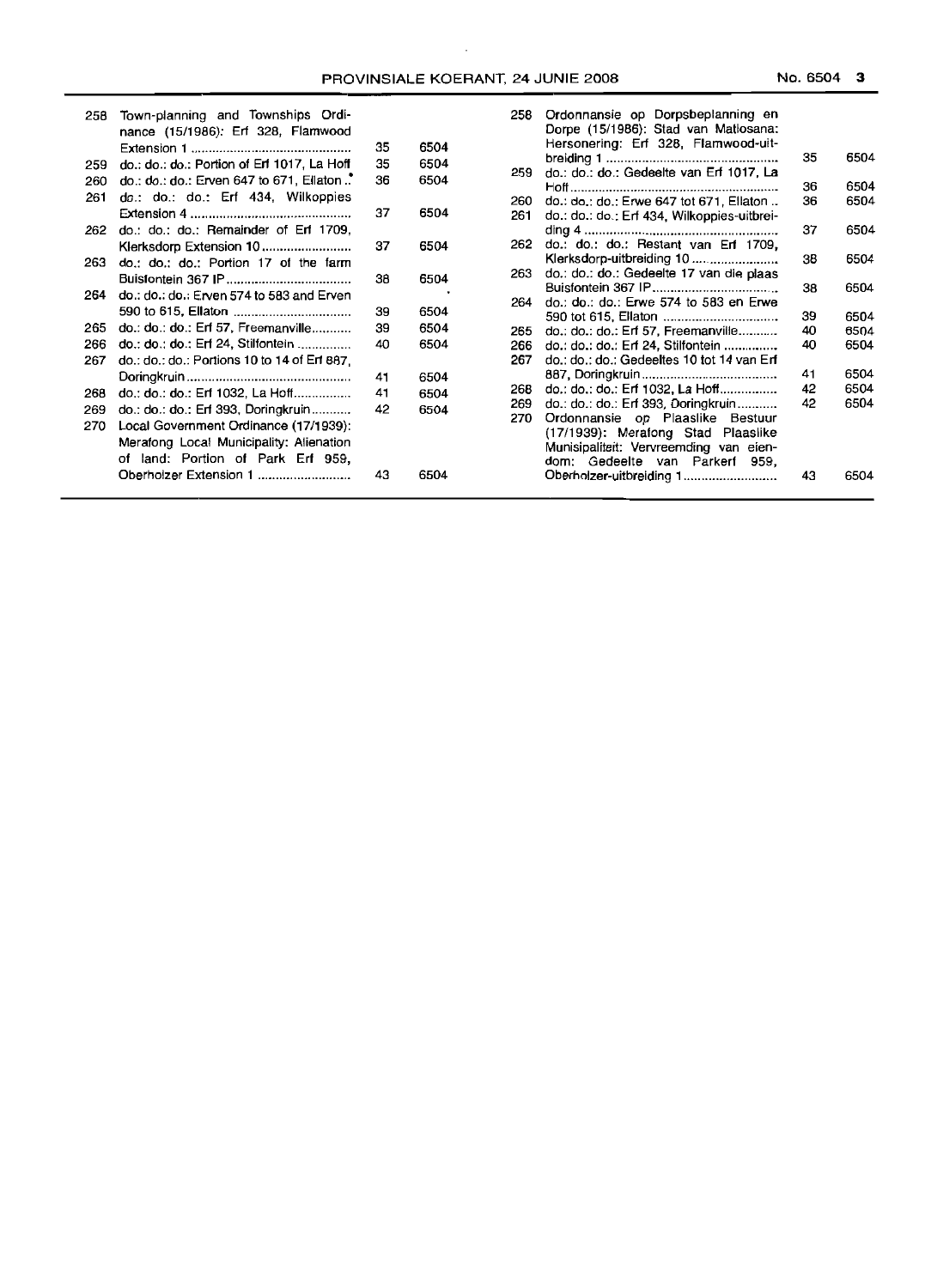| 258 | Town-planning and Townships Ordi-<br>nance (15/1986): Erf 328, Flamwood | 35 | 6504 | 258 | Ordonnansie op Dorpsbeplanning en<br>Dorpe (15/1986): Stad van Matiosana:<br>Hersonering: Erf 328, Flamwood-uit- |    |      |
|-----|-------------------------------------------------------------------------|----|------|-----|------------------------------------------------------------------------------------------------------------------|----|------|
|     |                                                                         |    |      |     |                                                                                                                  | 35 | 6504 |
| 259 | do.: do.: do.: Portion of Erf 1017, La Hoff                             | 35 | 6504 | 259 | do.: do.: do.: Gedeelte van Erf 1017, La                                                                         |    |      |
| 260 | do.: do.: do.: Erven 647 to 671, Ellaton."                              | 36 | 6504 |     |                                                                                                                  | 36 | 6504 |
| 261 | do.: do.: do.: Erf 434, Wilkoppies                                      |    |      | 260 | do.: do.: do.: Erwe 647 tot 671, Ellaton                                                                         | 36 | 6504 |
|     |                                                                         | 37 | 6504 | 261 | do.: do.: do.: Erf 434, Wilkoppies-uitbrei-                                                                      |    |      |
| 262 | do.: do.: do.: Remainder of Erf 1709,                                   |    |      |     |                                                                                                                  | 37 | 6504 |
|     |                                                                         | 37 | 6504 | 262 | do.: do.: do.: Restant van Erf 1709,                                                                             |    |      |
| 263 | do.: do.: do.: Portion 17 of the farm                                   |    |      |     | Klerksdorp-uitbreiding 10                                                                                        | 38 | 6504 |
|     |                                                                         | 38 | 6504 | 263 | do.: do.: do.: Gedeelte 17 van die plaas                                                                         |    |      |
|     |                                                                         |    |      |     |                                                                                                                  | 38 | 6504 |
| 264 | do.: do.: do.: Erven 574 to 583 and Erven                               |    |      | 264 | do.: do.: do.: Erwe 574 to 583 en Erwe                                                                           |    |      |
|     |                                                                         | 39 | 6504 |     |                                                                                                                  | 39 | 6504 |
| 265 | do.: $do.: do.: Erf 57, Freenanville$                                   | 39 | 6504 | 265 | do.: do.: do.: Erf 57, Freemanville                                                                              | 40 | 6504 |
| 266 | do.: do.: do.: Erf 24, Stilfontein                                      | 40 | 6504 | 266 | do.: do.: do.: Erf 24, Stilfontein                                                                               | 40 | 6504 |
| 267 | do.: do.: do.: Portions 10 to 14 of Erf 887,                            |    |      | 267 | do.: do.: do.: Gedeeltes 10 tot 14 van Erf                                                                       |    |      |
|     |                                                                         | 41 | 6504 |     |                                                                                                                  | 41 | 6504 |
| 268 | do.: do.: do.: Erf 1032, La Hoff                                        | 41 | 6504 | 268 | do.: do.: do.: Erf 1032, La Hoff                                                                                 | 42 | 6504 |
| 269 |                                                                         | 42 | 6504 | 269 | do.: do.: do.: Erf 393, Doringkruin                                                                              | 42 | 6504 |
|     | do.: do.: do.: Erf 393, Doringkruin                                     |    |      | 270 | Ordonnansie op Plaaslike Bestuur                                                                                 |    |      |
| 270 | Local Government Ordinance (17/1939):                                   |    |      |     | (17/1939): Merafong Stad Plaaslike                                                                               |    |      |
|     | Merafong Local Municipality: Alienation                                 |    |      |     | Munisipaliteit: Vervreemding van eien-                                                                           |    |      |
|     | of land: Portion of Park Erf 959,                                       |    |      |     | dom: Gedeelte van Parkerf 959,                                                                                   |    |      |
|     | Oberholzer Extension 1                                                  | 43 | 6504 |     | Oberholzer-uitbreiding 1                                                                                         | 43 | 6504 |
|     |                                                                         |    |      |     |                                                                                                                  |    |      |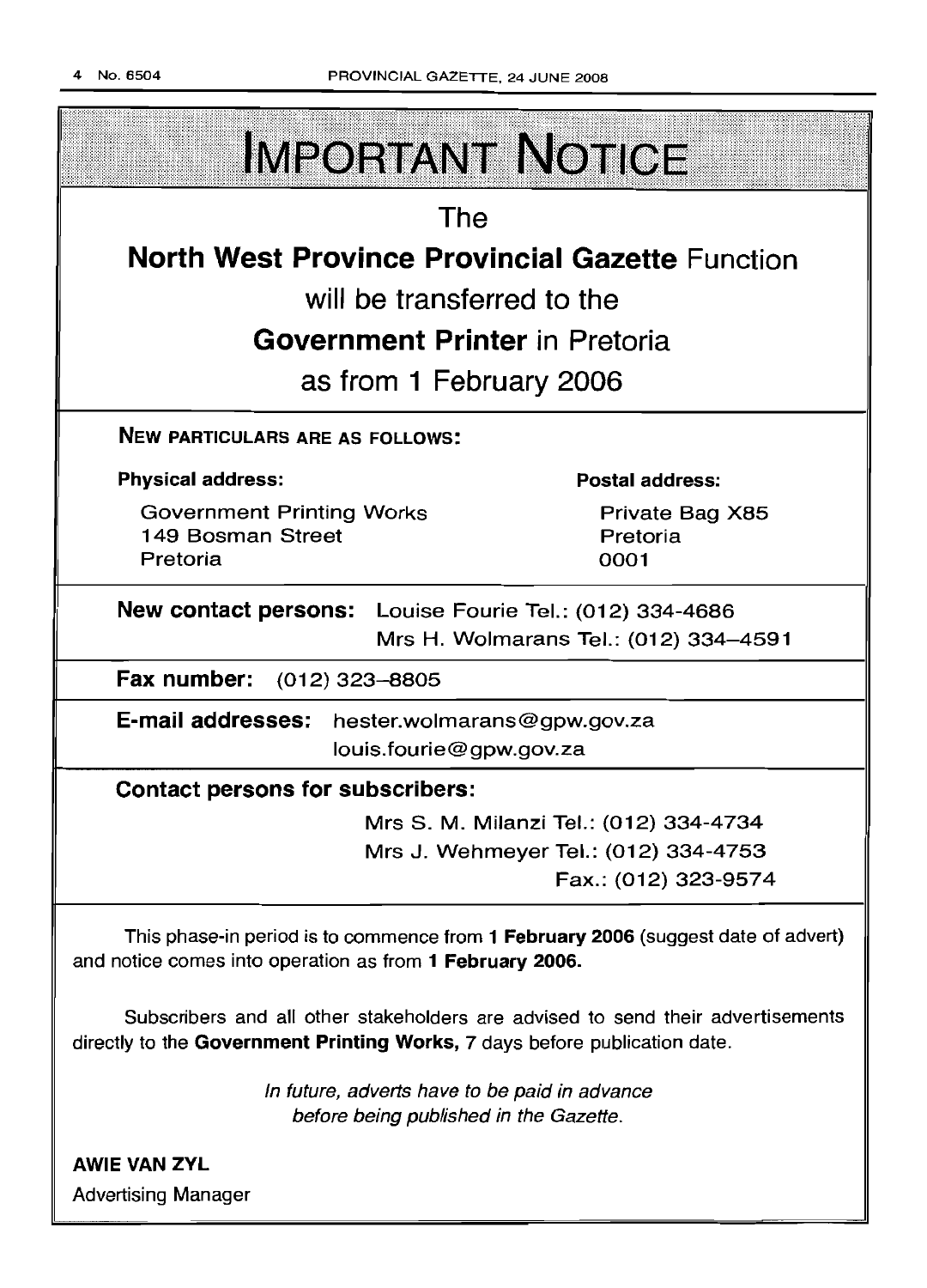

In future, adverts have to be paid in advance before being published in the Gazette.

directly to the Government Printing Works, 7 days before publication date.

AWIE VAN ZVL Advertising Manager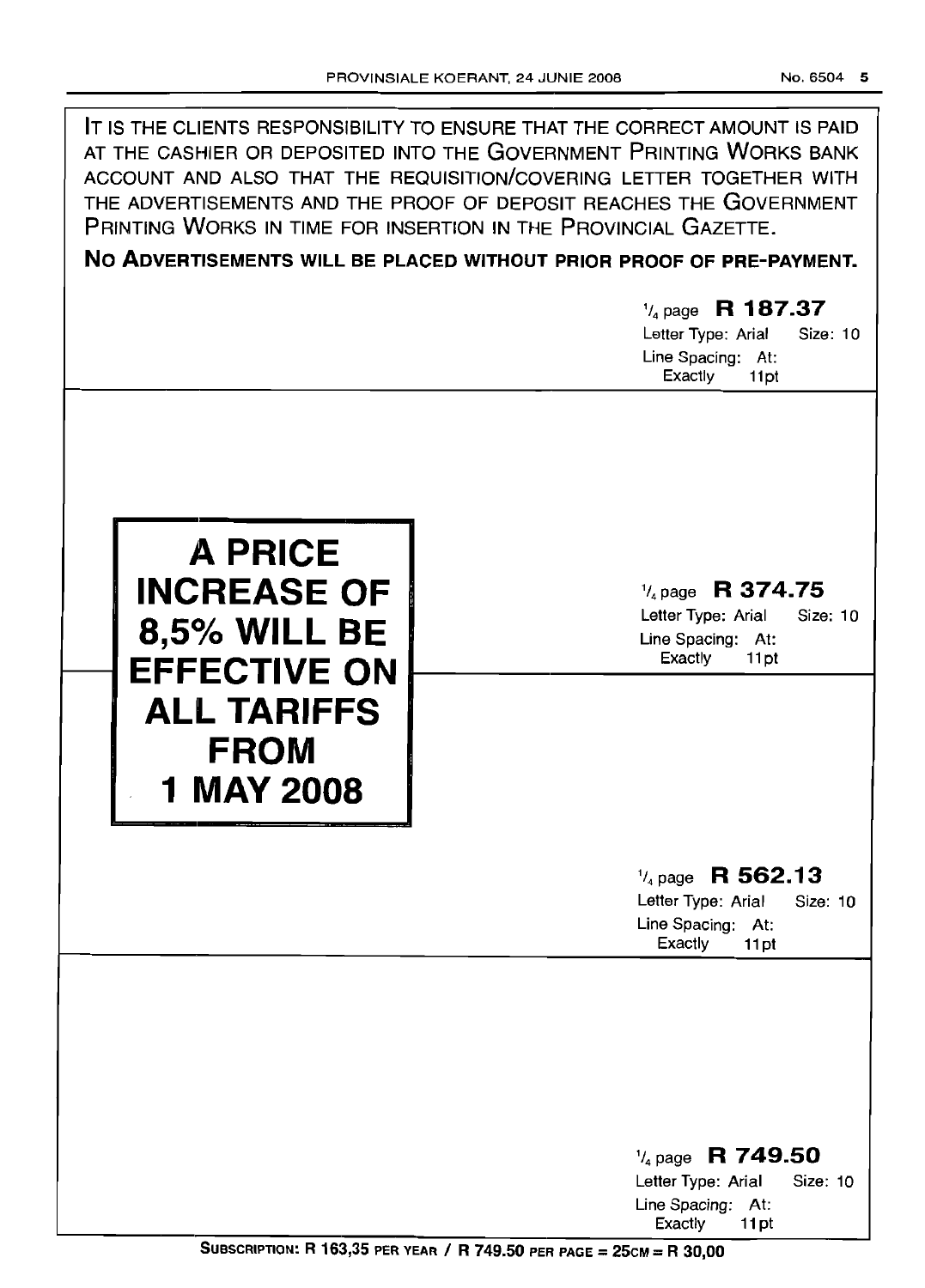|                                                                                                                                              | IT IS THE CLIENTS RESPONSIBILITY TO ENSURE THAT THE CORRECT AMOUNT IS PAID<br>AT THE CASHIER OR DEPOSITED INTO THE GOVERNMENT PRINTING WORKS BANK<br>ACCOUNT AND ALSO THAT THE REQUISITION/COVERING LETTER TOGETHER WITH<br>THE ADVERTISEMENTS AND THE PROOF OF DEPOSIT REACHES THE GOVERNMENT<br>PRINTING WORKS IN TIME FOR INSERTION IN THE PROVINCIAL GAZETTE.<br>NO ADVERTISEMENTS WILL BE PLACED WITHOUT PRIOR PROOF OF PRE-PAYMENT.<br>$\frac{1}{4}$ page R 187.37<br>Letter Type: Arial<br>Size: 10<br>Line Spacing: At:<br>Exactly<br>11pt |
|----------------------------------------------------------------------------------------------------------------------------------------------|----------------------------------------------------------------------------------------------------------------------------------------------------------------------------------------------------------------------------------------------------------------------------------------------------------------------------------------------------------------------------------------------------------------------------------------------------------------------------------------------------------------------------------------------------|
| <b>A PRICE</b><br><b>INCREASE OF</b><br><b>8,5% WILL BE</b><br><b>EFFECTIVE ON</b><br><b>ALL TARIFFS</b><br><b>FROM</b><br><b>1 MAY 2008</b> | $\frac{1}{4}$ page R 374.75<br>Letter Type: Arial<br>Size: 10<br>Line Spacing: At:<br>Exactly<br>11pt<br>$\frac{1}{4}$ page R 562.13                                                                                                                                                                                                                                                                                                                                                                                                               |
|                                                                                                                                              | Letter Type: Arial<br>Size: 10<br>Line Spacing: At:<br>Exactly<br>11pt                                                                                                                                                                                                                                                                                                                                                                                                                                                                             |
|                                                                                                                                              | $\frac{1}{4}$ page R 749.50<br>Letter Type: Arial<br>Size: 10<br>Line Spacing: At:<br>Exactly<br>11pt                                                                                                                                                                                                                                                                                                                                                                                                                                              |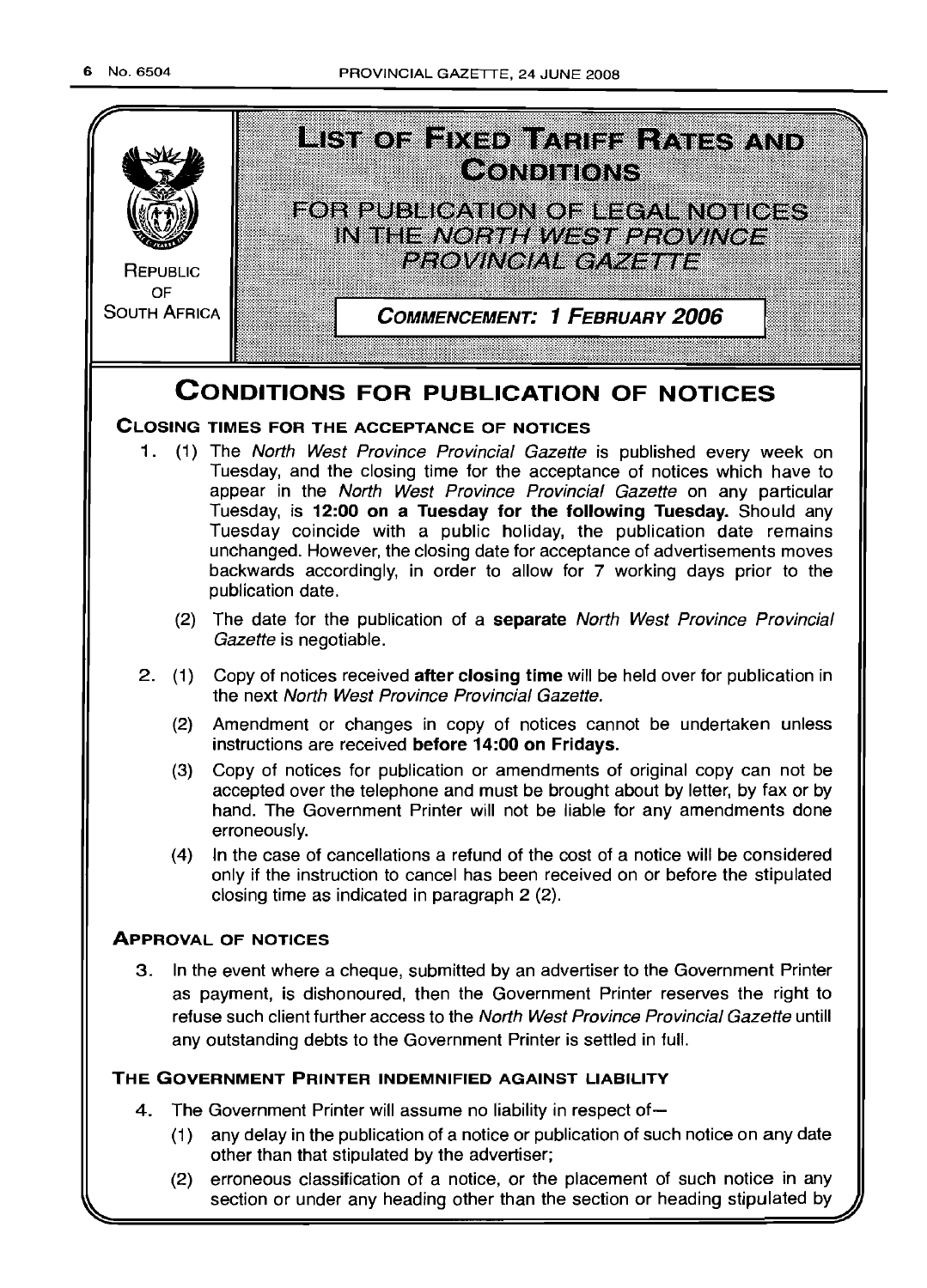

(2) erroneous classification of a notice, or the placement of such notice in any section or under any heading other than the section or heading stipulated by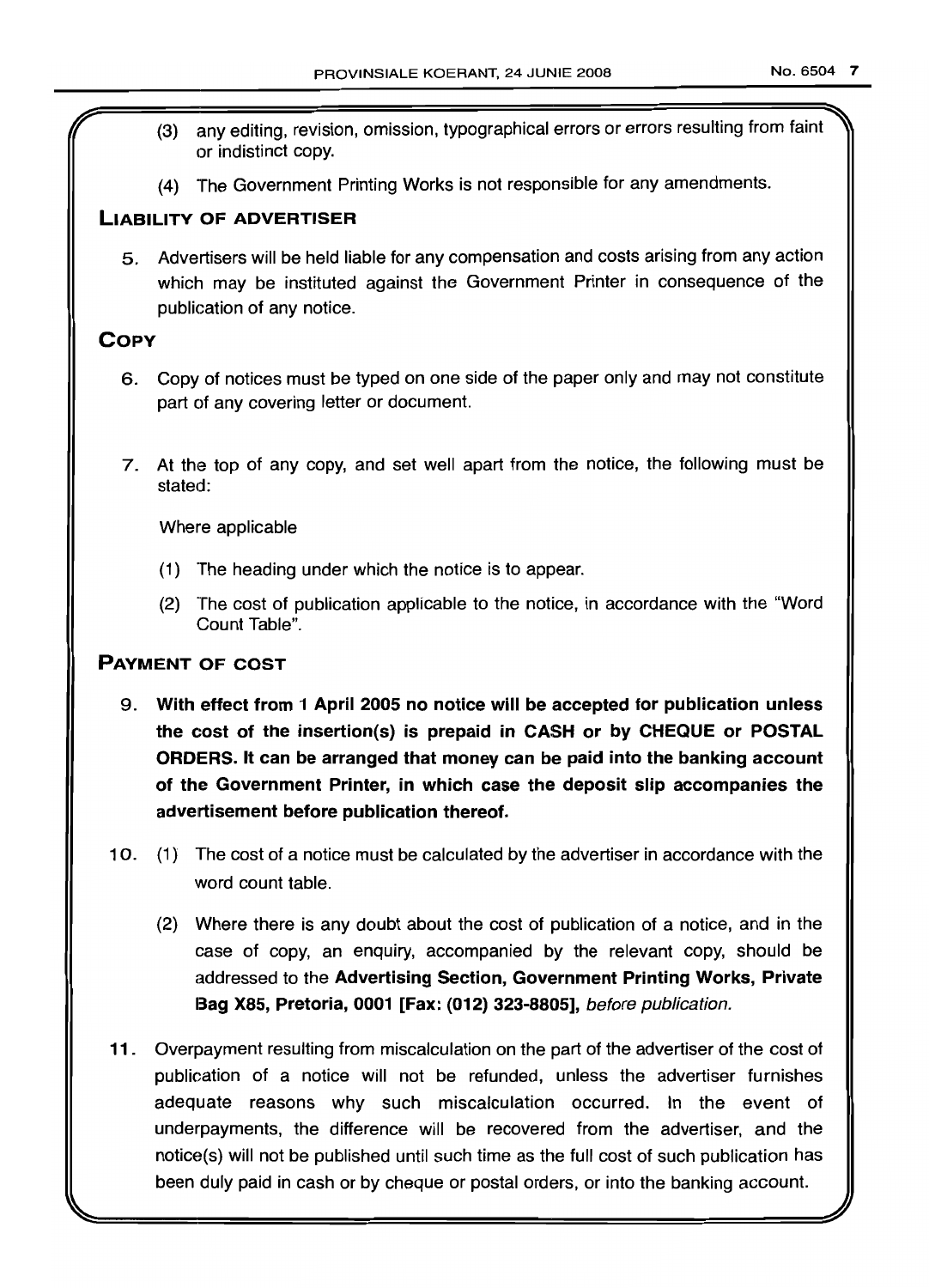- (3) any editing, revision, omission, typographical errors or errors resulting from faint or indistinct copy.
- (4) The Government Printing Works is not responsible for any amendments.

### LIABILITY OF ADVERTISER

5. Advertisers will be held liable for any compensation and costs arising from any action which may be instituted against the Government Printer in consequence of the publication of any notice.

## **COPY**

- 6. Copy of notices must be typed on one side of the paper only and may not constitute part of any covering letter or document.
- 7. At the top of any copy, and set well apart from the notice, the following must be stated:

Where applicable

- (1) The heading under which the notice is to appear.
- (2) The cost of publication applicable to the notice, in accordance with the "Word Count Table".

### PAYMENT OF COST

- 9. With effect from 1 April 2005 no notice will be accepted for publication unless the cost of the insertion(s) is prepaid in CASH or by CHEQUE or POSTAL ORDERS. It can be arranged that money can be paid into the banking account of the Government Printer, in which case the deposit slip accompanies the advertisement before publication thereof.
- 10. (1) The cost of a notice must be calculated by the advertiser in accordance with the word count table.
	- (2) Where there is any doubt about the cost of publication of a notice, and in the case of copy, an enquiry, accompanied by the relevant copy, should be addressed to the Advertising Section, Government Printing Works, Private Bag X85, Pretoria, 0001 [Fax: (012) 323-8805], before publication.
- 11 . Overpayment resulting from miscalculation on the part of the advertiser of the cost of publication of a notice will not be refunded, unless the advertiser furnishes adequate reasons why such miscalculation occurred. In the event of underpayments, the difference will be recovered from the advertiser, and the notice(s) will not be published until such time as the full cost of such publication has been duly paid in cash or by cheque or postal orders, or into the banking account.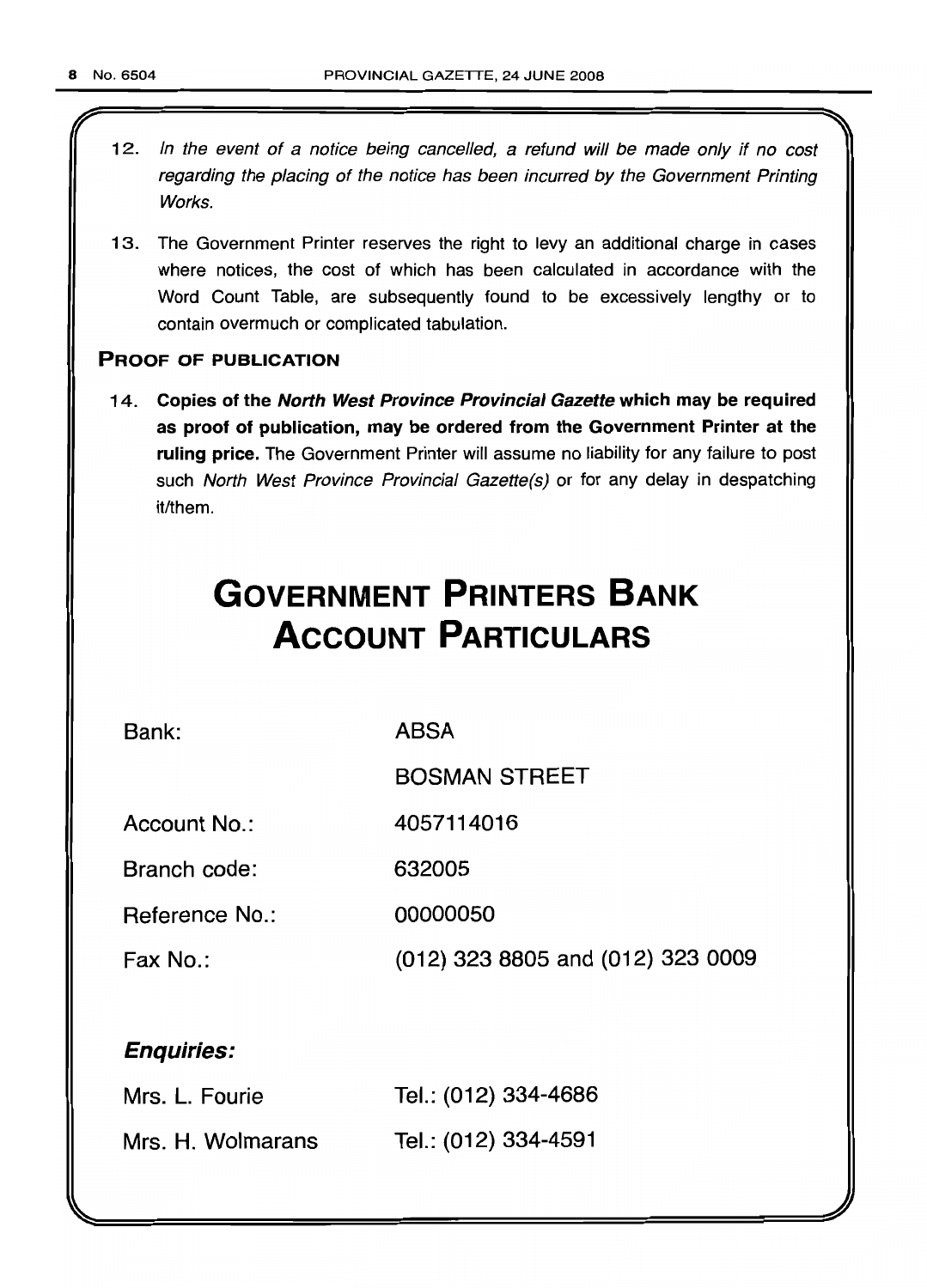l

- 12. In the event of a notice being cancelled, a refund will be made only if no cost regarding the placing of the notice has been incurred by the Government Printing Works.
- 13. The Government Printer reserves the right to levy an additional charge in cases where notices, the cost of which has been calculated in accordance with the Word Count Table, are subsequently found to be excessively lengthy or to contain overmuch or complicated tabulation.

### PROOF OF PUBLICATION

14. Copies of the North West Province Provincial Gazette which may be required as proof of publication, may be ordered from the Government Printer at the ruling price. The Government Printer will assume no liability for any failure to post such North West Province Provincial Gazette(s) or for any delay in despatching it/them.

# **GOVERNMENT PRINTERS BANK ACCOUNT PARTICULARS**

Bank:

ABSA

BOSMAN STREET

Account No.: 4057114016

Branch code: 632005

Reference No.: 00000050

Fax No.: (012) 323 8805 and (012) 323 0009

## Enquiries:

| Mrs. L. Fourie    | Tel.: (012) 334-4686 |
|-------------------|----------------------|
| Mrs. H. Wolmarans | Tel.: (012) 334-4591 |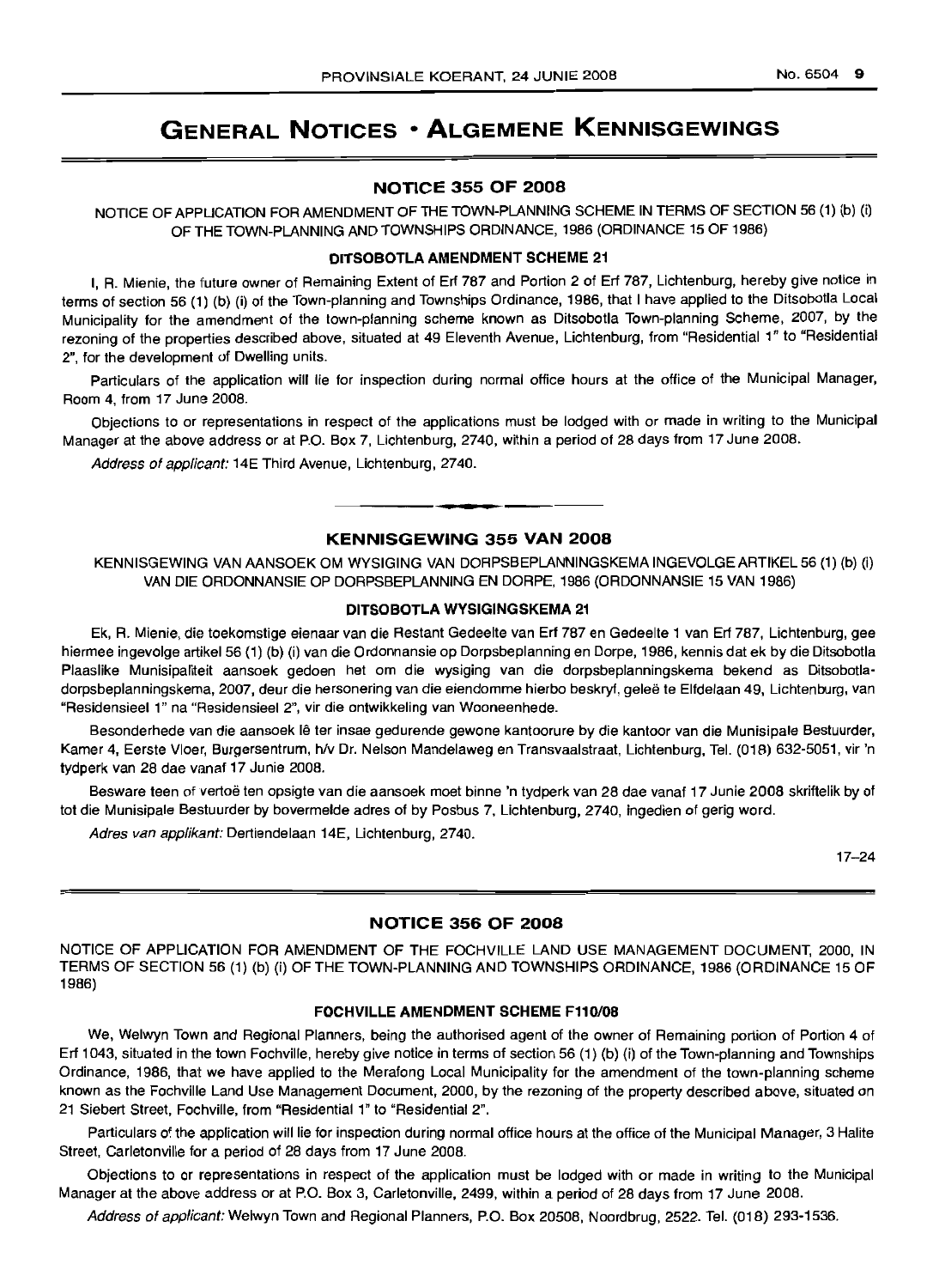# GENERAL NOTICES • ALGEMENE KENNISGEWINGS

### NOTICE 355 OF 2008

NOTICE OF APPLICATION FOR AMENDMENT OF THE TOWN-PLANNING SCHEME IN TERMS OF SECTION 56 (1) (b) (i) OF THE TOWN-PLANNINGAND TOWNSHIPS ORDINANCE, 1986 (ORDINANCE 15 OF 1986)

### DITSOBOTLA AMENDMENT SCHEME 21

I, R. Mienie, the 11uture owner of Remaining Extent of Erf 787 and Portion 2 of Erf 787, Lichtenburg, hereby give notice in terms of section 56 (1) (b) (i) of the Town-planning and Townships Ordinance, 1986, that I have applied to the Ditsobotla Local Municipality for the amendment of the town-planning scheme known as Ditsobotla Town-planning Scheme, 2007, by the rezoning of the properties described above, situated at 49 Eleventh Avenue, Lichtenburg, from "Residential 1" to "Residential 2", for the development of Dwelling units.

Particulars of the application will lie for inspection during normal office hours at the office of the Municipal Manager, Room 4, from 17 June 2008.

Objections to or representations in respect of the applications must be lodged with or made in writing to the Municipal Manager at the above address or at P.O. Box 7, Lichtenburg, 2740, within a period of 28 days from 17 June 2008.

Address of applicant: 14E Third Avenue, Lichtenburg, 2740.

### KENNISGEWING 355 VAN 2008

**• •**

KENNISGEWING VAN AANSOEK OM WYSIGING VAN DORPSBEPLANNINGSKEMA INGEVOLGE ARTIKEL 56 (1) (b) (i) VAN DIE ORDONNANSIE OP DORPSBEPLANNING EN DORPE, 1986 (ORDONNANSIE 15 VAN 1986)

#### DITSOBOTLA WYSIGINGSKEMA 21

Ek, R. Mienie, die toekomstige eienaar van die Restant Gedeelte van Erf 787 en Gedeelte 1 van Erf 787, Lichtenburg, gee hiermee ingevolge artikel 56 (1) (b) (i) van die Ordonnansie op Dorpsbeplanning en Dorpe, 1986, kennis dat ek by die Ditsobotla Plaaslike Munisipaliteit aansoek gedoen het om die wysiging van die dorpsbeplanningskema bekend as Ditsobotladorpsbeplanningskema, 2007, deur die hersonering van die eiendomme hierbo beskryf, geleë te Elfdelaan 49, Lichtenburg, van "Residensieel 1" na "Flesidensieel 2", vir die ontwikkeling van Wooneenhede.

Besonderhede van die aansoek Ie ter insae gedurende gewone kantoorure by die kantoor van die Munisipale Bestuurder, Kamer 4, Eerste Vloer, Burgersentrum, h/v Dr. Nelson Mandelaweg en Transvaalstraat, Lichtenburg, Tel. (018) 632-5051, vir 'n tydperk van 28 dae vanaf 17 Junie 2008.

Besware teen of vertoë ten opsigte van die aansoek moet binne 'n tydperk van 28 dae vanaf 17 Junie 2008 skriftelik by of tot die Munisipale Bestuurder by bovermelde adres of by Posbus 7, Lichtenburg, 2740, ingedien of gerig word.

Adres van applikant: Dertiendelaan 14E, Lichtenburg, 2740.

17-24

### NOTICE 356 OF 2008

NOTICE OF APPLICATION FOR AMENDMENT OF THE FOCHVILLE LAND USE MANAGEMENT DOCUMENT, 2000, IN TERMS OF SECTION 56 (1) (b) (i) OF THE TOWN-PLANNING AND TOWNSHIPS ORDINANCE, 1986 (ORDINANCE 15 OF 1986)

### FOCHVILLE AMENDMENT SCHEME F110/08

We, Welwyn Town and Regional Planners, being the authorised agent of the owner of Remaining portion of Portion 4 of Erf 1043, situated in the town Fochville, hereby give notice in terms of section 56 (1) (b) (i) of the Town-planning and Townships Ordinance, 1986, that we have applied to the Merafong Local Municipality for the amendment of the town-planning scheme known as the Fochville Land Use Management Document, 2000, by the rezoning of the property described above, situated on 21 Siebert Street, Fochville, from "Residential 1" to "Residential 2".

Particulars of the application will lie for inspection during normal office hours at the office of the Municipal Manager, 3 Halite Street, Carletonville for a period of 28 days from 17 June 2008.

Objections to or representations in respect of the application must be lodged with or made in writing to the Municipal Manager at the above address or at P.O. Box 3, Carletonville, 2499, within a period of 28 days from 17 June 2008.

Address of applicant: Welwyn Town and Regional Planners, P.O. Box 20508, Noordbrug, 2522. Tel. (018) 293-1536.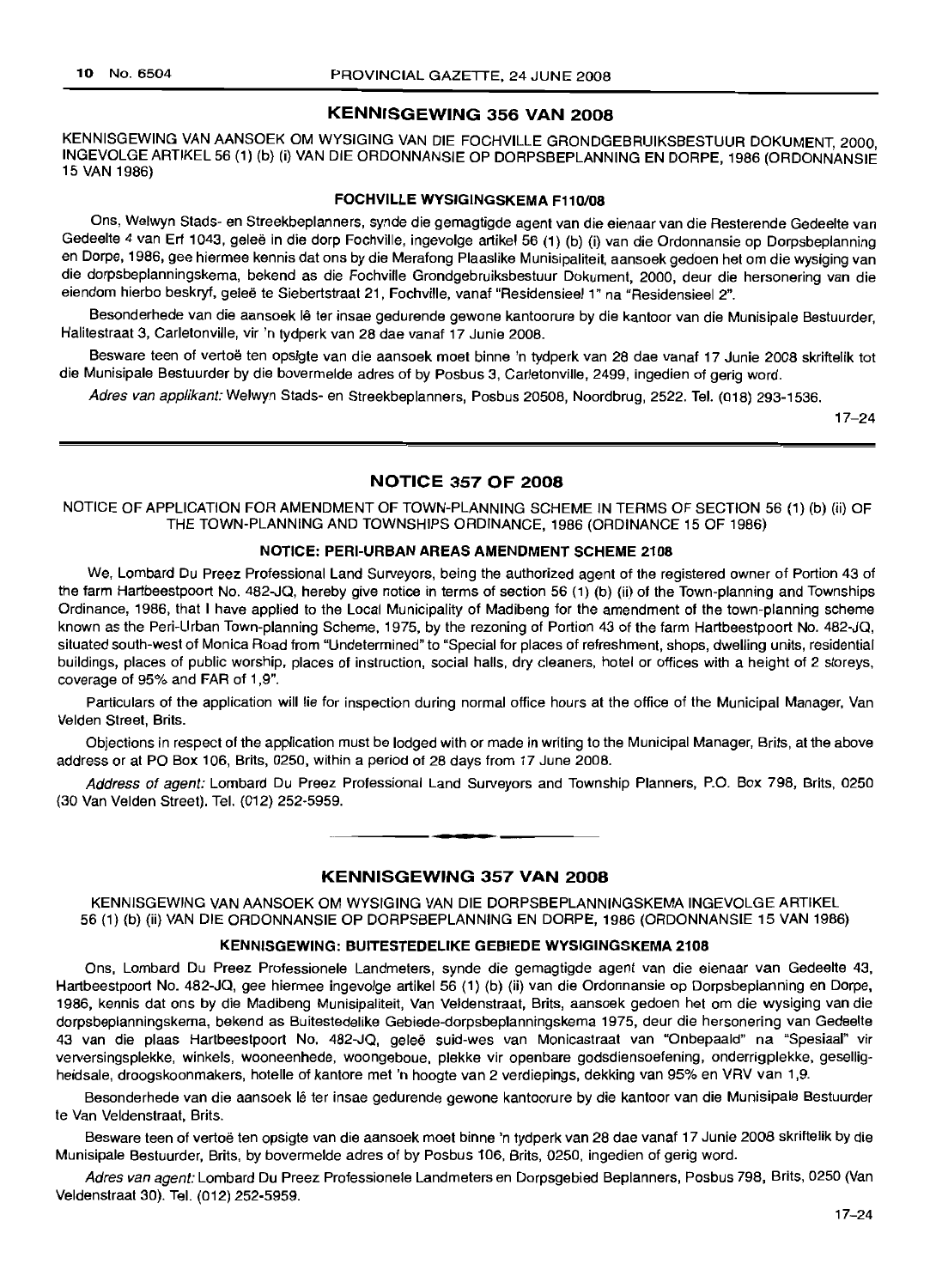### KENNISGEWING 356 VAN 2008

KENNISGEWING VAN AANSOEK OM WYSIGING VAN DIE FOCHVILLE GRONDGEBRUIKSBESTUUR DOKUMENT, 2000. INGEVOLGE ARTIKEL 56 (1) (b) (i) VAN DIE ORDONNANSIE OP DORPSBEPLANNING EN DORPE. 1986 (ORDONNANSIE 15 VAN 1986)

### FOCHVILLE WVSIGINGSKEMA F110/08

Ons, Welwyn Stads- en Streekbeplanners, synde die gemagtigde agent van die eienaar van die Resterende Gedeelte van Gedeelte 4 van Erf 1043, gelee in die dorp Fochville, ingevolge artikel 56 (1) (b) (i) van die Ordonnansie op Dorpsbeplanning en Dorpe, 1986. gee hiermee kennis dat ons by die Merafong Plaaslike Munisipaliteit, aansoek gedoen het om die wysiging van die dorpsbeplanningskema. bekend as die Fochville Grondgebruiksbestuur Dokument, 2000, deur die hersonering van die eiendom hierbo beskryf, geleë te Siebertstraat 21. Fochville, vanaf "Residensieel 1" na "Residensieel 2".

Besonderhede van die aansoek lê ter insae gedurende gewone kantoorure by die kantoor van die Munisipale Bestuurder, Halitestraat 3. Carletonville. vir 'n tydperk van 28 dae vanaf 17 Junie 2008.

Besware teen of vertoë ten opsigte van die aansoek moet binne 'n tydperk van 28 dae vanaf 17 Junie 2008 skriftelik tot die Munisipale Bestuurder by die bovermelde adres of by Posbus 3, Carletonville, 2499, ingedien of gerig word.

Adres van applikant: Welwyn Stads- en Streekbeplanners. Posbus 20508. Noordbrug. 2522. Tel. (018) 293-1536.

17-24

### NOTICE 357 OF 2008

NOTICE OF APPLICATION FOR AMENDMENT OF TOWN-PLANNING SCHEME IN TERMS OF SECTION 56 (1) (b) (ii) OF THE TOWN-PLANNING AND TOWNSHIPS ORDINANCE, 1986 (ORDINANCE 15 OF 1986)

### NOTICE: PERI-URBAN AREAS AMENDMENT SCHEME 2108

We, Lombard Du Preez Professional Land Surveyors, being the authorized agent of the registered owner of Portion 43 of the farm Hartbeestpoort No. 482-JQ, hereby give notice in terms of section 56 (1) (b) (ii) of the Town-planning and Townships Ordinance, 1986, that I have applied to the Local Municipality of Madibeng for the amendment of the town-planning scheme known as the Peri-Urban Town-planning Scheme, 1975, by the rezoning of Portion 43 of the farm Hartbeestpoort No. 482-JQ, situated south-west of Monica Road from "Undetermined" to "Special for places of refreshment. shops. dwelling units, residential buildings, places of public worship, places of instruction, social halls. dry cleaners, hotel or offices with a height of 2 storeys, coverage of 95% and FAR of 1,9".

Particulars of the application will lie for inspection during normal office hours at the office of the Municipal Manager, Van Velden Street, Brits.

Objections in respect of the application must be lodged with or made in writing to the Municipal Manager. Brits. at the above address or at PO Box 106, Brits, 0250. within a period of 28 days from 17 June 2008.

Address of agent: Lombard Du Preez Professional Land Surveyors and Township Planners, P.O. Box 798. Brits, 0250 (30 Van Velden Street). Tel. (012) 252-5959. .**- .**

### KENNISGEWING 357 VAN 2008

KENNISGEWING VAN AANSOEK OM WYSIGING VAN DIE DORPSBEPLANNINGSKEMA INGEVOLGE ARTIKEL 56 (1) (b) (ii) VAN DIE ORDONNANSIE OP DORPSBEPLANNING EN DORPE, 1986 (ORDONNANSIE 15 VAN 1986)

### KENNISGEWING: BUITESTEDELIKE GEBIEDE WVSIGINGSKEMA 2108

Ons, Lombard Du Preez Professionele Landmeters, synde die gemagtigde agent van die eienaar van Gedeelte 43. Hartbeestpoort No. 482-JQ, gee hiermee ingevolge artikel 56 (1) (b) (ii) van die Ordonnansie op Dorpsbeplanning en Dorpe, 1986, kennis dat ons by die Madibeng Munisipaliteit, Van Veldenstraat, Brits, aansoek gedoen het om die wysiging van die dorpsbeplanningskema, bekend as Buitestedelike Gebiede-dorpsbeplanningskema 1975, deur die hersonering van Gedeelte 43 van die plaas Hartbeestpoort No. 482-JQ. gelee suid-wes van Monicastraat van "Onbepaald" na "Spesiaal" vir verversingsplekke. winkels, wooneenhede, woongeboue. plekke vir openbare godsdiensoefening, onderrigplekke, geselligheidsale, droogskoonmakers, hotelle of kantore met 'n hoogte van 2 verdiepings, dekking van 95% en VRV van 1.9.

Besonderhede van die aansoek Ie ter insae gedurende gewone kantoorure by die kantoor van die Munisipale Bestuurder te Van Veldenstraat, Brits.

Besware teen of vsrtoe ten opsigte van die aansoek moet binne 'n tydperk van 28 dae vanaf 17 Junie 2008 skriftelik by die Munisipale Bestuurder, Brits, by bovermelde adres of by Posbus 106, Brits, 0250, ingedien of gerig word.

Adres van agent: Lombard Du Preez Professionele Landmeters en Dorpsgebied Beplanners. Posbus 798, Brits, 0250 (Van Veldenstraat 30). Tel. (012) 252-5959.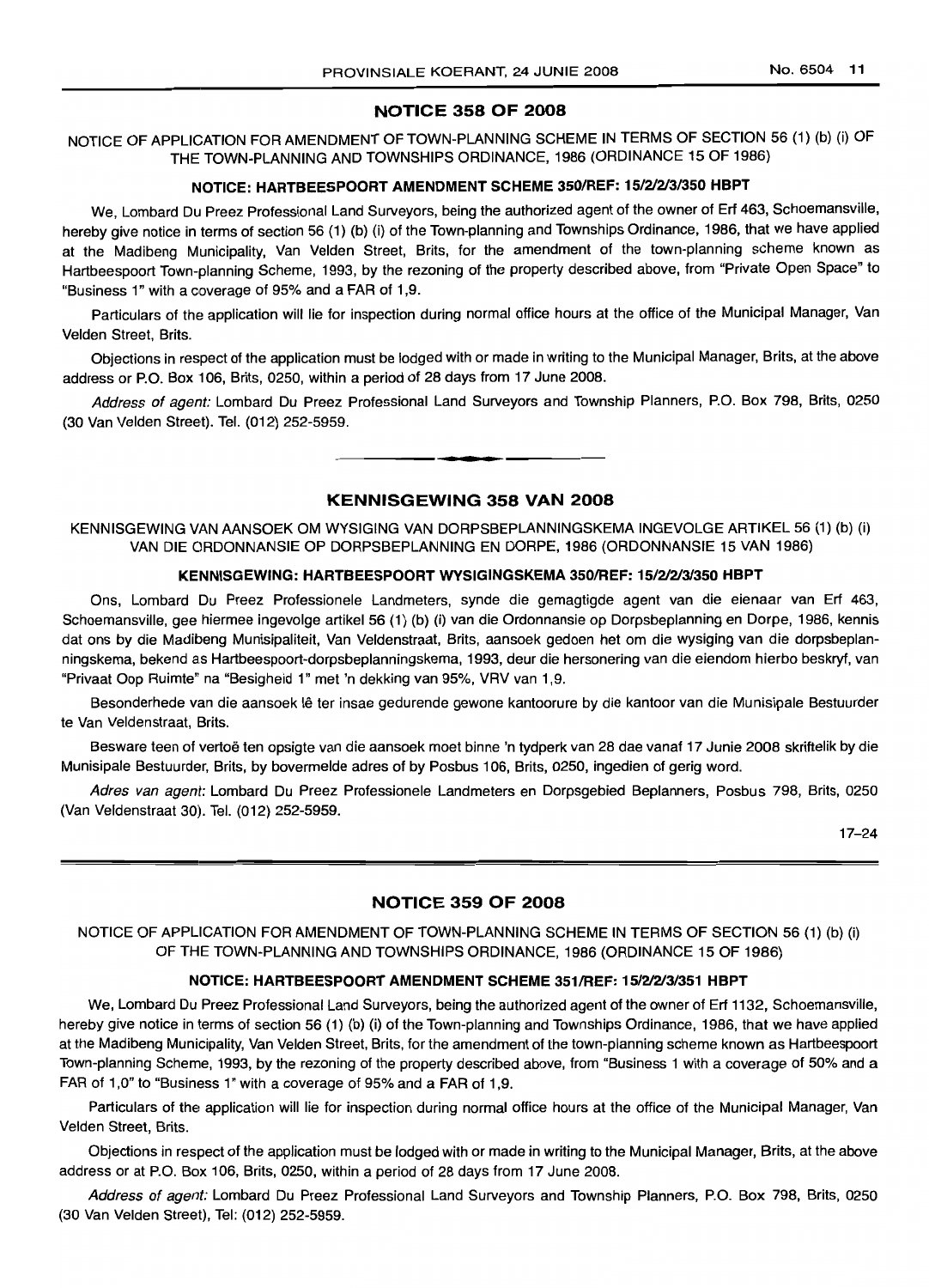### NOTICE 358 OF 2008

NOTICE OF APPLICATION FOR AMENDMENT OF TOWN-PLANNING SCHEME IN TERMS OF SECTION 56 (1) (b) (i) OF THE TOWN-PLANNING AND TOWNSHIPS ORDINANCE, 1986 (ORDINANCE 15 OF 1986)

#### NOTICE: HARTBEESPOORT AMENDMENT SCHEME 350/REF: 15121213/350 HBPT

We, Lombard Du Preez Professional Land Surveyors, being the authorized agent of the owner of Erf 463, Schoemansville, hereby give notice in terms of section 56 (1) (b) (i) of the Town-planning and Townships Ordinance, 1986, that we have applied at the Madibeng Municipality, Van Velden Street, Brits, for the amendment of the town-planning scheme known as Hartbeespoort Town-planning Scheme, 1993, by the rezoning of the property described above, from "Private Open Space" to "Business 1" with a coverage of 95% and a FAR of 1,9.

Particulars of the application will lie for inspection during normal office hours at the office of the Municipal Manager, Van Velden Street, Brits.

Objections in respect of the application must be lodged with or made in writing to the Municipal Manager, Brits, at the above address or P.O. Box 106, Brits, 0250, within a period of 28 days from 17 June 2008.

Address of agent: Lombard Du Preez Professional Land Surveyors and Township Planners, P.O. Box 798, Brits, 0250 (30 Van Velden Street). Tel. (012) 252-5959.

**• I**

### KENNISGEWING 358 VAN 2008

KENNISGEWING VAN AANSOEK OM WYSIGING VAN DORPSBEPLANNINGSKEMA INGEVOLGE ARTIKEL 56 (1) (b) (i) VAN DIE ORDONNANSIE OP DORPSBEPLANNING EN DORPE, 1986 (ORDONNANSIE 15 VAN 1986)

#### KENNISGEWING: HARTBEESPOORT WYSIGINGSKEMA 350/REF: 15/2/2/3/350 HBPT

Ons, Lombard Du Preez Professionele Landmeters, synde die gemagtigde agent van die eienaar van Erf 463, Schoemansville, gee hiermee ingevolge artikel 56 (1) (b) (i) van die Ordonnansie op Dorpsbeplanning en Dorpe, 1986, kennis dat ons by die Madibeng Munisipaliteit, Van Veldenstraat, Brits, aansoek gedoen het om die wysiging van die dorpsbeplanningskema, bekend as Hartbeespoort-dorpsbeplanningskema, 1993, deur die hersonering van die eiendom hierbo beskryf, van "Privaat Oop Ruimte" na "Besigheid 1" met 'n dekking van 95%, VRV van 1,9.

Besonderhede van die aansoek Ie ter insae gedurende gewone kantoorure by die kantoor van die Munisipale Bestuurder te Van Veldenstraat, Brits.

Besware teen of vertoë ten opsigte van die aansoek moet binne 'n tydperk van 28 dae vanaf 17 Junie 2008 skriftelik by die Munisipale Bestuurder, Brits, by bovermelde adres of by Posbus 106, Brits, 0250, ingedien of gerig word.

Adres van agent: Lombard Du Preez Professionele Landmeters en Dorpsgebied Beplanners, Posbus 798, Brits, 0250 (Van Veldenstraat 30). Tel. (012) 252-5959.

17-24

### NOTICE 359 OF 2008

NOTICE OF APPLICATION FOR AMENDMENT OF TOWN-PLANNING SCHEME IN TERMS OF SECTION 56 (1) (b) (i) OF THE TOWN-PLANNING AND TOWNSHIPS ORDINANCE, 1986 (ORDINANCE 15 OF 1986)

#### NOTICE: HARTBEESPOORT AMENDMENT SCHEME 351/REF: 15/21213/351 HBPT

We, Lombard Du Preez Professional Land Surveyors, being the authorized agent of the owner of Erf 1132, Schoemansville, hereby give notice in terms of section 56 (1) (b) (i) of the Town-planning and Townships Ordinance, 1986, that we have applied at the Madibeng Municipality, Van Velden Street, Brits, for the amendment of the town-planning scheme known as Hartbeespoort Town-planning Scheme, 1993, by the rezoning of the property described above, from "Business 1 with a coverage of 50% and a FAR of 1,0" to "Business 1" with a coverage of 95% and a FAR of 1,9.

Particulars of the application will lie for inspection during normal office hours at the office of the Municipal Manager, Van Velden Street, Brits.

Objections in respect of the application must be lodged with or made in writing to the Municipal Manager, Brits, at the above address or at P.O. Box 106, Brits, 0250, within a period of 28 days from 17 June 2008.

Address of agent: Lombard Du Preez Professional Land Surveyors and Township Planners, P.O. Box 798, Brits, 0250 (30 Van Velden Street), Tel: (012) 252-5959.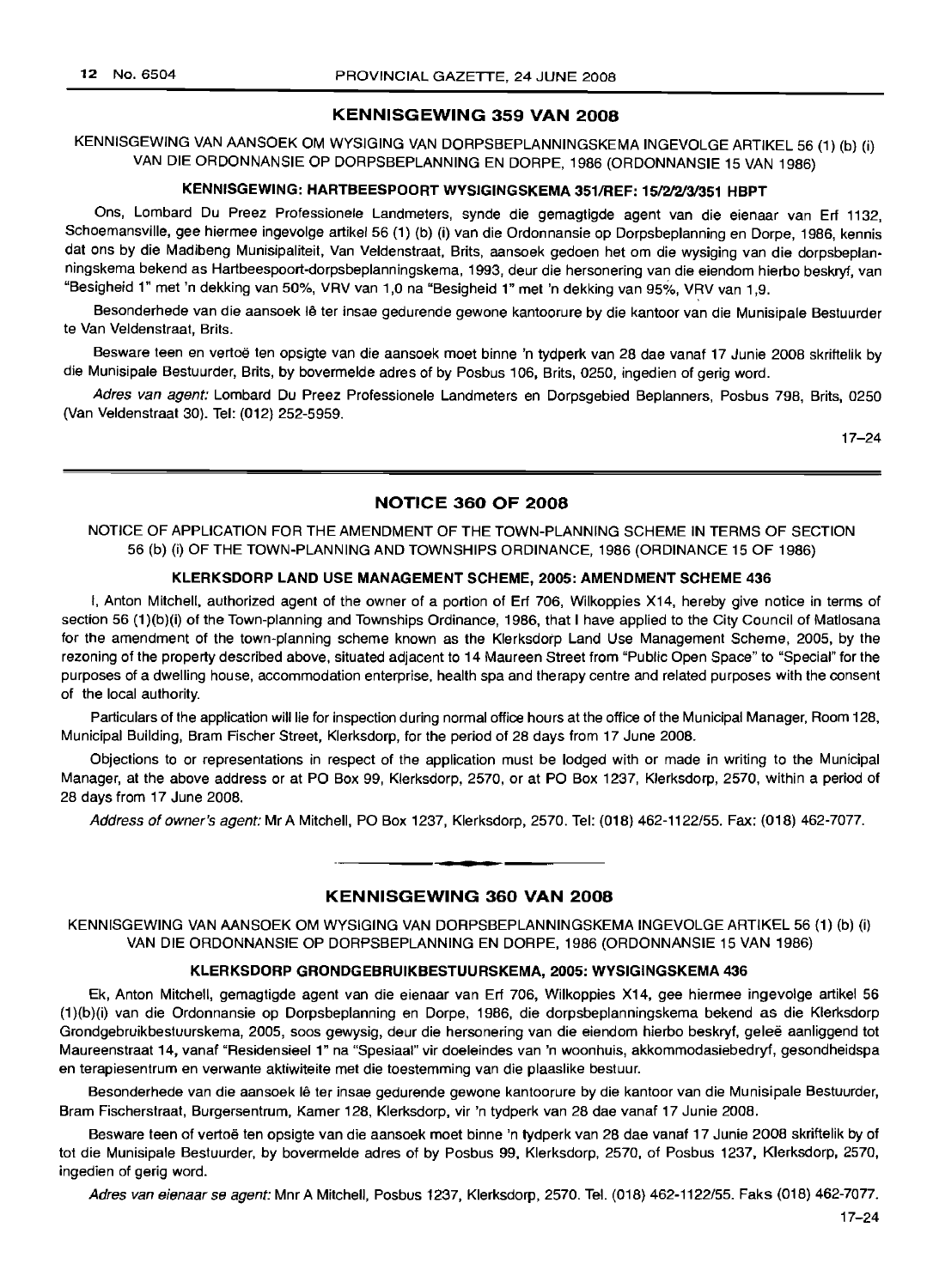### KENNISGEWING 359 VAN 2008

KENNISGEWING VAN AANSOEK OM WYSIGING VAN DORPSBEPLANNINGSKEMA INGEVOLGE ARTIKEL 56 (1) (b) (i) VAN DIE ORDONNANSIE OP DORPSBEPLANNING EN DORPE, 1986 (ORDONNANSIE 15 VAN 1986)

#### KENNISGEWING: HARTBEESPOORT WYSIGINGSKEMA 351/REF: 15/2/2/3/351 HBPT

Ons, Lombard Du Preez Professionele Landmeters, synde die gemagtigde agent van die eienaar van Erf 1132, Schoemansville, gee hiermee ingevolge artikel 56 (1) (b) (i) van die Ordonnansie op Dorpsbeplanning en Dorpe, 1986, kennis dat ons by die Madibeng Munisipaliteit, Van Veldenstraat, Brits, aansoek gedoen het om die wysiging van die dorpsbeplanningskema bekend as Hartbeespoort-dorpsbeplanningskema, 1993, deur die hersonering van die eiendom hierbo beskryf, van "Besigheid 1" met 'n dekking van 50%, VRV van 1,0 na "Besigheid 1" met 'n dekking van 95%, VRV van 1,9.

Besonderhede van die aansoek lê ter insae gedurende gewone kantoorure by die kantoor van die Munisipale Bestuurder te Van Veldenstraat, Brits.

Besware teen en vertoë ten opsigte van die aansoek moet binne 'n tydperk van 28 dae vanaf 17 Junie 2008 skriftelik by die Munisipale Bestuurder, Brits, by bovermelde adres of by Posbus 106, Brits, 0250, ingedien of gerig word.

Adres van agent: Lombard Du Preez Professionele Landmeters en Dorpsgebied Beplanners, Posbus 798, Brits, 0250 (Van Veldenstraat 30). Tel: (012) 252-5959.

17-24

### NOTICE 360 OF 2008

NOTICE OF APPLICATION FOR THE AMENDMENT OF THE TOWN-PLANNING SCHEME IN TERMS OF SECTION 56 (b) (i) OF THE TOWN-PLANNING AND TOWNSHIPS ORDINANCE, 1986 (ORDINANCE 15 OF 1986)

### KLERKSDORP LAND USE MANAGEMENT SCHEME, 2005: AMENDMENT SCHEME 436

I, Anton Mitchell, authorized agent of the owner of a portion of Erf 706, Wilkoppies X14, hereby give notice in terms of section 56 (1)(b)(i) of the Town-planning and Townships Ordinance, 1986, that I have applied to the City Council of Matlosana for the amendment of the town-planning scheme known as the Klerksdorp Land Use Management Scheme, 2005, by the rezoning of the property described above, situated adjacent to 14 Maureen Street from "Public Open Space" to "Special" for the purposes of a dwelling house, accommodation enterprise, health spa and therapy centre and related purposes with the consent of the local authority.

Particulars of the application will lie for inspection during normal office hours at the office of the Municipal Manager, Room 128, Municipal Building, Bram Fischer Street, Klerksdorp, for the period of 28 days from 17 June 2008.

Objections to or representations in respect of the application must be lodged with or made in writing to the Municipal Manager, at the above address or at PO Box 99, Klerksdorp, 2570, or at PO Box 1237, Klerksdorp, 2570, within a period of 28 days from 17 June 2008.

Address of owner's agent: Mr A Mitchell, PO Box 1237, Klerksdorp, 2570. Tel: (018) 462-1122/55. Fax: (018) 462-7077.

**• •**

### KENNISGEWING 360 VAN 2008

KENNISGEWING VAN AANSOEK OM WYSIGING VAN DORPSBEPLANNINGSKEMA INGEVOLGE ARTIKEL 56 (1) (b) (i) VAN DIE ORDONNANSIE OP DORPSBEPLANNING EN DORPE, 1986 (ORDONNANSIE 15 VAN 1986)

#### KLERKSDORP GRONDGEBRUIKBESTUURSKEMA, 2005: WYSIGINGSKEMA 436

Ek, Anton Mitchell, gemagtigde agent van die eienaar van Erf 706, Wilkoppies X14, gee hiermee ingevolge artikel 56 (1)(b)(i) van die Ordonnansie op Dorpsbeplanning en Dorpe, 1986, die dorpsbeplanningskema bekend as die Klerksdorp Grondgebruikbestuurskema, 2005, soos gewysig, deur die hersonering van die eiendom hierbo beskryf, gelee aanliggend tot Maureenstraat 14, vanaf "Residensieel 1" na "Spesiaal" vir doeleindes van 'n woonhuis, akkommodasiebedryf, gesondheidspa en terapiesentrum en verwante aktiwiteite met die toestemming van die plaaslike bestuur.

Besonderhede van die aansoek lê ter insae gedurende gewone kantoorure by die kantoor van die Munisipale Bestuurder, Bram Fischerstraat, Burgersentrum, Kamer 128, Klerksdorp, vir 'n tydperk van 28 dae vanaf 17 Junie 2008.

Besware teen of vertoë ten opsigte van die aansoek moet binne 'n tydperk van 28 dae vanaf 17 Junie 2008 skriftelik by of tot die Munisipale Bestuurder, by bovermelde adres of by Posbus 99, Klerksdorp, 2570, of Posbus 1237, Klerksdorp, 2570, ingedien of gerig word.

Adres van eienaar se agent: Mnr A Mitchell, Posbus 1237, Klerksdorp, 2570. Tel. (018) 462-1122/55. Faks (018) 462-7077.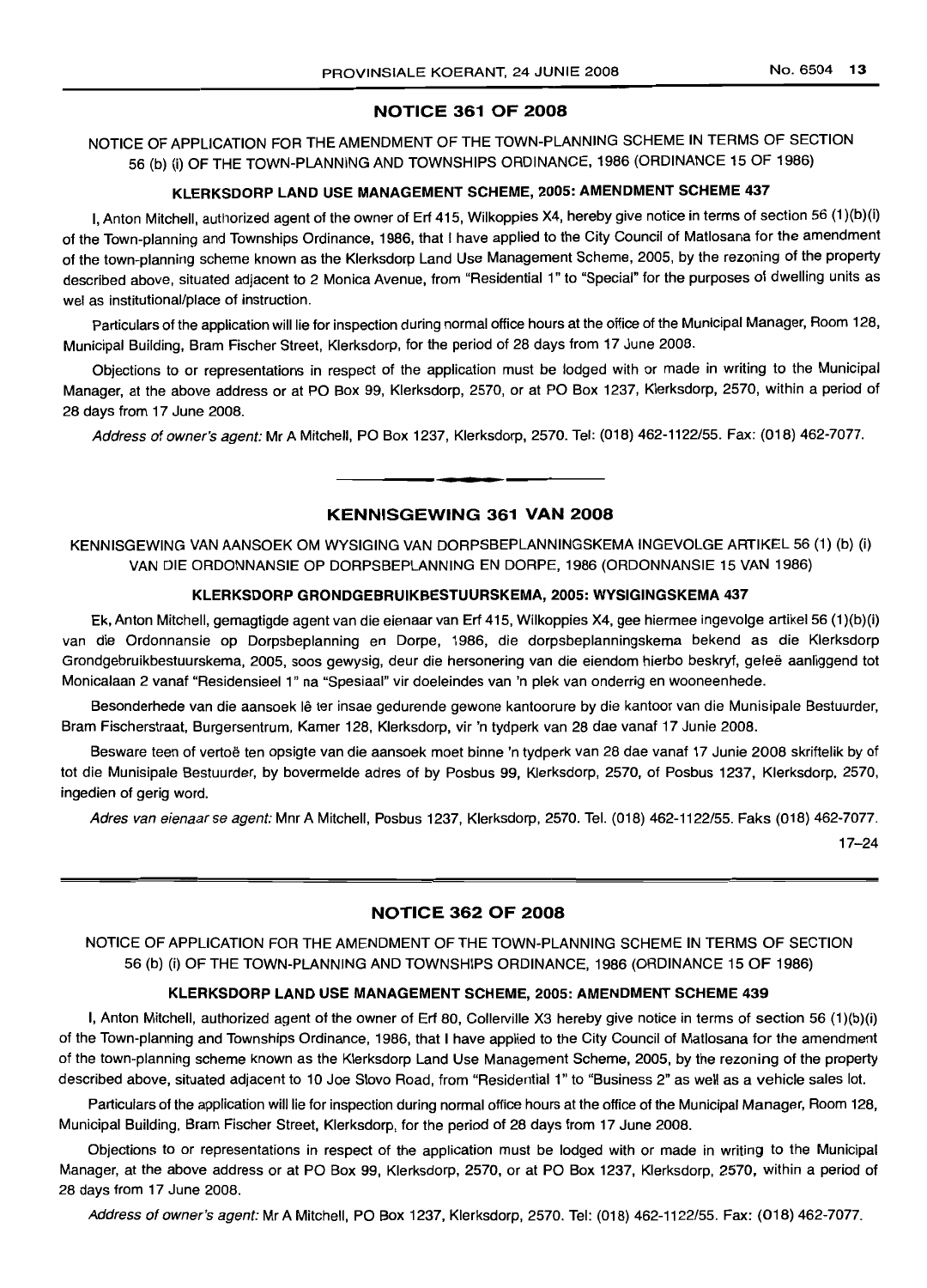### NOTICE 361 OF 2008

NOTICE OF APPLICATION FOR THE AMENDMENT OF THE TOWN-PLANNING SCHEME IN TERMS OF SECTION 56 (b) (i) OF THE TOWN-PLANNING AND TOWNSHIPS ORDINANCE, 1986 (ORDINANCE 15 OF 1986)

## KLERKSDORP LAND USE MANAGEMENT SCHEME, 2005: AMENDMENT SCHEME 437

I, Anton Mitchell, authorized agent of the owner of Erf 415, Wilkoppies X4, hereby give notice in terms of section 56 (1 )(b)(i) of the Town-planning and Townships Ordinance, 1986, that I have applied to the City Council of Matlosana for the amendment of the town-planning scheme known as the Klerksdorp Land Use Management Scheme, 2005, by the rezoning of the property described above, situated adjacent to 2 Monica Avenue, from "Residential 1" to "Special" for the purposes of dwelling units as wei as institutional/place of instruction.

Particulars of the application will lie for inspection during normal office hours at the office of the Municipal Manager, Room 128, Municipal Building, Bram Fischer Street, Klerksdorp, for the period of 28 days from 17 June 2008.

Objections to or representations in respect of the application must be lodged with or made in writing to the Municipal Manager, at the above address or at PO Box 99, Klerksdorp, 2570, or at PO Box 1237, Klerksdorp, 2570, within a period of 28 days from 17 June 2008.

Address of owner's agent: Mr A Mitchell, PO Box 1237, Klerksdorp, 2570. Tel: (018) 462-1122/55. Fax: (018) 462-7077.

**• I**

### KENNISGEWING 361 VAN 2008

KENNISGEWING VAN AANSOEK OM WYSIGING VAN DORPSBEPLANNINGSKEMA INGEVOLGE ARTIKEL 56 (1) (b) (i) VAN DIE ORDONNANSIE OP DORPSBEPLANNING EN DORPE, 1986 (ORDONNANSIE 15 VAN 1986)

### KLERKSDORP GRONDGEBRUIKBESTUURSKEMA, 2005: WYSIGINGSKEMA 437

Ek, Anton Mitchell, gemagtigde agent van die eienaar van Erf 415, Wilkoppies X4, gee hiermee ingevolge artikel 56 (1)(b)(i) van die Ordonnansie op Dorpsbeplanning en Dorpe, 1986, die dorpsbeplanningskema bekend as die Klerksdorp Grondgebruikbestuurskema, 2005, soos gewysig, deur die hersonering van die eiendom hierbo beskryf, gelee aanliggend tot Monicalaan 2 vanaf "Residensieel 1" na "Spesiaal" vir doeleindes van 'n plek van onderrig en wooneenhede.

Besonderhede van die aansoek lê ter insae gedurende gewone kantoorure by die kantoor van die Munisipale Bestuurder, Bram Fischerstraat, Burgersentrum, Kamer 128, Klerksdorp, vir 'n tydperk van 28 dae vanaf 17 Junie 2008.

Besware teen of vertoë ten opsigte van die aansoek moet binne 'n tydperk van 28 dae vanaf 17 Junie 2008 skriftelik by of tot die Munisipale Bestuurder, by bovermelde adres of by Posbus 99, Klerksdorp, 2570, of Posbus 1237, Klerksdorp, 2570, ingedien of gerig word.

Adres van eienaar se agent: Mnr A Mitchell, Posbus 1237, Klerksdorp, 2570. Tel. (018) 462-1122/55. Faks (018) 462-7077.

17-24

### NOTICE 362 OF 2008

NOTICE OF APPLICATION FOR THE AMENDMENT OF THE TOWN-PLANNING SCHEME IN TERMS OF SECTION 56 (b) (i) OF THE TOWN-PLANNING AND TOWNSHIPS ORDINANCE, 1986 (ORDINANCE 15 OF 1986)

#### KLERKSDORP LAND USE MANAGEMENT SCHEME, 2005: AMENDMENT SCHEME 439

I, Anton Mitchell, authorized agent of the owner of Erf 80, Collerville X3 hereby give notice in terms of section 56 (1)(b)(i) of the Town-planning and Townships Ordinance, 1986, that I have applied to the City Council of Matlosana for the amendment of the town-planning scheme known as the Klerksdorp Land Use Management Scheme, 2005, by the rezoning of the property described above, situated adjacent to 10 Joe Siovo Road, from "Residential 1" to "Business 2" as well as a vehicle sales lot.

Particulars of the application will lie for inspection during normal office hours at the office of the Municipal Manager, Room 128, Municipal Building, Bram Fischer Street, Klerksdorp, for the period of 28 days from 17 June 2008.

Objections to or representations in respect of the application must be lodged with or made in writing to the Municipal Manager, at the above address or at PO Box 99, Klerksdorp, 2570, or at PO Box 1237, Klerksdorp, 2570, within a period of 28 days from 17 June 2008.

Address of owner's agent: Mr A Mitchell, PO Box 1237, Klerksdorp, 2570. Tel: (018) 462-1122/55. Fax: (018) 462-7077.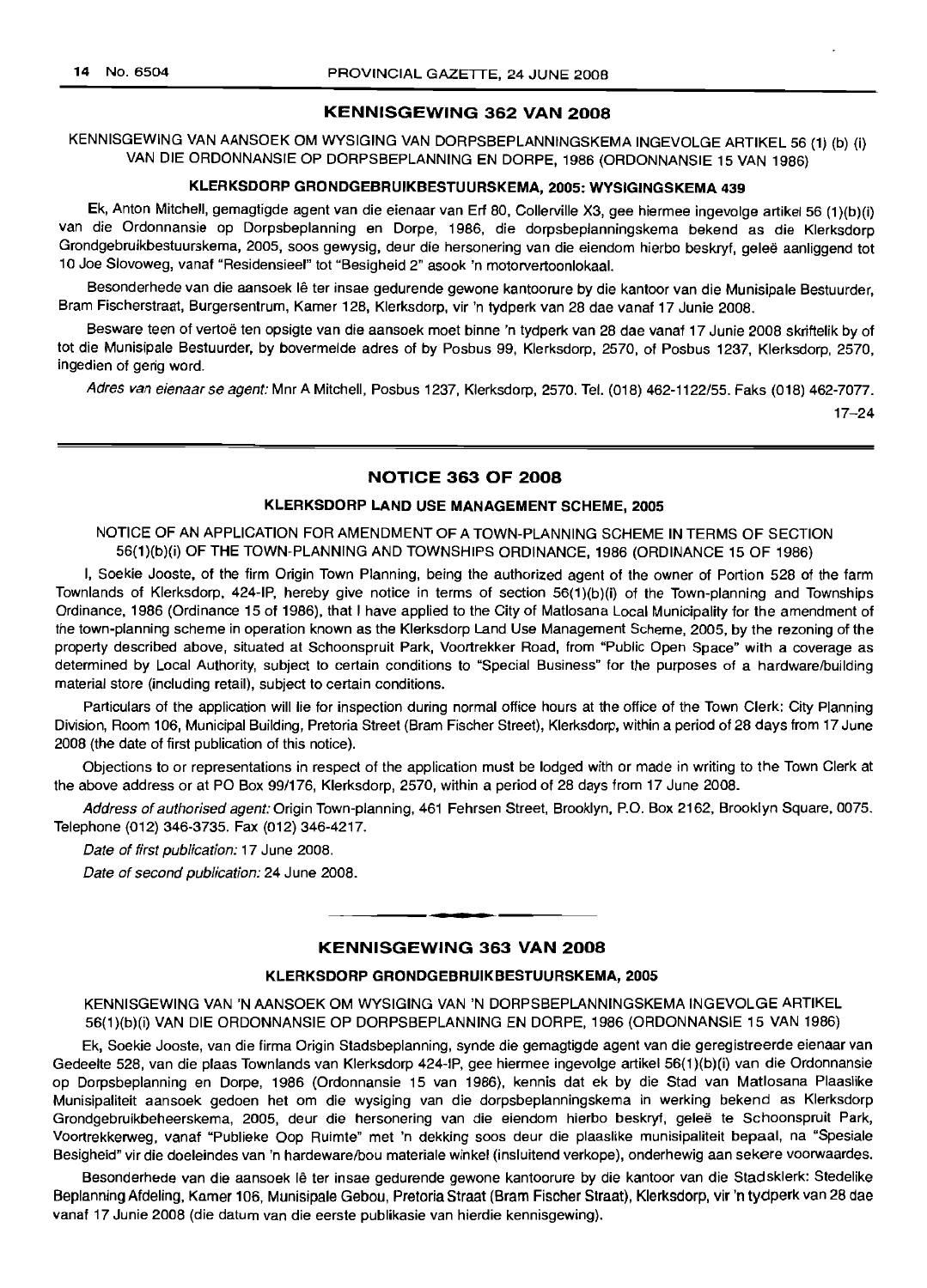#### KENNISGEWING 362 VAN 2008

KENNISGEWING VAN AANSOEK OM WYSIGING VAN DORPSBEPLANNINGSKEMA INGEVOLGE ARTIKEL 56 (1) (b) (i) VAN DIE ORDONNANSIE OP DORPSBEPLANNING EN DORPE, 1986 (ORDONNANSIE 15 VAN 1986)

#### KLERKSDORP GRONDGEBRUIKBESTUURSKEMA, 2005: WYSIGINGSKEMA 439

Ek, Anton Mitchell, gemagtigde agent van die eienaar van Erf 80, Collerville X3, gee hiermee ingevolge artikel 56 (1)(b)(i) van die Ordonnansie op Dorpsbeplanning en Dorpe, 1986, die dorpsbeplanningskema bekend as die Klerksdorp Grondgebruikbestuurskema, 2005, soos gewysig, deur die hersonering van die eiendom hierbo beskryf, gelee aanliggend tot 10 Joe Siovoweg, vanaf "Residensieel" tot "Besigheid 2" asook 'n motorvertoonlokaal.

Besonderhede van die aansoek lê ter insae gedurende gewone kantoorure by die kantoor van die Munisipale Bestuurder, Bram Fischerstraat, Burgersentrum, Kamer 128, Klerksdorp, vir 'n tydperk van 28 dae vanaf 17 Junie 2008.

Besware teen of vertoë ten opsigte van die aansoek moet binne 'n tydperk van 28 dae vanaf 17 Junie 2008 skriftelik by of tot die Munisipale Bestuurder, by bovermelde adres of by Posbus 99, Klerksdorp, 2570, of Posbus 1237, Klerksdorp, 2570, ingedien of gerig word.

Adres van eienaar se agent: Mnr A Mitchell, Posbus 1237, Klerksdorp, 2570. Tel. (018) 462-1122/55. Faks (018) 462-7077.

17-24

### NOTICE 363 OF 2008

### KLERKSDORP LAND USE MANAGEMENT SCHEME, 2005

NOTICE OF AN APPLICATION FOR AMENDMENT OF A TOWN-PLANNING SCHEME IN TERMS OF SECTION 56(1)(b)(i) OF THE TOWN-PLANNING AND TOWNSHIPS ORDINANCE, 1986 (ORDINANCE 15 OF 1986)

I, Soekie Jooste, of the firm Origin Town Planning, being the authorized agent of the owner of Portion 528 of the farm Townlands of Klerksdorp, 424-IP, hereby give notice in terms of section 56(1)(b)(i) of the Town-planning and Townships Ordinance, 1986 (Ordinance 15 of 1986), that I have applied to the City of Matlosana Local Municipality for the amendment of the town-planning scheme in operation known as the Klerksdorp Land Use Management Scheme, 2005, by the rezoning of the property described above, situated at Schoonspruit Park, Voortrekker Road, from "Public Open Space" with a coverage as determined by Local Authority, subject to certain conditions to "Special Business" for the purposes of a hardware/building material store (including retail), subject to certain conditions.

Particulars of the application will lie for inspection during normal office hours at the office of the Town Clerk: City Planning Division, Room 106, Municipal Building, Pretoria Street (Bram Fischer Street), Klerksdorp, within a period of 28 days from 17 June 2008 (the date of first publication of this notice).

Objections to or representations in respect of the application must be lodged with or made in writing to the Town Clerk at the above address or at PO Box 99/176, Klerksdorp, 2570, within a period of 28 days from 17 June 2008.

Address of authorised agent: Origin Town-planning, 461 Fehrsen Street, Brooklyn, P.O. Box 2162, Brooklyn Square, 0075. Telephone (012) 346-3735. Fax (012) 346-4217.

Date of first publication: 17 June 2008.

Date of second publication: 24 June 2008.

## **•** KENNISGEWING 363 VAN 2008

#### KLERKSDORP GRONDGEBRUIKBESTUURSKEMA, 2005

KENNISGEWING VAN 'N AANSOEK OM WYSIGING VAN 'N DORPSBEPLANNINGSKEMA INGEVOLGE ARTIKEL 56(1)(b)(i) VAN DIE ORDONNANSIE OP DORPSBEPLANNING EN DORPE, 1986 (ORDONNANSIE 15 VAN 1986)

Ek, Soekie Jooste, van die firma Origin Stadsbeplanning, synde die gemagtigde agent van die geregistreerde eienaar van Gedeelte 528, van die plaas Townlands van Klerksdorp 424-IP, gee hiermee ingevolge artikel 56(1)(b)(i) van die Ordonnansie op Dorpsbeplanning en Dorpe, 1986 (Ordonnansie 15 van 1986), kennis dat ek by die Stad van Matlosana Plaaslike Munisipaliteit aansoek gedoen het om die wysiging van die dorpsbeplanningskema in werking bekend as Klerksdorp Grondgebruikbeheerskema, 2005, deur die hersonering van die eiendom hierbo beskryf, gelee te Schoonspruit Park, Voortrekkerweg, vanaf "Publieke Oop Ruimte" met 'n dekking soos deur die plaaslike munisipaliteit bepaal, na "Spesiale Besigheid" vir die doeleindes van 'n hardeware/bou materiale winkel (insluitend verkope), onderhewig aan sekere voorwaardes.

Besonderhede van die aansoek lê ter insae gedurende gewone kantoorure by die kantoor van die Stadsklerk: Stedelike Beplanning Afdeling, Kamer 106, Munisipale Gebou, Pretoria Straat (Bram Fischer Straat), Klerksdorp, vir 'n tydperk van 28 dae vanaf 17 Junie 2008 (die datum van die eerste publikasie van hierdie kennisgewing).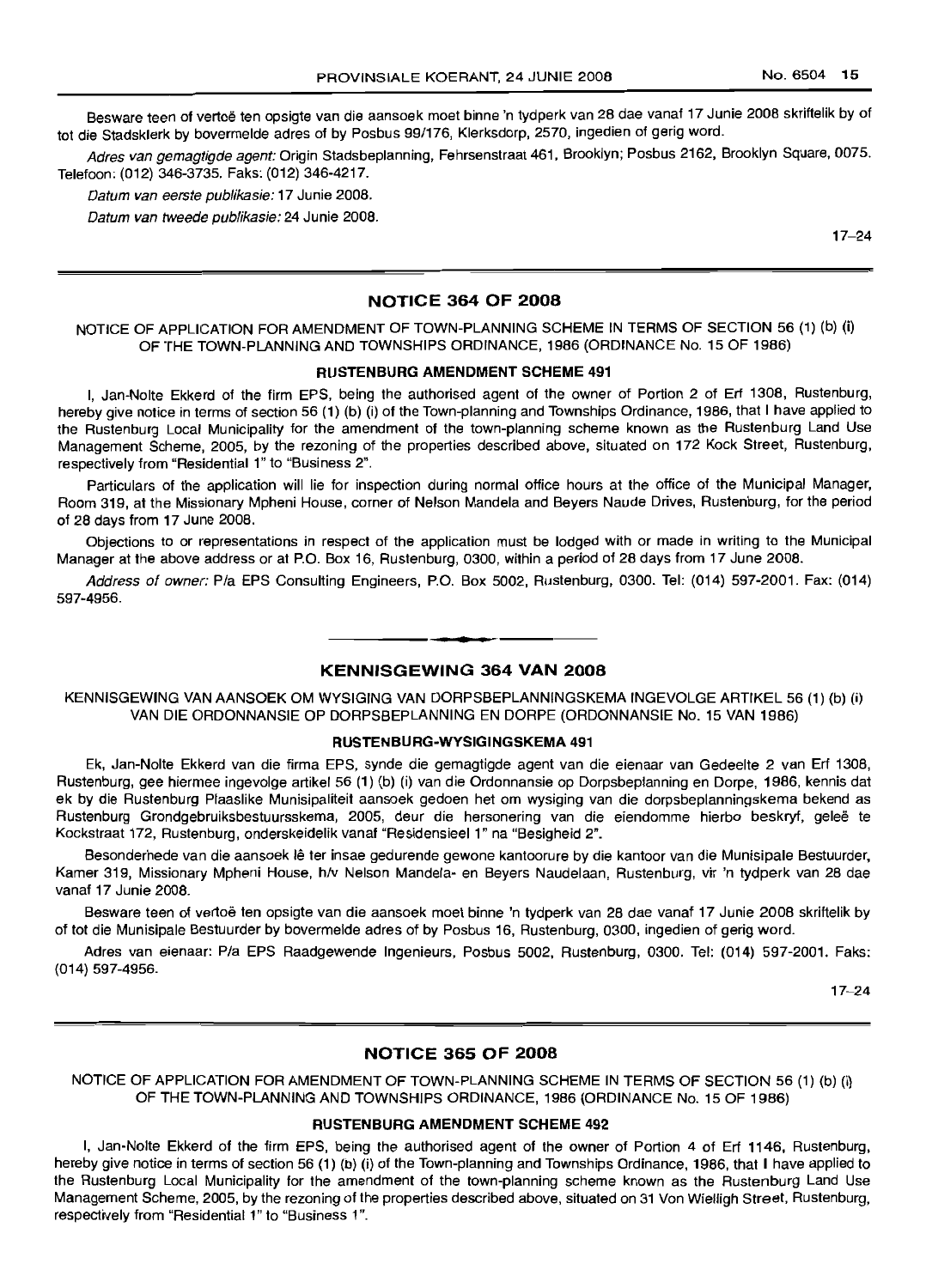Besware teen of vertoë ten opsigte van die aansoek moet binne 'n tydperk van 28 dae vanaf 17 Junie 2008 skriftelik by of tot die Stadsklerk by bovermelde adres of by Posbus 99/176, Klerksdorp, 2570, ingedien of gerig word.

Adres van gemagtigde agent: Origin Stadsbeplanning, Fehrsenstraat 461, Brooklyn; Posbus 2162, Brooklyn Square, 0075. Telefoon: (012) 346-3735. Faks: (012) 346-4217.

Datum van eerste pubJikasie: 17 Junie 2008.

Datum van tweede publikasie: 24 Junie 2008.

17-24

### NOTICE 364 OF 2008

NOTICE OF APPLICATION FOR AMENDMENT OF TOWN-PLANNING SCHEME IN TERMS OF SECTION 56 (1) (b) (i) OF THE TOWN-PLANNING AND TOWNSHIPS ORDINANCE, 1986 (ORDINANCE No. 15 OF 1986)

### RUSTENBURG AMENDMENT SCHEME 491

I, Jan-Nolte Ekkerd of the firm EPS, being the authorised agent of the owner of Portion 2 of Erf 1308, Rustenburg, hereby give notice in terms of section 56 (1) (b) (i) of the Town-planning and Townships Ordinance, 1986, that I have applied to the Rustenburg Local Municipality for the amendment of the town-planning scheme known as the Rustenburg Land Use Management Scheme, 2005, by the rezoning of the properties described above, situated on 172 Kock Street, Rustenburg, respectively from "Residential 1" to "Business 2".

Particulars of the application will lie for inspection during normal office hours at the office of the Municipal Manager, Room 319, at the Missionary Mpheni House, corner of Nelson Mandela and Beyers Naude Drives, Rustenburg, for the period of 28 days from 17 June 2008.

Objections to or representations in respect of the application must be lodged with or made in writing to the Municipal Manager at the above address or at P.O. Box 16, Rustenburg, 0300, within a period of 28 days from 17 June 2008.

Address of owner: Pia EPS Consulting Engineers, P.O. Box 5002, Rustenburg, 0300. Tel: (014) 597-2001. Fax: (014) 597-4956.

### KENNISGEWING 364 VAN 2008

**• •**

KENNISGEWING VAN AANSOEK OM WYSIGING VAN DORPSBEPLANNINGSKEMA INGEVOLGE ARTIKEL 56 (1) (b) (i) VAN DIE ORDONNANSIE OP DORPSBEPLANNING EN DORPE (ORDONNANSIE No. 15 VAN 1986)

#### RUSTENBURG-WYSIGINGSKEMA 491

Ek, Jan-Nolte Ekkerd van die firma EPS, synde die gemagtigde agent van die eienaar van Gedeelte 2 van Erf 1308, Rustenburg, gee hiermee ingevolge artikel 56 (1) (b) (i) van die Ordonnansie op Dorpsbeplanning en Dorpe, 1986, kennis dat ek by die Rustenburg Plaaslike Munisipaliteit aansoek gedoen het om wysiging van die dorpsbeplanningskema bekend as Rustenburg Grondgebruiksbestuursskema, 2005, deur die hersonering van die eiendomme hierbo beskryf, geleë te Kockstraat 172, Rustenburg, onderskeidelik vanaf "Residensieel 1" na "Besigheid 2".

Besonderhede van die aansoek lê ter insae gedurende gewone kantoorure by die kantoor van die Munisipale Bestuurder, Kamer 319, Missionary Mpheni House, *hlv* Nelson Mandela- en Beyers Naudelaan, Rustenburg, vir 'n tydperk van 28 dae vanaf 17 Junie 2008.

Besware teen of vertoe ten opsigte van die aansoek moet binne 'n tydperk van 28 dae vanaf 17 Junie 2008 skriftelik by of tot die Munisipale Bestuurder by bovermelde adres of by Posbus 16, Rustenburg, 0300, ingedien of gerig word.

Adres van eienaar: Pia EPS Raadgewende Ingenieurs, Posbus 5002, Rustenburg, 0300. Tel: (014) 597-2001. Faks: (014) 597-4956.

17-24

### NOTICE 365 OF 2008

NOTICE OF APPLICATION FOR AMENDMENT OF TOWN-PLANNING SCHEME IN TERMS OF SECTION 56 (1) (b) (i) OF THE TOWN-PLANNING AND TOWNSHIPS ORDINANCE, 1986 (ORDINANCE No. 15 OF 1986)

#### RUSTENBURG AMENDMENT SCHEME 492

I, Jan-Nolte Ekkerd of the firm EPS, being the authorised agent of the owner of Portion 4 of Erf 1146, Rustenburg, hereby give notice in terms of section 56 (1) (b) (i) of the Town-planning and Townships Ordinance, 1986, that I have applied to the Rustenburg Local Municipality for the amendment of the town-planning scheme known as the Rustenburg Land Use Management Scheme, 2005, by the rezoning of the properties described above, situated on 31 Von Wielligh Street, Rustenburg, respectively from "Residential 1" to "Business 1".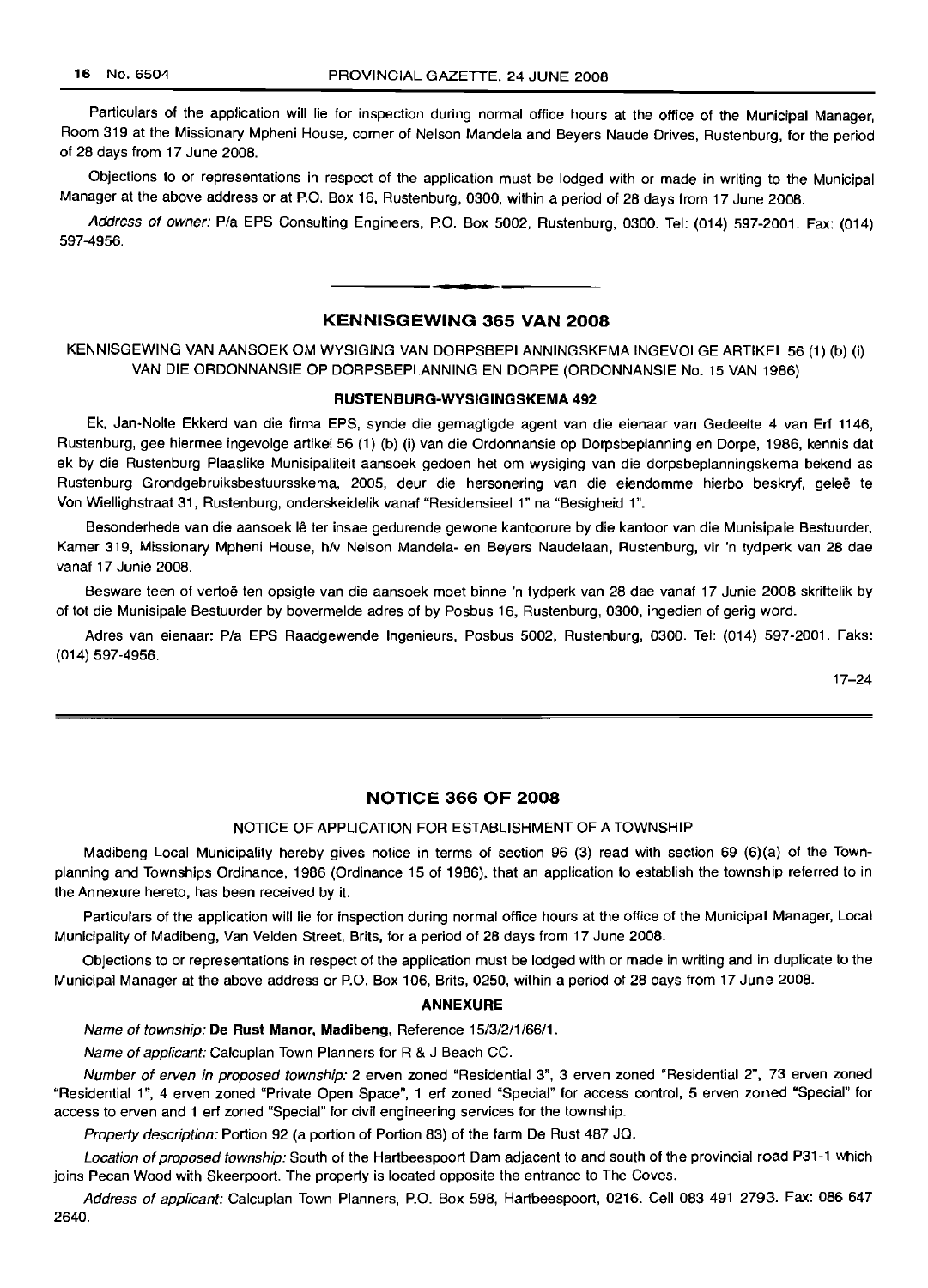Particulars of the application will lie for inspection during normal office hours at the office of the Municipal Manager, Room 319 at the Missionary Mpheni House, corner of Nelson Mandela and Beyers Naude Drives, Rustenburg, for the period of 28 days from 17 June 2008.

Objections to or representations in respect of the application must be lodged with or made in writing to the Municipal Manager at the above address or at P.O. Box 16, Rustenburg, 0300, within a period of 28 days from 17 June 2008.

Address of owner: Pia EPS Consulting Engineers, P.O. Box 5002, Rustenburg, 0300. Tel: (014) 597-2001. Fax: (014) 597-4956.

### **KENNISGEWING 365 VAN 2008**

**• •**

KENNISGEWING VAN AANSOEK OM WYSIGING VAN DORPSBEPLANNINGSKEMA INGEVOLGE ARTIKEL 56 (1) (b) (i) VAN DIE ORDONNANSIE OP DORPSBEPLANNING EN DORPE (ORDONNANSIE No. 15 VAN 1986)

#### **RUSTENBURG-WYSIGINGSKEMA 492**

Ek, Jan-Nolte Ekkerd van die firma EPS, synde die gemagtigde agent van die eienaar van Gedeelte 4 van Erf 1146, Rustenburg, gee hiermee ingevolge artikel 56 (1) (b) (i) van die Ordonnansie op Dorpsbeplanning en Dorpe, 1986, kennis dat ek by die Rustenburg Plaaslike Munisipaliteit aansoek gedoen het om wysiging van die dorpsbeplanningskema bekend as Rustenburg Grondgebruiksbestuursskema, 2005, deur die hersonering van die eiendomme hierbo beskryf, geleë te Von Wiellighstraat 31, Rustenburg, onderskeidelik vanaf "Residensieel 1" na "Besigheid 1".

Besonderhede van die aansoek Ie ter insae gedurende gewone kantoorure by die kantoor van die Munisipale Bestuurder, Kamer 319, Missionary Mpheni House, *hlv* Nelson Mandela- en Beyers Naudelaan, Rustenburg, vir 'n tydperk van 28 dae vanaf 17 Junie 2008.

Besware teen of vertoe ten opsigte van die aansoek moet binne 'n tydperk van 28 dae vanaf 17 Junie 2008 skriftelik by of tot die Munisipale Bestuurder by bovermelde adres of by Posbus 16, Rustenburg, 0300, ingedien of gerig word.

Adres van eienaar: Pia EPS Raadgewende Ingenieurs, Posbus 5002, Rustenburg, 0300. Tel: (014) 597-2001. Faks: (014) 597-4956.

17-24

### **NOTICE 366 OF 2008**

#### NOTICE OF APPLICATION FOR ESTABLISHMENT OF A TOWNSHIP

Madibeng Local Municipality hereby gives notice in terms of section 96 (3) read with section 69 (6)(a) of the Townplanning and Townships Ordinance, 1986 (Ordinance 15 of 1986), that an application to establish the township referred to in the Annexure hereto, has been received by it.

Particulars of the application will lie for inspection during normal office hours at the office of the Municipal Manager, Local Municipality of Madibeng, Van Velden Street, Brits, for a period of 28 days from 17 June 2008.

Objections to or representations in respect of the application must be lodged with or made in writing and in duplicate to the Municipal Manager at the above address or P.O. Box 106, Brits, 0250, within a period of 28 days from 17 June 2008.

#### **ANNEXURE**

Name of township: **De Rust Manor, Madibeng,** Reference 15/3/2/1/66/1.

Name of applicant: Calcuplan Town Planners for R & J Beach CC.

Number of erven in proposed township: 2 erven zoned "Residential 3", 3 erven zoned "Residential 2", 73 erven zoned "Residential 1", 4 erven zoned "Private Open Space", 1 erf zoned "Special" for access control, 5 erven zoned "Special" for access to erven and 1 erf zoned "Special" for civil engineering services for the township.

Property description: Portion 92 (a portion of Portion 83) of the farm De Rust 487 JQ.

Location of proposed township: South of the Hartbeespoort Dam adjacent to and south of the provincial road P31-1 which joins Pecan Wood with Skeerpoort. The property is located opposite the entrance to The Coves.

Address of applicant: Calcuplan Town Planners, P.O. Box 598, Hartbeespoort, 0216. Cell 083 491 2793. Fax: 086 647 2640.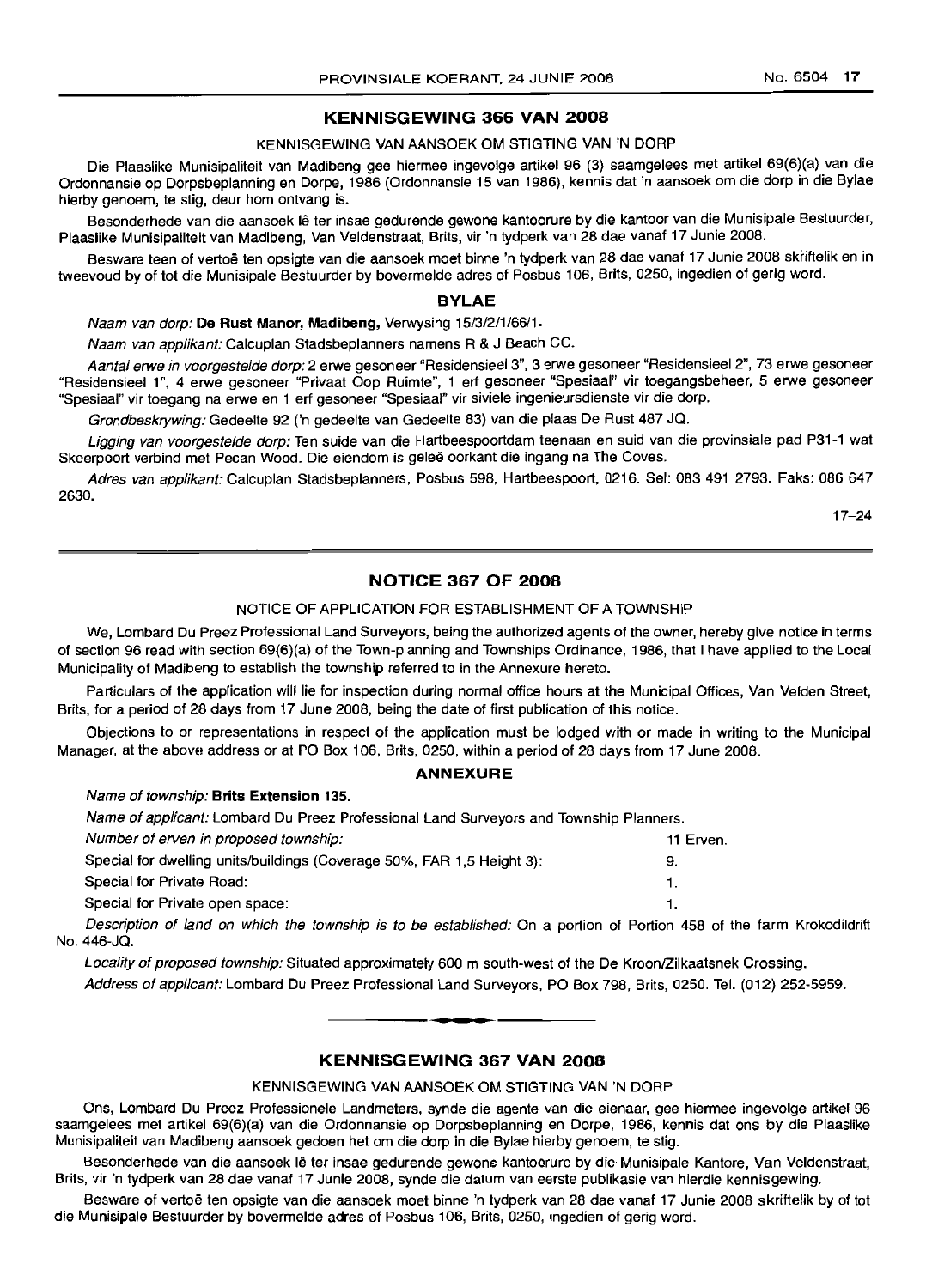### **KENNISGEWING 366 VAN 2008**

### KENNISGEWING VAN AANSOEK OM STIGTING VAN 'N DORP

Die Plaaslike Munisipaliteit van Madibeng gee hiermee ingevolge artikel 96 (3) saamgelees met artikel 69(6)(a) van die Ordonnansie op Dorpsbeplanning en Dorpe, 1986 (Ordonnansie 15 van 1986), kennis dat 'n aansoek om die dorp in die Bylae hierby genoem, te stig, deur hom ontvang is.

Besonderhede van die aansoek Ie ter insae gedurende gewone kantoorure by die kantoor van die Munisipale Bestuurder, Plaaslike Munisipaliteit van Madibeng, Van Veldenstraat, Brits, vir 'n tydperk van 28 dae vanaf 17 Junie 2008.

Besware teen of vertoë ten opsigte van die aansoek moet binne 'n tydperk van 28 dae vanaf 17 Junie 2008 skriftelik en in tweevoud by of tot die Munisipale Bestuurder by bovermelde adres of Posbus 106, Brits, 0250, ingedien of gerig word.

### **BYLAE**

Naam van dorp: **De Rust Manor, Madibeng,** Verwysing 15/3/2/1/66/1.

Naam van applikant: Calcuplan Stadsbeplanners namens R & J Beach CC.

Aantal erwe in voorgestelde dorp: 2 erwe gesoneer "Residensieel 3", 3 erwe gesoneer "Residensieel 2", 73 erwe gesoneer "Residensieel 1", 4 erwe gesoneer "Privaat Oop Ruimte", 1 ert gesoneer "Spesiaal" vir toegangsbeheer, 5 erwe gesoneer "Spesiaal" vir toegang na erwe en 1 ert gesoneer "Spesiaal" vir siviele ingenieursdienste vir die dorp.

Grondbeskrywing: Gedeelte 92 ('n gedeelte van Gedeelte 83) van die plaas De Rust 487 JQ.

Ligging van voorgestelde dorp: Ten suide van die Hartbeespoortdam teenaan en suid van die provinsiale pad P31-1 wat Skeerpoort verbind met Pecan Wood. Die eiendom is gelee oorkant die ingang na The Coves.

Adres van epplikent: Calcuplan Stadsbeplanners, Posbus 598, Hartbeespoort, 0216. Sel: 083 491 2793. Faks: 086 647 2630.

17-24

### **NOTICE 367 OF 2008**

### NOTICE OF APPLICATION FOR ESTABLISHMENT OF A TOWNSHIP

We, Lombard Du Preez Professional Land Surveyors, being the authorized agents of the owner, hereby give notice in terms of section 96 read with section 69(6)(a) of the Town-planning and Townships Ordinance, 1986, that I have applied to the Local Municipality of Madibeng to establish the township referred to in the Annexure hereto.

Particulars of the application will lie for inspection during normal office hours at the Municipal Offices, Van Velden Street, Brits, for a period of 28 days from 17 June 2008, being the date of first publication of this notice.

Objections to or representations in respect of the application must be lodged with or made in writing to the Municipal Manager, at the above address or at PO Box 106, Brits, 0250, within a period of 28 days from 17 June 2008.

#### **ANNEXURE**

### Name of township: **Brits Extension 135.**

Name of applicant: Lombard Du Preez Professional Land Surveyors and Township Planners.

| Number of erven in proposed township:                                  | 11 Erven. |
|------------------------------------------------------------------------|-----------|
| Special for dwelling units/buildings (Coverage 50%, FAR 1,5 Height 3): | 9.        |
| Special for Private Road:                                              |           |
| Special for Private open space:                                        |           |
|                                                                        |           |

Description of land on which the township is to be established: On a portion of Portion 458 of the farm Krokodildrift No. 446-JQ.

Locality of proposed township: Situated approximately 600 m south-west of the De Kroon/Zilkaatsnek Crossing. Address of applicant: Lombard Du Preez Professional Land Surveyors, PO Box 798, Brits, 0250. Tel. (012) 252-5959 .

.**- .**

### **KENNISGEWING 367 VAN 2008**

#### KENNISGEWING VAN AANSOEK OM STIGTING VAN 'N DORP

Ons, Lombard Du Preez Professionele Landmeters, synde die agente van die eienaar, gee hiermee ingevolge artikel 96 saamgelees met artikel 69(6)(a) van die Ordonnansie op Dorpsbeplanning en Dorpe, 1986, kennis dat ons by die Plaaslike Munisipaliteit van Madibeng aansoek gedoen het om die dorp in die Bylae hierby genoem, te stig.

Besonderhede van die aansoek Ie ter insae gedurende gewone kantoorure by die Munisipale Kantore, Van Veldenstraat, Brits, vir 'n tydperk van 28 dae vanaf 17 Junie 2008, synde die datum van eerste publikasie van hierdie kennisgewing.

Besware of vertoë ten opsigte van die aansoek moet binne 'n tydperk van 28 dae vanaf 17 Junie 2008 skriftelik by of tot die Munisipale Bestuurder by bovermelde adres of Posbus 106, Brits, 0250, ingedien of gerig word.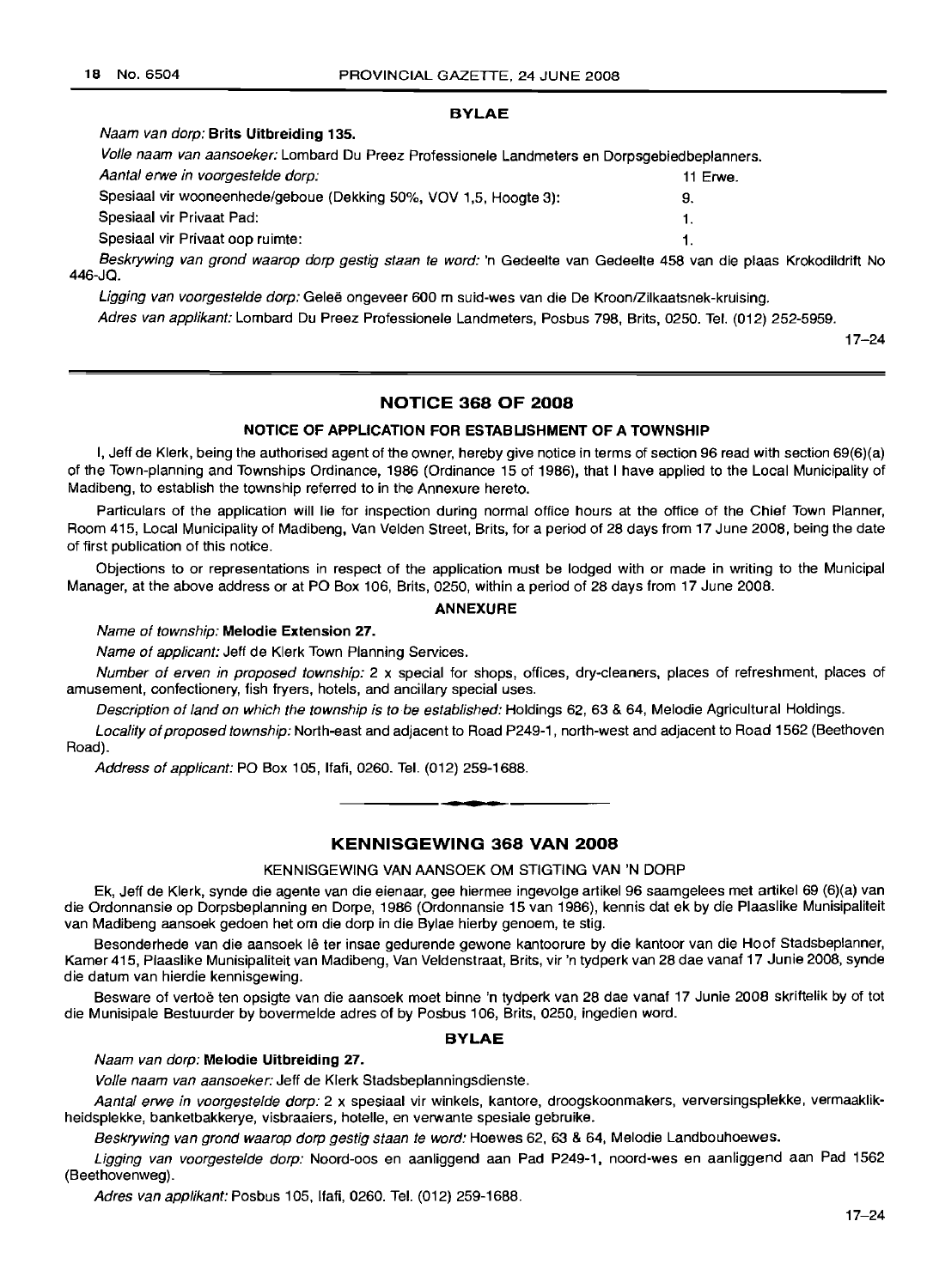### BYLAE

#### Naam van dorp: Brits Uitbreiding 135.

Volle naam van aansoeker: Lombard Du Preez Professionele Landmeters en Dorpsgebiedbeplanners.

Aantal erwe in voorgestelde dorp: 11 Erwe.

Spesiaal vir wooneenhede/geboue (Dekking 50%, VOV 1,5, Hoogte 3): 9. Spesiaal vir Privaat Pad: 1. Spesiaal vir Privaat oop ruimte: 1. Beskrywing van grond waarop dorp gestig staan te word: 'n Gedeelte van Gedeelte 458 van die plaas Krokodildrift No

446-JQ.

Ligging van voorgestelde dorp: Geleë ongeveer 600 m suid-wes van die De Kroon/Zilkaatsnek-kruising.

Adres van applikant: Lombard Du Preez Professionele Landmeters, Posbus 798, Brits, 0250. Tel. (012) 252-5959.

17-24

### NOTICE 368 OF 2008

### NOTICE OF APPLICATION FOR ESTABLISHMENT OF A TOWNSHIP

I, Jeff de Klerk, being the authorised agent of the owner, hereby give notice in terms of section 96 read with section 69(6)(a) of the Town-planning and Townships Ordinance, 1986 (Ordinance 15 of 1986), that 1have applied to the Local Municipality of Madibeng, to establish the township referred to in the Annexure hereto.

Particulars of the application will lie for inspection during normal office hours at the office of the Chief Town Planner, Room 415, Local Municipality of Madibeng, Van Velden Street, Brits, for a period of 28 days from 17 June 2008, being the date of first publication of this notice.

Objections to or representations in respect of the application must be lodged with or made in writing to the Municipal Manager, at the above address or at PO Box 106, Brits, 0250, within a period of 28 days from 17 June 2008.

### ANNEXURE

### Name of township: Melodie Extension 27.

Name of applicant: Jeff de Klerk Town Planning Services.

Number of erven in proposed township: 2 x special for shops, offices, dry-cleaners, places of refreshment, places of amusement, confectionery, fish fryers, hotels, and ancillary special uses.

Description of land on which the township is to be established: Holdings 62, 63 & 64, Melodie Agricultural Holdings.

Locality of proposed township: North-east and adjacent to Road P249-1, north-west and adjacent to Road 1562 (Beethoven Road).

Address of applicant: PO Box 105, Ifafi, 0260. Tel. (012) 259-1688 . .**-.**

### KENNISGEWING 368 VAN 2008

### KENNISGEWING VAN AANSOEK OM STIGTING VAN 'N DORP

Ek, Jeff de Klerk, synde die agente van die eienaar, gee hiermee ingevolge artikel 96 saamgelees met artikel 69 (6)(a) van die Ordonnansie op Dorpsbeplanning en Dorpe, 1986 (Ordonnansie 15 van 1986), kennis dat ek by die Plaaslike Munisipaliteit van Madibeng aansoek gedoen het om die dorp in die Bylae hierby genoem, te stig.

Besonderhede van die aansoek lê ter insae gedurende gewone kantoorure by die kantoor van die Hoof Stadsbeplanner, Kamer 415, Plaaslike Munisipaliteit van Madibeng, Van Veldenstraat, Brits, vir 'n tydperk van 28 dae vanaf 17 Junie 2008, synde die datum van hierdie kennisgewing.

Besware of vertoë ten opsigte van die aansoek moet binne 'n tydperk van 28 dae vanaf 17 Junie 2008 skriftelik by of tot die Munisipale Bestuurder by bovermelde adres of by Posbus 106, Brits, 0250, ingedien word.

### BYLAE

Naam van dorp: Melodie Uitbreiding 27.

Volle naam van aansoeker: Jeff de Klerk Stadsbeplanningsdienste.

Aantal erwe in voorgestelde dorp: 2 x spesiaal vir winkels, kantore, droogskoonmakers, verversingsplekke, vermaaklikheidsplekke, banketbakkerye, visbraaiers, hotelle, en verwante spesiale gebruike.

Beskrywing van grond waarop dorp gestig staan te word: Hoewes 62, 63 & 64, Melodie Landbouhoewes.

Ligging van voorgestelde dorp: Noord-oos en aanliggend aan Pad P249-1, noord-wes en aanliggend aan Pad 1562 (Beethovenweg).

Adres van applikant: Posbus 105, Ifafi, 0260. Tel. (012) 259-1688.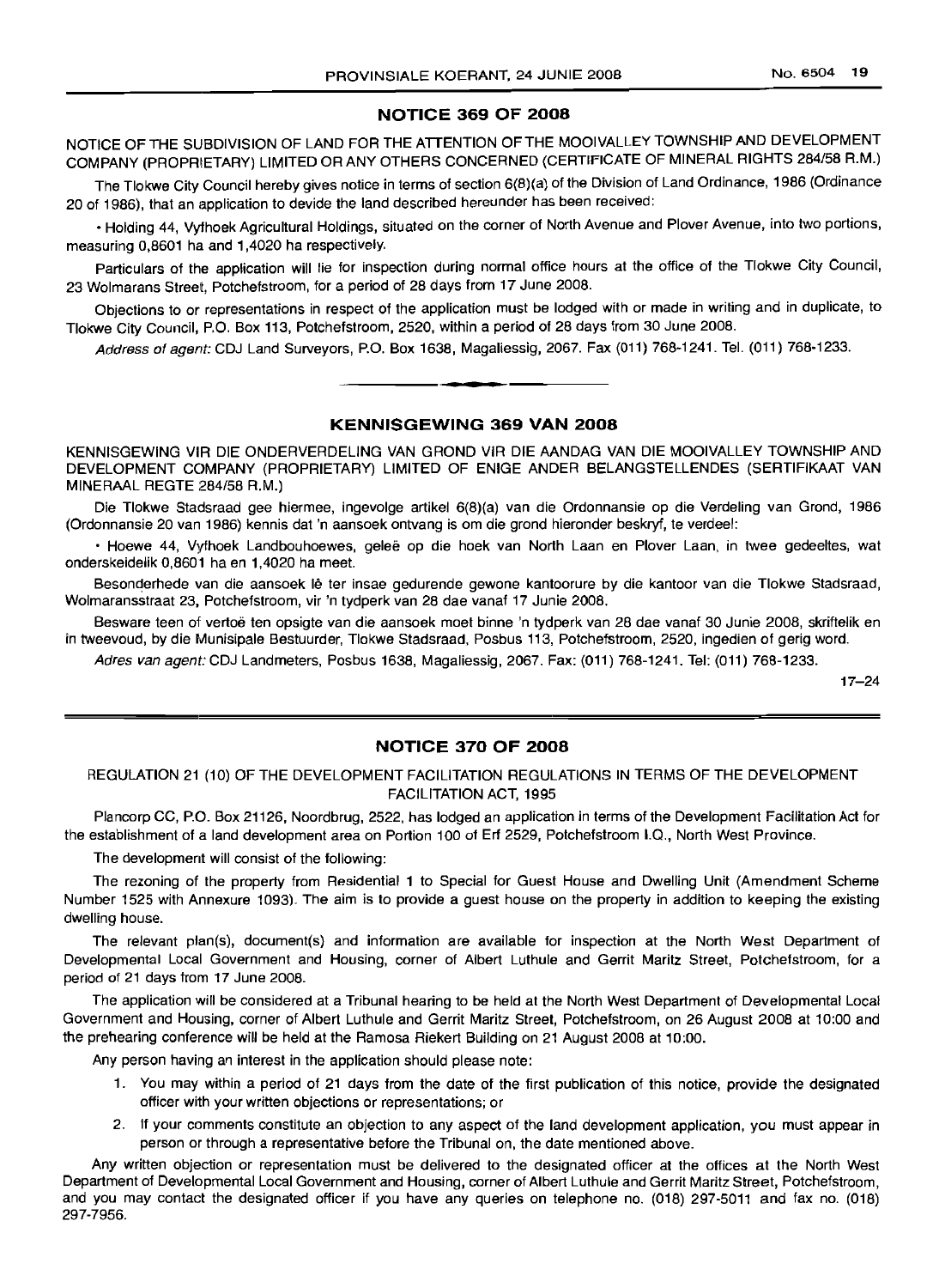### **NOTICE 369 OF 2008**

NOTICE OF THE SUBDIVISION OF LAND FOR THE ATTENTION OF THE MOOIVALLEY TOWNSHIP AND DEVELOPMENT COMPANY (PROPRIETARY) LIMITED OR ANY OTHERS CONCERNED (CERTIFICATE OF MINERAL RIGHTS 284/58 A.M.)

The Tlokwe City Council hereby gives notice in terms of section 6(8)(a) of the Division of Land Ordinance, 1986 (Ordinance 20 of 1986), that an application to devide the land described hereunder has been received:

• Holding 44, Vyfhoek Agricultural Holdings, situated on the corner of North Avenue and Plover Avenue, into two portions, measuring 0,8601 ha and 1,4020 ha respectively.

Particulars of the application will lie for inspection during normal office hours at the office of the Tlokwe City Council, 23 Wolmarans Street, Potchefstroom, for a period of 28 days from 17 June 2008.

Objections to or representations in respect of the application must be lodged with or made in writing and in duplicate, to Tlokwe City Council, P.O. Box 113, Potchefstroom, 2520, within a period of 28 days from 30 June 2008.

Address of agent: CDJ Land Surveyors, P.O. Box 1638, Magaliessig, 2067. Fax (011) 768-1241. Tel. (011) 768-1233.

**• •**

### **KENNISGEWING 369 VAN 2008**

KENNISGEWING VIR DIE ONDERVERDELING VAN GROND VIR DIE AANDAG VAN DIE MOOIVALLEY TOWNSHIP AND DEVELOPMENT COMPANY (PROPRIETARY) LIMITED OF ENIGE ANDER BELANGSTELLENDES (SERTIFIKAAT VAN MINERAAL REGTE 284/58 R.M.)

Die Tlokwe Stadsraad gee hiermee, ingevolge artikel 6(8)(a) van die Ordonnansie op die Verdeling van Grond, 1986 (Ordonnansie 20 van 1986) kennis dat 'n aansoek ontvang is om die grond hieronder beskryf, te verdeel:

• Hoewe 44, Vythoek Landbouhoewes, gelee op die hoek van North Laan en Plover Laan, in twee gedeeltes, wat onderskeidelik 0,8601 ha en 1,4020 ha meet.

Besonderhede van die aansoek lê ter insae gedurende gewone kantoorure by die kantoor van die Tlokwe Stadsraad, Wolmaransstraat 23, Potchefstroom, vir 'n tydperk van 28 dae vanaf 17 Junie 2008.

Besware teen of vertoë ten opsigte van die aansoek moet binne 'n tydperk van 28 dae vanaf 30 Junie 2008, skriftelik en in tweevoud, by die Munisipale Bestuurder, Tlokwe Stadsraad, Posbus 113, Potchefstroom, 2520, ingedien of gerig word.

Adres van agent: CDJ Landmeters, Posbus 1638, Magaliessig, 2067. Fax: (011) 768-1241. Tel: (011) 768-1233.

17-24

### **NOTICE 370 OF 2008**

### REGULATION 21 (10) OF THE DEVELOPMENT FACILITATION REGULATIONS IN TERMS OF THE DEVELOPMENT FACILITATION ACT, 1995

Plancorp CC, P.O. Box 21126, Noordbrug, 2522, has lodged an application in terms of the Development Facilitation Act for the establishment of a land development area on Portion 100 of Erf 2529, Potchefstroom 1.0., North West Province.

The development will consist of the following:

The rezoning of the property from Residential 1 to Special for Guest House and Dwelling Unit (Amendment Scheme Number 1525 with Annexure 1093). The aim is to provide a guest house on the property in addition to keeping the existing dwelling house.

The relevant plan(s), document(s) and information are available for inspection at the North West Department of Developmental Local Government and Housing, corner of Albert Luthule and Gerrit Maritz Street, Potchefstroom, for a period of 21 days from 17 June 2008.

The application will be considered at a Tribunal hearing to be held at the North West Department of Developmental Local Government and Housing, corner of Albert Luthule and Gerrit Maritz Street, Potchefstroom, on 26 August 2008 at 10:00 and the prehearing conference will be held at the Ramosa Riekert Building on 21 August 2008 at 10:00.

Any person having an interest in the application should please note:

- 1. You may within a period of 21 days from the date of the first publication of this notice, provide the designated officer with your written objections or representations; or
- 2. If your comments constitute an objection to any aspect of the land development application, you must appear in person or through a representative before the Tribunal on, the date mentioned above.

Any written objection or representation must be delivered to the designated officer at the offices at the North West Department of Developmental Local Government and Housing, corner of Albert Luthule and Gerrit Maritz Street, Potchefstroom, and you may contact the designated officer if you have any queries on telephone no. (018) 297-5011 and fax no. (018) 297-7956.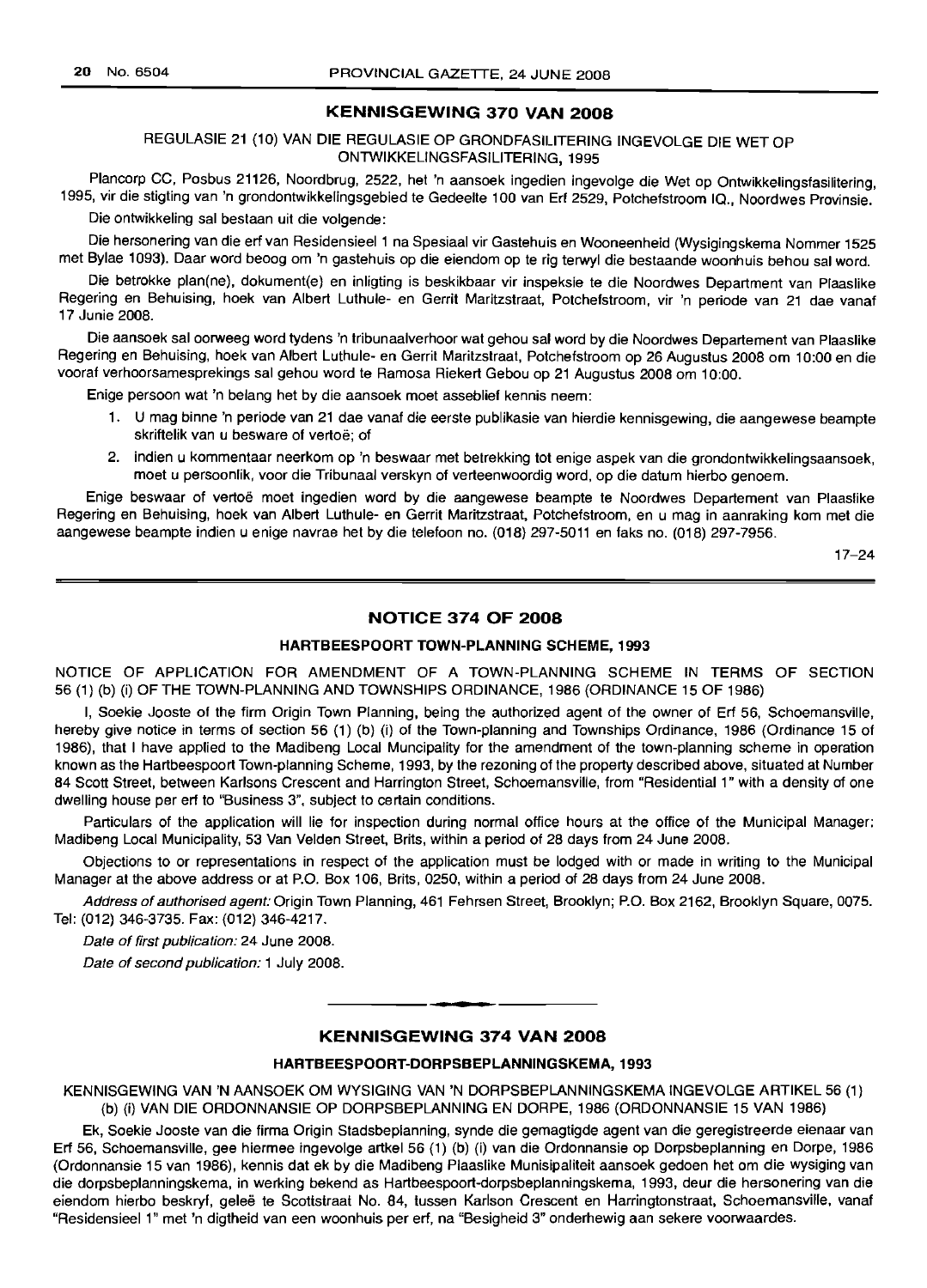#### KENNISGEWING 370 VAN 2008

REGULASIE 21 (10) VAN DIE REGULASIE OP GRONDFASILITERING INGEVOLGE DIE WET OP ONTWIKKELlNGSFASILlTERING, 1995

Plancorp CC, Posbus 21126, Noordbrug, 2522, het 'n aansoek ingedien ingevolge die Wet op Ontwikkelingsfasilitering, 1995, vir die stigting van 'n grondontwikkelingsgebied te Gedeelte 100 van Erf 2529, Potchefstroom IQ., Noordwes Provinsie.

Die ontwikkeling sal bestaan uit die volgende:

Die hersonering van die erf van Residensieel 1 na Spesiaal vir Gastehuis en Wooneenheid (Wysigingskema Nommer 1525 met Bylae 1093). Daar word beoog om 'n gastehuis op die eiendom op te rig terwyl die bestaande woonhuis behou sal word.

Die betrokke plan(ne), dokument(e) en inligting is beskikbaar vir inspeksie te die Noordwes Department van Plaaslike Regering en Behuising, hoek van Albert Luthule- en Gerrit Maritzstraat, Potchefstroom, vir 'n periode van 21 dae vanaf 17 Junie 2008.

Die aansoek sal oorweeg word tydens 'n tribunaalverhoor wat gehou sal word by die Noordwes Departement van Plaaslike Regering en Behuising, hoek van Albert Luthule- en Gerrit Maritzstraat, Potchefstroom op 26 Augustus 2008 om 10:00 en die vooraf verhoorsamesprekings sal gehou word te Ramosa Riekert Gebou op 21 Augustus 2008 om 10:00.

Enige persoon wat 'n belang het by die aansoek moet asseblief kennis neem:

- 1. U mag binne 'n periode van 21 dae vanaf die eerste publikasie van hierdie kennisgewing, die aangewese beampte skriftelik van u besware of vertoe: of
- 2. indien u kommentaar neerkom op 'n beswaar met betrekking tot enige aspek van die grondontwikkelingsaansoek, moet u persoonlik, voor die Tribunaal verskyn of verteenwoordig word, op die datum hierbo genoem.

Enige beswaar of vertoe moet ingedien word by die aangewese beampte te Noordwes Departement van Plaaslike Regering en Behuising, hoek van Albert Luthule- en Gerrit Maritzstraat, Potchefstroom, en u mag in aanraking kom met die aangewese beampte indien u enige navrae het by die telefoon no. (018) 297-5011 en faks no. (018) 297-7956.

17-24

### NOTICE 374 OF 2008

### HARTBEESPOORT TOWN-PLANNING SCHEME, 1993

NOTICE OF APPLICATION FOR AMENDMENT OF A TOWN-PLANNING SCHEME IN TERMS OF SECTION 56 (1) (b) (i) OF THE TOWN-PLANNING AND TOWNSHIPS ORDINANCE, 1986 (ORDINANCE 15 OF 1986)

I, Soekie Jooste of the firm Origin Town Planning, being the authorized agent of the owner of Erf 56, Schoemansville, hereby give notice in terms of section 56 (1) (b) (i) of the Town-planning and Townships Ordinance, 1986 (Ordinance 15 of 1986), that I have applied to the Madibeng Local Muncipality for the amendment of the town-planning scheme in operation known as the Hartbeespoort Town-planning Scheme, 1993, by the rezoning of the property described above, situated at Number 84 Scott Street, between Karlsons Crescent and Harrington Street, Schoemansville, from "Residential 1" with a density of one dwelling house per erf to "Business 3", subject to certain conditions.

Particulars of the application will lie for inspection during normal office hours at the office of the Municipal Manager: Madibeng Local Municipality, 53 Van Velden Street, Brits, within a period of 28 days from 24 June 2008.

Objections to or representations in respect of the application must be lodged with or made in writing to the Municipal Manager at the above address or at P.O. Box 106, Brits, 0250, within a period of 28 days from 24 June 2008.

Address of authorised agent: Origin Town Planning, 461 Fehrsen Street, Brooklyn; P.O. Box 2162, Brooklyn Square, 0075. Tel: (012) 346-3735. Fax: (012) 346-4217.

Date of first publication: 24 June 2008.

Date of second publication: 1 July 2008.

### KENNISGEWING 374 VAN 2008

**• •**

#### HARTBEESPOORT-DORPSBEPLANNINGSKEMA, 1993

KENNISGEWING VAN 'N AANSOEK OM WYSIGING VAN 'N DORPSBEPLANNINGSKEMA INGEVOLGE ARTIKEL 56 (1) (b) (i) VAN DIE ORDONNANSIE OP DORPSBEPLANNING EN DORPE, 1986 (ORDONNANSIE 15 VAN 1986)

Ek, Soekie Jooste van die firma Origin Stadsbeplanning, synde die gemagtigde agent van die geregistreerde eienaar van Erf 56, Schoemansville, gee hiermee ingevolge artkel 56 (1) (b) (i) van die Ordonnansie op Dorpsbeplanning en Dorpe, 1986 (Ordonnansie 15 van 1986), kennis dat ek by die Madibeng Plaaslike Munisipaliteit aansoek gedoen het om die wysiging van die dorpsbeplanningskema, in werking bekend as Hartbeespoort-dorpsbeplanningskema, 1993, deur die hersonering van die eiendom hierbo beskryf, geleë te Scottstraat No. 84, tussen Karlson Crescent en Harringtonstraat, Schoemansville, vanaf "Residensieel 1" met 'n digtheid van een woonhuis per erf, na "Besigheid 3" onderhewig aan sekere voorwaardes.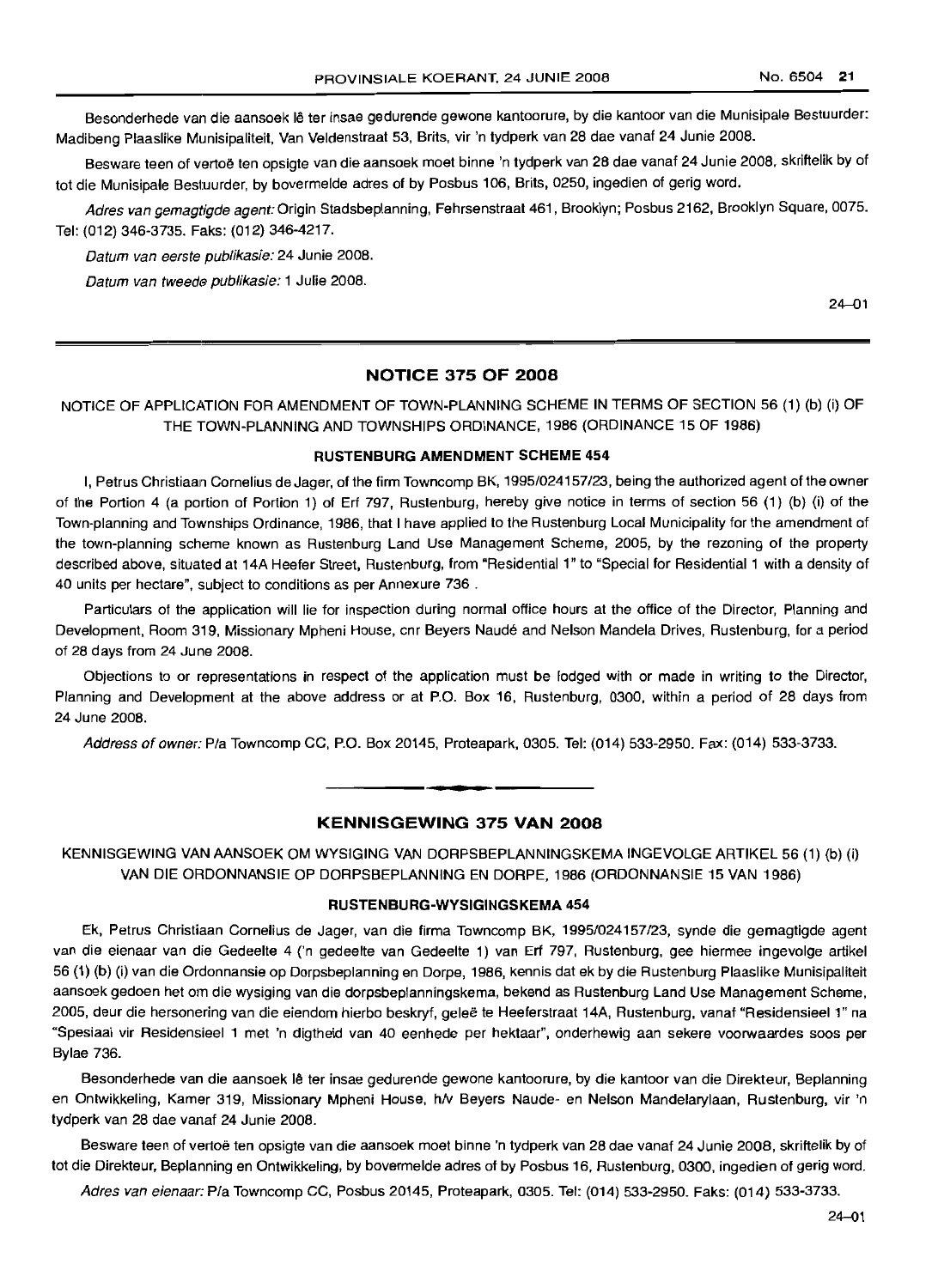Besonderhede van die aansoek lê ter insae gedurende gewone kantoorure, by die kantoor van die Munisipale Bestuurder: Madibeng Plaaslike Munisipaliteit, Van Veldenstraat 53, Brits, vir 'n tydperk van 28 dae vanaf 24 Junie 2008.

Besware teen of vertoë ten opsigte van die aansoek moet binne 'n tydperk van 28 dae vanaf 24 Junie 2008, skriftelik by of tot die Munisipale Bestuurder, by bovermelde adres of by Posbus 106, Brits, 0250, ingedien of gerig word.

Adres van gemagtigde agent: Origin Stadsbeplanning, Fehrsenstraat 461, Brooklyn; Posbus 2162, Brooklyn Square, 0075. Tel: (012) 346-3735. Faks: (012) 346-4217.

Datum van eerste publikasie: 24 Junie 2008.

Datum van tweede publikasie: 1 Julie 2008.

24-01

### **NOTICE 375 OF 2008**

NOTICE OF APPLICATION FOR AMENDMENT OF TOWN-PLANNING SCHEME IN TERMS OF SECTION 56 (1) (b) (i) OF THE TOWN-PLANNING AND TOWNSHIPS ORDINANCE, 1986 (ORDINANCE 15 OF 1986)

#### **RUSTENBURG AMENDMENT SCHEME 454**

I, Petrus Christiaan Cornelius de Jager, of the firm Towncomp BK, 1995/024157/23, being the authorized agent of the owner of the Portion 4 (a portion of Portion 1) of Erf 797, Rustenburg, hereby give notice in terms of section 56 (1) (b) (i) of the Town-planning and Townships Ordinance, 1986, that I have applied to the Rustenburg Local Municipality for the amendment of the town-planning scheme known as Rustenburg Land Use Management Scheme, 2005, by the rezoning of the property described above, situated at 14A Heefer Street, Rustenburg, from "Residential 1" to "Special for Residential 1 with a density of 40 units per hectare", subject to conditions as per Annexure 736 .

Particulars of the application will lie for inspection during normal office hours at the office of the Director, Planning and Development, Room 319, Missionary Mpheni House, cnr Beyers Naude and Nelson Mandela Drives, Rustenburg, for a period of 28 days from 24 June 2008.

Objections to or representations in respect of the application must be lodged with or made in writing to the Director, Planning and Development at the above address or at P.O. Box 16, Rustenburg, 0300, within a period of 28 days from 24 June 2008.

Address of owner: Pia Towncomp CC, P.O. Box 20145, Proteapark, 0305. Tel: (014) 533-2950. Fax: (014) 533-3733.

### **KENNISGEWING 375 VAN 2008**

**• •**

KENNISGEWING VAN AANSOEK OM WYSIGING VAN DORPSBEPLANNINGSKEMA INGEVOLGE ARTIKEL 56 (1) (b) (i) VAN DIE ORDONNANSIE OP DORPSBEPLANNING EN DORPE, 1986 (ORDONNANSIE 15 VAN 1986)

#### **RUSTENBURG-WYSIGINGSKEMA 454**

Ek, Petrus Christiaan Cornelius de Jager, van die firma Towncomp BK, 1995/024157/23, synde die gemagtigde agent van die eienaar van die Gedeelte 4 ('n gedeelte van Gedeelte 1) van Erf 797, Rustenburg, gee hiermee ingevolge artikel 56 (1) (b) (i) van die Ordonnansie op Dorpsbeplanning en Dorpe, 1986, kennis dat ek by die Rustenburg Plaaslike Munisipaliteit aansoek gedoen het om die wysiging van die dorpsbeplanningskema, bekend as Rustenburg Land Use Management Scheme, 2005, deur die hersonering van die eiendom hierbo beskryf, gelee te Heeferstraat 14A, Rustenburg, vanaf "Residensieel 1" na "Spesiaal vir Residensieel 1 met 'n digtheid van 40 eenhede per hektaar", onderhewig aan sekere voorwaardes soos per Bylae 736.

Besonderhede van die aansoek Ie ter insae gedurende gewone kantoorure, by die kantoor van die Direkteur, Beplanning en Ontwikkeling, Kamer 319, Missionary Mpheni House, h/v Beyers Naude- en Nelson Mandelarylaan, Rustenburg, vir 'n tydperk van 28 dae vanaf 24 Junie 2008.

Besware teen of vertoe ten opsigte van die aansoek moet binne 'n tydperk van 28 dae vanaf 24 Junie 2008, skriftelik by of tot die Direkteur, Beplanning en Ontwikkeling, by bovermelde adres of by Posbus 16, Rustenburg, 0300, ingedien of gerig word.

Adres van eienaar: Pia Towncomp CC, Posbus 20145, Proteapark, 0305. Tel: (014) 533-2950. Faks: (014) 533-3733.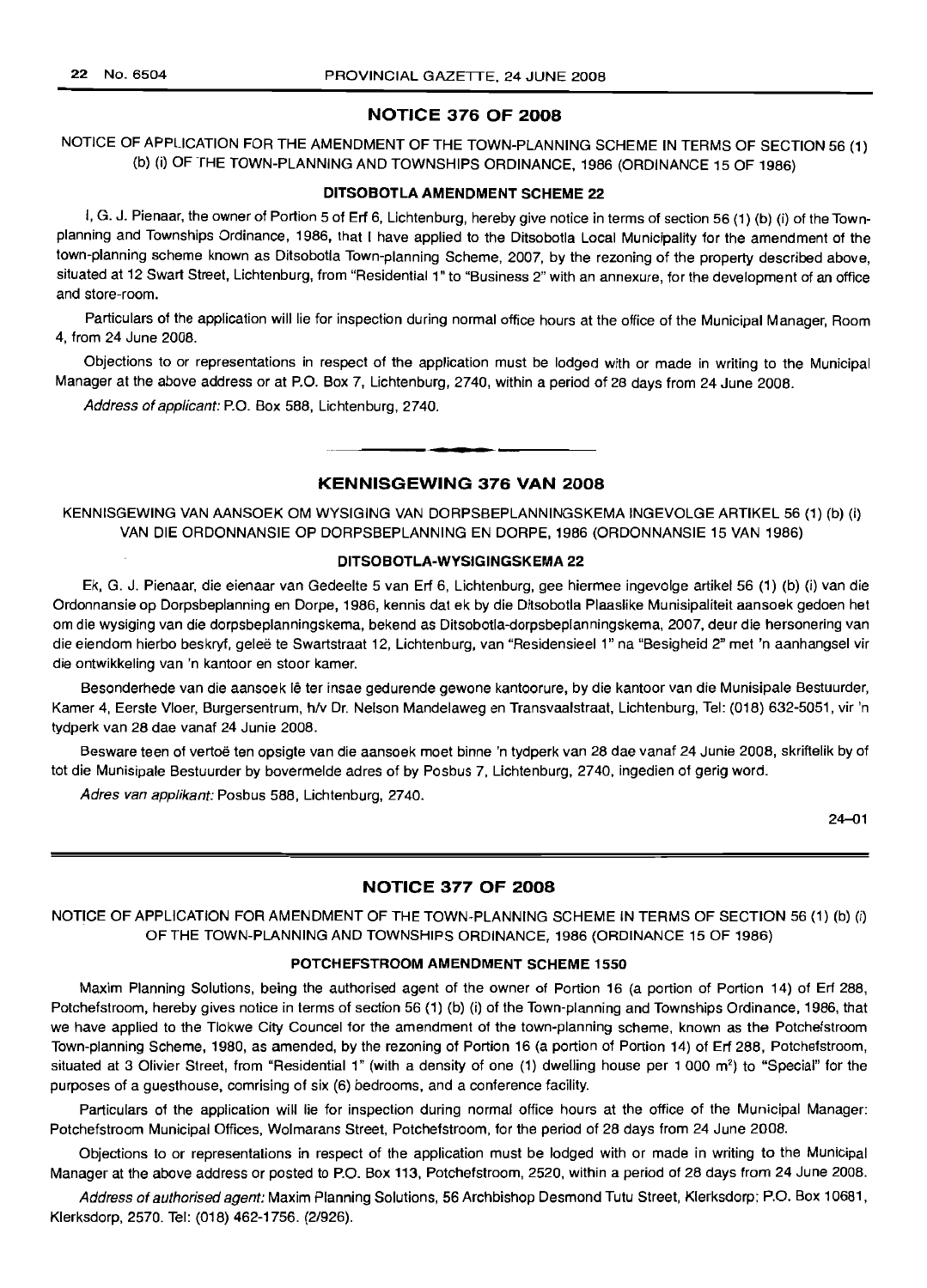### NOTICE 376 OF 2008

NOTICE OF APPLICATION FOR THE AMENDMENT OF THE TOWN-PLANNING SCHEME IN TERMS OF SECTION 56 (1) (b) (i) OF THE TOWN-PLANNING AND TOWNSHIPS ORDINANCE, 1986 (ORDINANCE 15 OF 1986)

#### DITSOBOTLA AMENDMENT SCHEME 22

I, G. J. Pienaar, the owner of Portion 5 of Erf 6, Lichtenburg, hereby give notice in terms of section 56 (1) (b) (i) of the Townplanning and Townships Ordinance, 1986, that I have applied to the Ditsobotla Local Municipality for the amendment of the town-planning scheme known as Ditsobotla Town-planning Scheme, 2007, by the rezoning of the property described above, situated at 12 Swart Street, Lichtenburg, from "Residential 1" to "Business 2" with an annexure, for the development of an office and store-room.

Particulars of the application will lie for inspection during normal office hours at the office of the Municipal Manager, Room 4, from 24 June 2008.

Objections to or representations in respect of the application must be lodged with or made in writing to the Municipal Manager at the above address or at P.O. Box 7, Lichtenburg, 2740, within a period of 28 days from 24 June 2008.

Address of applicant: P.O. Box 588, Lichtenburg, 2740.

### KENNISGEWING 376 VAN 2008

**.-**

KENNISGEWING VAN AANSOEK OM WYSIGING VAN DORPSBEPLANNINGSKEMA INGEVOLGE ARTIKEL 56 (1) (b) (i) VAN DIE ORDONNANSIE OP DORPSBEPLANNING EN DORPE, 1986 (ORDONNANSIE 15 VAN 1986)

### DITSOBOTLA-WYSIGINGSKEMA 22

Ek, G. J. Pienaar, die eienaar van Gedeelte 5 van Erf 6, Lichtenburg, gee hiermee ingevolge artikel 56 (1) (b) (i) van die Ordonnansie op Dorpsbeplanning en Dorpe, 1986, kennis dat ek by die Ditsobotla Plaaslike Munisipaliteit aansoek gedoen het om die wysiging van die dorpsbeplanningskema, bekend as Ditsobotla-dorpsbeplanningskema, 2007, deur die hersonering van die eiendom hierbo beskryf, gelee te Swartstraat 12, Lichtenburg, van "Residensieel 1" na "Besigheid 2" met 'n aanhangsel vir die ontwikkeling van 'n kantoor en stoor kamer.

Besonderhede van die aansoek lê ter insae gedurende gewone kantoorure, by die kantoor van die Munisipale Bestuurder, Kamer 4, Eerste Vloer, Burgersentrum, h/v Dr. Nelson Mandelaweg en Transvaalstraat, Lichtenburg, Tel: (018) 632-5051, vir 'n tydperk van 28 dae vanaf 24 Junie 2008.

Besware teen of vertoë ten opsigte van die aansoek moet binne 'n tydperk van 28 dae vanaf 24 Junie 2008, skriftelik by of tot die Munisipale Bestuurder by bovermelde adres of by Posbus 7, Lichtenburg, 2740, ingedien of gerig word.

Adres van applikant: Posbus 588, Lichtenburg, 2740.

24-01

### NOTICE 377 OF 2008

NOTICE OF APPLICATION FOR AMENDMENT OF THE TOWN-PLANNING SCHEME IN TERMS OF SECTION 56 (1) (b) (i) OF THE TOWN-PLANNING AND TOWNSHIPS ORDINANCE, 1986 (ORDINANCE 15 OF 1986)

### POTCHEFSTROOM AMENDMENT SCHEME 1550

Maxim Planning Solutions, being the authorised agent of the owner of Portion 16 (a portion of Portion 14) of Erf 288, Potchefstroom, hereby gives notice in terms of section 56 (1) (b) (i) of the Town-planning and Townships Ordinance, 1986, that we have applied to the Tlokwe City Councel for the amendment of the town-planning scheme, known as the Potchefstroom Town-planning Scheme, 1980, as amended, by the rezoning of Portion 16 (a portion of Portion 14) of Erf 288, Potchefstroom, situated at 3 Olivier Street, from "Residential 1" (with a density of one (1) dwelling house per 1 000 m<sup>2</sup>) to "Special" for the purposes of a guesthouse, comrising of six (6) bedrooms, and a conference facility.

Particulars of the application will lie for inspection during normal office hours at the office of the Municipal Manager: Potchefstroom Municipal Offices, Wolmarans Street, Potchefstroom, for the period of 28 days from 24 June 2008.

Objections to or representations in respect of the application must be lodged with or made in writing to the Municipal Manager at the above address or posted to P.O. Box 113, Potchefstroom, 2520, within a period of 28 days from 24 June 2008.

Address of authorised agent: Maxim Planning Solutions, 56 Archbishop Desmond Tutu Street, Klerksdorp; P.O. Box 10681, Klerksdorp, 2570. Tel: (018) 462-1756. (2/926).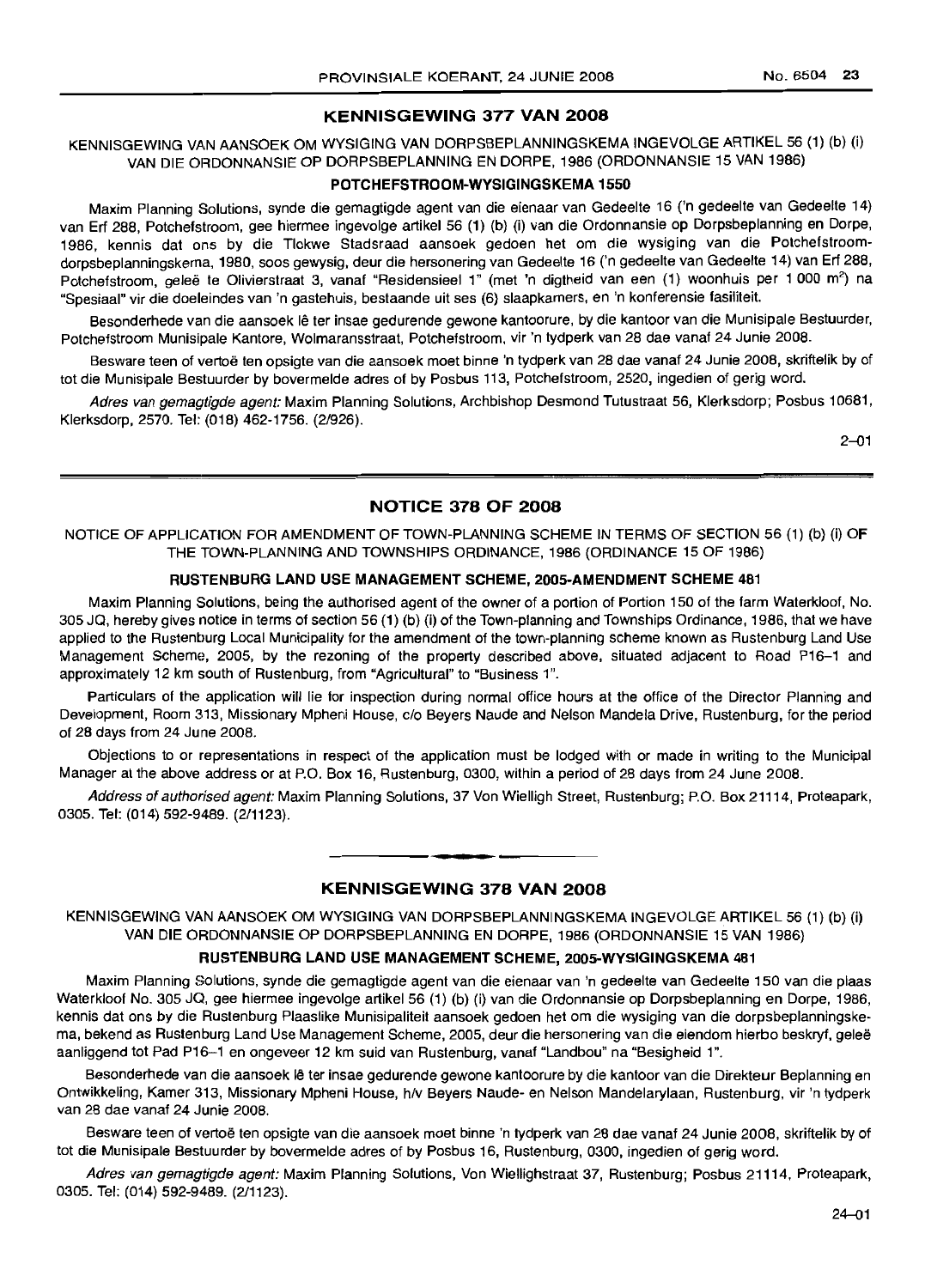### **KENNISGEWING 377 VAN 2008**

KENNISGEWING VAN AANSOEK OM WYSIGING VAN DORPSBEPLANNINGSKEMA INGEVOLGE ARTIKEL 56 (1) (b) (i) VAN DIE ORDONNANSIE OP DORPSBEPLANNING EN DORPE, 1986 (ORDONNANSIE 15 VAN 1986)

### **POTCHEFSTROOM-WYSIGINGSKEMA 1550**

Maxim Planning Solutions, synde die gemagtigde agent van die eienaar van Gedeelte 16 ('n gedeelte van Gedeelte 14) van Erf 288, Potchefstroom, gee hiermee ingevolge artikel 56 (1) (b) (i) van die Ordonnansie op Dorpsbeplanning en Dorpe, 1986, kennis dat ons by die Tlokwe Stadsraad aansoek gedoen het om die wysiging van die Potchefstroomdorpsbeplanningskema, 1980, soos gewysig, deur die hersonering van Gedeelte 16 ('n gedeelte van Gedeelte 14) van Erf 288, Potchefstroom, geleë te Olivierstraat 3, vanaf "Residensieel 1" (met 'n digtheid van een (1) woonhuis per 1 000 m<sup>2</sup>) na "Spesiaal" vir die doeleindes van 'n gastehuis, bestaande uit ses (6) slaapkamers, en 'n konferensie fasiliteit.

Besonderhede van die aansoek lê ter insae gedurende gewone kantoorure, by die kantoor van die Munisipale Bestuurder, Potchefstroom Munisipale Kantore, Wolmaransstraat, Potchefstroom, vir 'n tydperk van 28 dae vanaf 24 Junie 2008.

Besware teen of vertoë ten opsigte van die aansoek moet binne 'n tydperk van 28 dae vanaf 24 Junie 2008, skriftelik by of tot die Munisipale Bestuurder by bovermelde adres of by Posbus 113, Potchefstroom, 2520, ingedien of gerig word.

Adres van gemagtigde agent: Maxim Planning Solutions, Archbishop Desmond Tutustraat 56, Klerksdorp; Posbus 10681, Klerksdorp, 2570. Tel: (018) 462-1756. (2/926).

2-01

### **NOTICE 378 OF 2008**

NOTICE OF APPLICATION FOR AMENDMENT OF TOWN-PLANNING SCHEME IN TERMS OF SECTION 56 (1) (b) (i) OF THE TOWN-PLANNING AND TOWNSHIPS ORDINANCE, 1986 (ORDINANCE 15 OF 1986)

#### **RUSTENBURG LAND USE MANAGEMENT SCHEME, 2005-AMENDMENT SCHEME 481**

Maxim Planning Solutions, being the authorised agent of the owner of a portion of Portion 150 of the farm Waterkloof, No. 305 JQ, hereby gives notice in terms of section 56 (1) (b) (i) of the Town-planning and Townships Ordinance, 1986, that we have applied to the Rustenburg Local Municipality for the amendment of the town-planning scheme known as Rustenburg Land Use Management scheme, 2005, by the rezoning of the property described above, situated adjacent to Road P16-1 and approximately 12 km south of Rustenburg, from "Agricultural" to "Business 1".

Particulars of the application will lie for inspection during normal office hours at the office of the Director Planning and Development, Room 313, Missionary Mpheni House, c/o Beyers Naude and Nelson Mandela Drive, Rustenburg, for the period of 28 days from 24 June 2008.

Objections to or representations in respect of the application must be lodged with or made in writing to the Municipal Manager at the above address or at P.O. Box 16, Rustenburg, 0300, within a period of 28 days from 24 June 2008.

Address of authorised agent: Maxim Planning Solutions, 37 Von Wielligh Street, Rustenburg; P.O. Box 21114, Proteapark, 0305. Tel: (014) 592-9489. (2/1123).

### **KENNISGEWING 378 VAN 2008**

**.-**

KENNISGEWING VAN AANSOEK OM WYSIGING VAN DORPSBEPLANNINGSKEMA INGEVOLGE ARTIKEL 56 (1) (b) (i) VAN DIE ORDONNANSIE OP DORPSBEPLANNING EN DORPE, 1986 (ORDONNANSIE 15 VAN 1986)

#### **RUSTENBURG LAND USE MANAGEMENT SCHEME, 2005-WYSIGINGSKEMA 481**

Maxim Planning Solutions, synde die gemagtigde agent van die eienaar van 'n gedeelte van Gedeelte 150 van die plaas Waterkloof No. 305 JQ, gee hiermee ingevolge artikel 56 (1) (b) (i) van die Ordonnansie op Dorpsbeplanning en Dorpe, 1986, kennis dat ons by die Rustenburg Plaaslike Munisipaliteit aansoek gedoen het om die wysiging van die dorpsbeplanningskema, bekend as Rustenburg Land Use Management Scheme, 2005, deur die hersonering van die eiendom hierbo beskryt, gelee aanliggend tot Pad P16-1 en ongeveer 12 km suid van Rustenburg, vanaf "Landbou" na "Besigheid 1".

Besonderhede van die aansoek lê ter insae gedurende gewone kantoorure by die kantoor van die Direkteur Beplanning en Ontwikkeling, Kamer 313, Missionary Mpheni House, h/v Beyers Naude- en Nelson Mandelarylaan, Rustenburg, vir 'n tydperk van 28 dae vanaf 24 Junie 2008.

Besware teen of vertoe ten opsigte van die aansoek moet binne 'n tydperk van 28 dae vanaf 24 Junie 2008, skriftelik by of tot die Munisipale Bestuurder by bovermelde adres of by Posbus 16, Rustenburg, 0300, ingedien of gerig word.

Adres van gemagtigde agent: Maxim Planning Solutions, Von Wiellighstraat 37, Rustenburg; Posbus 21114, Proteapark, 0305. Tel: (014) 592-9489. (2/1123).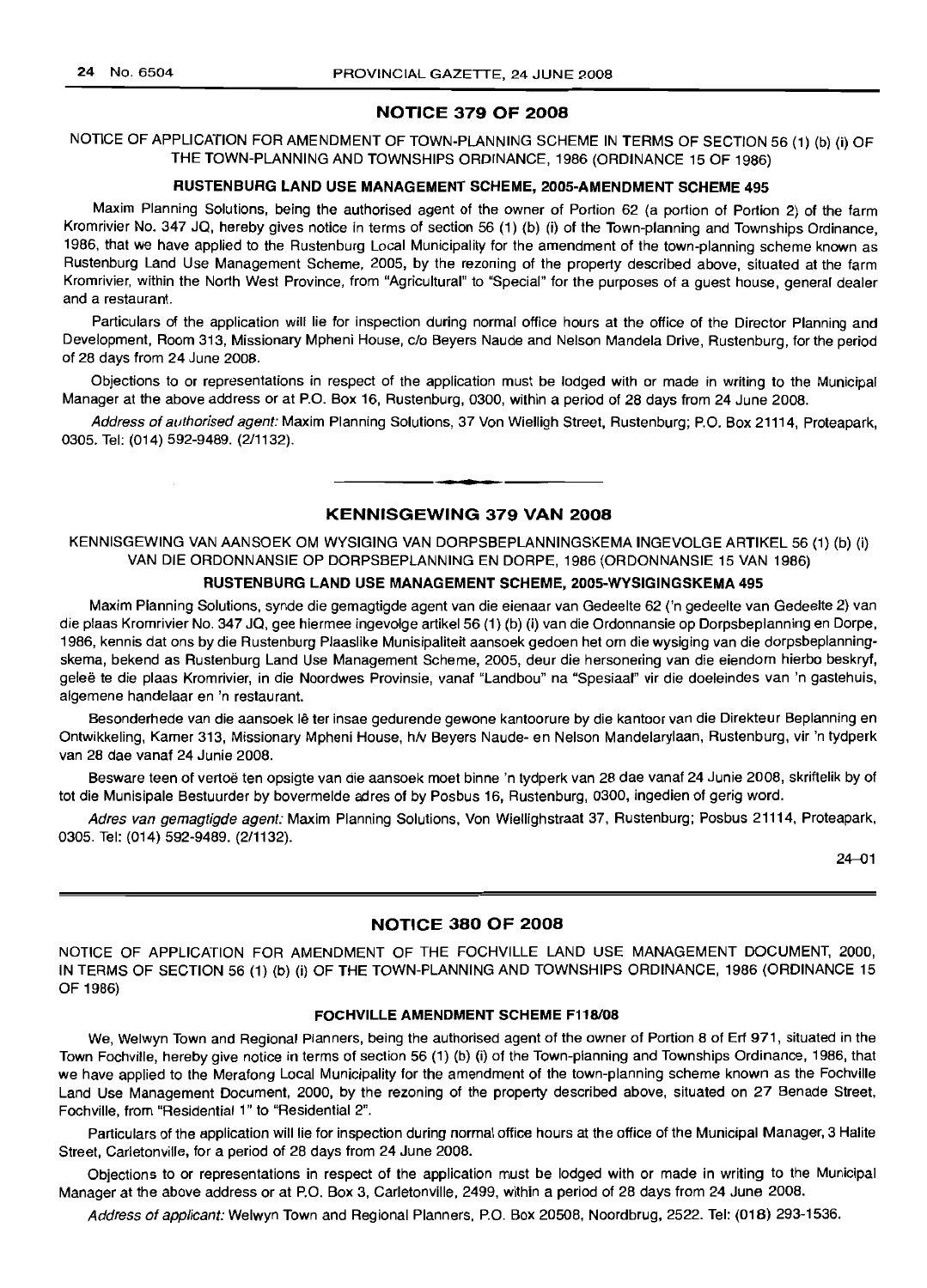### NOTICE 379 OF 2008

NOTICE OF APPLICATION FOR AMENDMENT OF TOWN-PLANNING SCHEME IN TERMS OF SECTION 56 (1) (b) (i) OF THE TOWN-PLANNING AND TOWNSHIPS ORDINANCE, 1986 (ORDINANCE 15 OF 1986)

#### RUSTENBURG LAND USE MANAGEMENT SCHEME, 200S-AMENDMENT SCHEME 495

Maxim Planning Solutions, being the authorised agent of the owner of Portion 62 (a portion of Portion 2) of the farm Kromrivier No. 347 JQ, hereby gives notice in terms of section 56 (1) (b) (i) of the Town-planning and Townships Ordinance, 1986, that we have applied to the Rustenburg Local Municipality for the amendment of the town-planning scheme known as Rustenburg Land Use Management Scheme, 2005, by the rezoning of the property described above, situated at the farm Kromrivier, within the North West Province, from "Agricultural" to "Special" for the purposes of a guest house, general dealer and a restaurant.

Particulars of the application will lie for inspection during normal office hours at the office of the Director Planning and Development, Room 313, Missionary Mpheni House, c/o Beyers Naude and Nelson Mandela Drive, Rustenburg, for the period of 28 days from 24 June 2008.

Objections to or representations in respect of the application must be lodged with or made in writing to the Municipal Manager at the above address or at P.O. Box 16, Rustenburg, 0300, within a period of 28 days from 24 June 2008.

Address of authorised agent: Maxim Planning Solutions, 37 Von Wielligh Street, Rustenburg; P.O. Box 21114, Proteapark, 0305. Tel: (014) 592-9489. (2/1132). **.-**

### KENNISGEWING 379 VAN 2008

KENNISGEWING VAN AANSOEK OM WYSIGING VAN DORPSBEPLANNINGSKEMA INGEVOLGE ARTIKEL 56 (1) (b) (i) VAN DIE ORDONNANSIE OP DORPSBEPLANNING EN DORPE, 1986 (ORDONNANSIE 15 VAN 1986)

#### RUSTENBURG LAND USE MANAGEMENT SCHEME, 2005-WYSIGINGSKEMA 495

Maxim Planning Solutions, synde die gemagtigde agent van die eienaar van Gedeelte 62 ('n gedeelte van Gedeelte 2) van die plaas Kromrivier No. 347 JQ, gee hiermee ingevolge artikel 56 (1) (b) (i) van die Ordonnansie op Dorpsbeplanning en Dorpe, 1986, kennis dat ons by die Rustenburg Plaaslike Munisipaliteit aansoek gedoen het om die wysiging van die dorpsbeplanningskema, bekend as Rustenburg Land Use Management Scheme, 2005, deur die hersonering van die eiendom hierbo beskryf, gelee te die plaas Kromrivier, in die Noordwes Provinsie, vanaf "Landbou" na "Spesiaal" vir die doeleindes van 'n gastehuis, algemene handelaar en 'n restaurant.

Besonderhede van die aansoek lê ter insae gedurende gewone kantoorure by die kantoor van die Direkteur Beplanning en Ontwikkeling, Kamer 313, Missionary Mpheni House, h/v Beyers Naude- en Nelson Mandelarylaan, Rustenburg, vir 'n tydperk van 28 dae vanaf 24 Junie 2008.

Besware teen of vertoe ten opsigte van die aansoek moet binne 'n tydperk van 28 dae vanaf 24 Junie 2008, skriftelik by of tot die Munisipale Bestuurder by bovermelde adres of by Posbus 16, Rustenburg, 0300, ingedien of gerig word.

Adres van gemagtigde agent: Maxim Planning Solutions, Von Wiellighstraat 37, Rustenburg; Posbus 21114, Proteapark, 0305. Tel: (014) 592-9489. (2/1132).

24-01

### NOTICE 380 OF 2008

NOTICE OF APPLICATION FOR AMENDMENT OF THE FOCHVILLE LAND USE MANAGEMENT DOCUMENT, 2000, IN TERMS OF SECTION 56 (1) (b) (i) OF THE TOWN-PLANNING AND TOWNSHIPS ORDINANCE, 1986 (ORDINANCE 15 OF 1986)

### FOCHVILLE AMENDMENT SCHEME F118/08

We, Welwyn Town and Regional Planners, being the authorised agent of the owner of Portion 8 of Erf 971, situated in the Town Fochville, hereby give notice in terms of section 56 (1) (b) (i) of the Town-planning and Townships Ordinance, 1986, that we have applied to the Merafong Local Municipality for the amendment of the town-planning scheme known as the Fochville Land Use Management Document, 2000, by the rezoning of the property described above, situated on 27 Benade Street, Fochville, from "Residential 1" to "Residential 2".

Particulars of the application will lie for inspection during normal office hours at the office of the Municipal Manager, 3 Halite Street, Carletonville, for a period of 28 days from 24 June 2008.

Objections to or representations in respect of the application must be lodged with or made in writing to the Municipal Manager at the above address or at P.O. Box 3, Carletonville, 2499, within a period of 28 days from 24 June 2008.

Address of applicant: Welwyn Town and Regional Planners, P.O. Box 20508, Noordbrug, 2522. Tel: (018) 293-1536.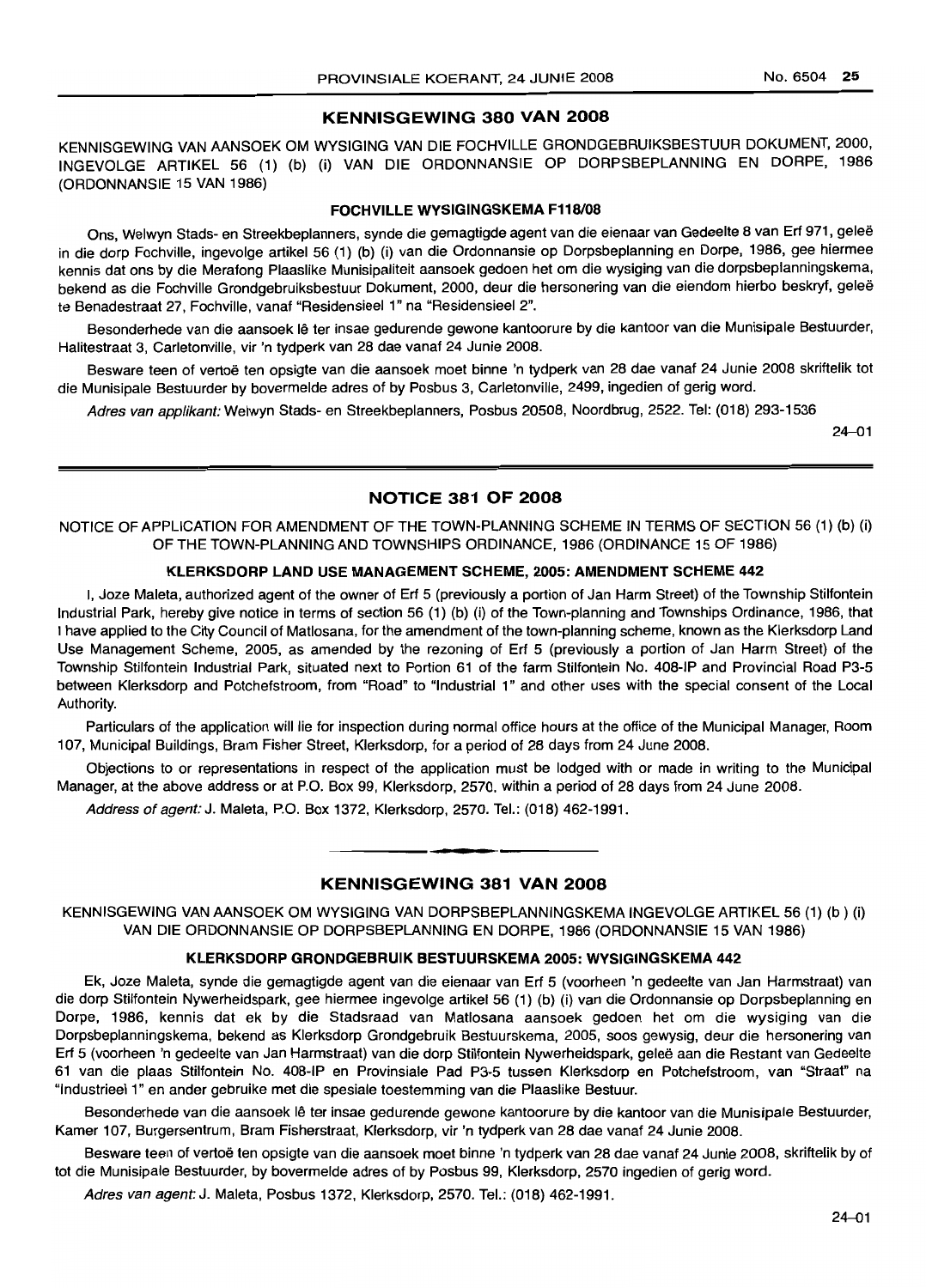#### KENNISGEWING 380 VAN 2008

KENNISGEWING VAN AANSOEK OM WYSIGING VAN DIE FOCHVILLE GRONDGEBRUIKSBESTUUR DOKUMENT, 2000, INGEVOLGE ARTIKEL 56 (1) (b) (i) VAN DIE ORDONNANSIE OP DORPSBEPLANNING EN DORPE, 1986 (ORDONNANSIE 15 VAN 1986)

### FOCHVILLE WYSIGINGSKEMA F118/08

Ons, Welwyn Stads- en Streekbeplanners, synde die gemagtigde agent van die eienaar van Gedeelte 8 van Erf 971, gelee in die dorp Fochville, ingevolge artikel 56 (1) (b) (i) van die Ordonnansie op Dorpsbeplanning en Dorpe, 1986, gee hiermee kennis dat ons by die Merafong Plaaslike Munisipaliteit aansoek gedoen het om die wysiging van die dorpsbeplanningskema, bekend as die Fochville Grondgebruiksbestuur Dokument, 2000, deur die hersonering van die eiendom hierbo beskryf, gelee te Benadestraat 27, Fochville, vanaf "Residensieel 1" na "Residensieel 2".

Besonderhede van die aansoek lê ter insae gedurende gewone kantoorure by die kantoor van die Munisipale Bestuurder, Halitestraat 3, Carletonville, vir 'n tydperk van 28 dae vanaf 24 Junie 2008.

Besware teen of vertoë ten opsigte van die aansoek moet binne 'n tydperk van 28 dae vanaf 24 Junie 2008 skriftelik tot die Munisipale Bestuurder by bovermelde adres of by Posbus 3, Carletonville, 2499, ingedien of gerig word.

Adres van applikant: Welwyn Stads- en Streekbeplanners, Posbus 20508, Noordbrug, 2522. Tel: (018) 293-1536

24-01

### NOTICE 381 OF 2008

NOTICE OF APPLICATION FOR AMENDMENT OF THE TOWN-PLANNING SCHEME IN TERMS OF SECTION 56 (1) (b) (i) OF THE TOWN-PLANNING AND TOWNSHIPS ORDINANCE, 1986 (ORDINANCE 15 OF 1986)

### KLERKSDORP LAND USE MANAGEMENT SCHEME, 2005: AMENDMENT SCHEME 442

I, Joze Maleta, authorized agent of the owner of Erf 5 (previously a portion of Jan Harm Street) of the Township Stilfontein Industrial Park, hereby give notice in terms of section 56 (1) (b) (i) of the Town-planning and Townships Ordinance, 1986, that I have applied to the City Council of Matlosana, for the amendment of the town-planning scheme, known as the Klerksdorp Land Use Management Scheme, 2005, as amended by the rezoning of Erf 5 (previously a portion of Jan Harm Street) of the Township Stilfontein Industrial Park, situated next to Portion 61 of the farm Stilfontein No. 408-IP and Provincial Road P3-5 between Klerksdorp and Potchefstroom, from "Road" to "Industrial 1" and other uses with the special consent of the Local Authority.

Particulars of the application will lie for inspection during normal office hours at the office of the Municipal Manager, Room 107, Municipal Buildings, Bram Fisher Street, Klerksdorp, for a period of 28 days from 24 June 2008.

Objections to or representations in respect of the application must be lodged with or made in writing to the Municipal Manager, at the above address or at P.O. Box 99, Klerksdorp, 2570, within a period of 28 days from 24 June 2008.

Address of agent: J. Maleta, P.O. Box 1372, Klerksdorp, 2570. Tel.: (018) 462-1991 .

### KENNISGEWING 381 VAN 2008

**.-**

KENNISGEWING VAN AANSOEK OM WYSIGING VAN DORPSBEPLANNINGSKEMA INGEVOLGE ARTIKEL 56 (1) (b) (i) VAN DIE ORDONNANSIE OP DORPSBEPLANNING EN DORPE, 1986 (ORDONNANSIE 15 VAN 1986)

#### KLERKSDORP GRONDGEBRUIK BESTUURSKEMA 2005: WVSIGINGSKEMA 442

Ek, Joze Maleta, synde die gemagtigde agent van die eienaar van Erf 5 (voorheen 'n gedeelte van Jan Harmstraat) van die dorp Stilfontein Nywerheidspark, gee hiermee ingevolge artikel 56 (1) (b) (i) van die Ordonnansie op Dorpsbeplanning en Dorpe, 1986, kennis dat ek by die Stadsraad van Matlosana aansoek gedoen het om die wysiging van die Dorpsbeplanningskema, bekend as Klerksdorp Grondgebruik Bestuurskema, 2005, soos gewysig, deur die hersonering van Erf 5 (voorheen 'n gedeelte van Jan Harmstraat) van die dorp Stilfontein Nywerheidspark, gelee aan die Restant van Gedeelte 61 van die plaas Stilfontein No. 408-IP en Provinsiale Pad P3-5 tussen Klerksdorp en Potchefstroom, van "Straat" na "Industrieel 1" en ander gebruike met die spesiale toestemming van die Plaaslike Bestuur.

Besonderhede van die aansoek lê ter insae gedurende gewone kantoorure by die kantoor van die Munisipale Bestuurder, Kamer 107, Burgersentrum, Bram Fisherstraat, Klerksdorp, vir 'n tydperk van 28 dae vanaf 24 Junie 2008.

Besware teen of vertoë ten opsigte van die aansoek moet binne 'n tydperk van 28 dae vanaf 24 Junie 2008, skriftelik by of tot die Munisipale Bestuurder, by bovermelde adres of by Posbus 99, Klerksdorp, 2570 ingedien of gerig word.

Adres van agent: J. Maleta, Posbus 1372, Klerksdorp, 2570. Tel.: (018) 462-1991.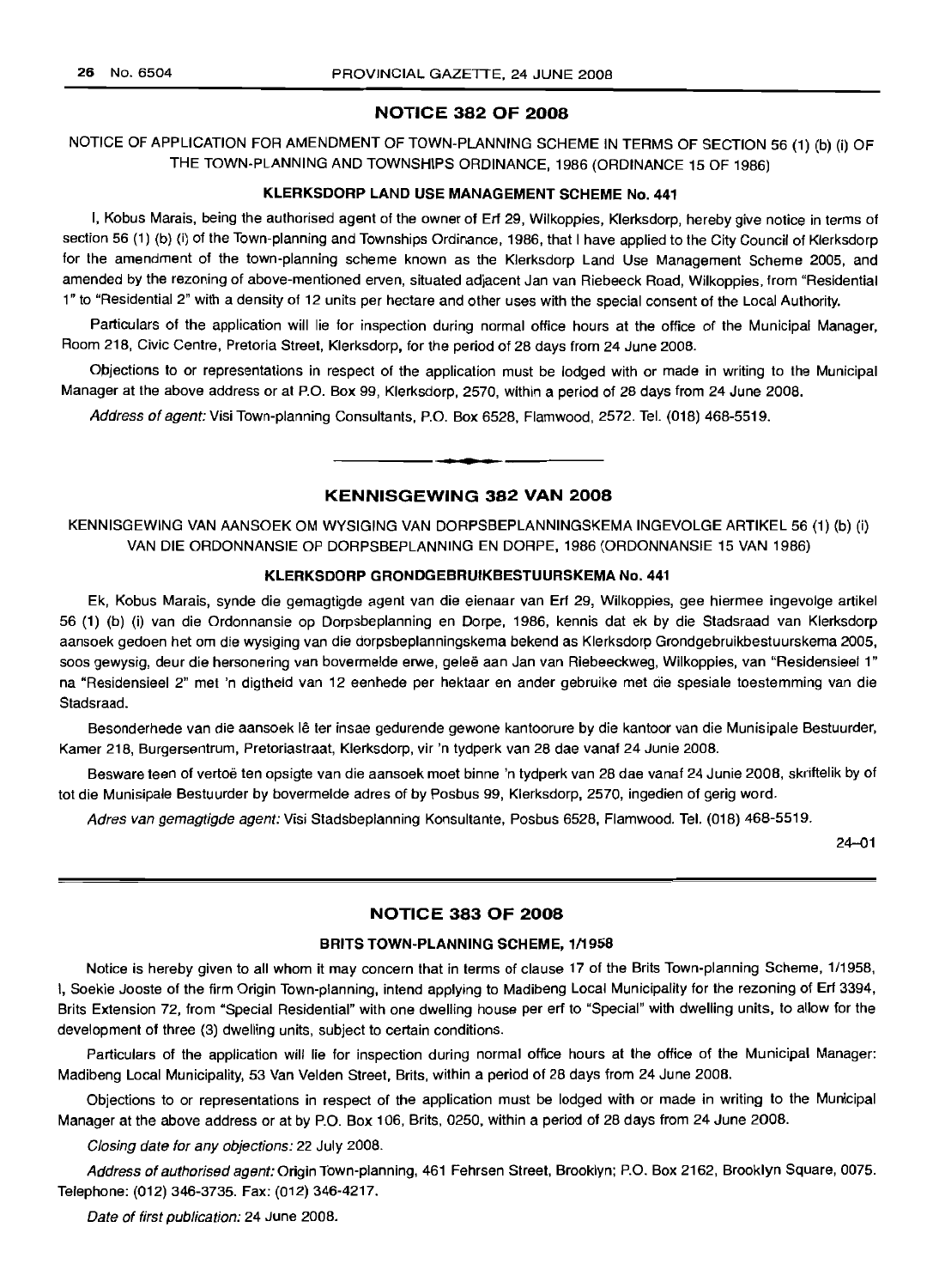### NOTICE 382 OF 2008

NOTICE OF APPLICATION FOR AMENDMENT OF TOWN-PLANNING SCHEME IN TERMS OF SECTION 56 (1) (b) (i) OF THE TOWN-PLANNING AND TOWNSHIPS ORDINANCE, 1986 (ORDINANCE 15 OF 1986)

### KLERKSDORP LAND USE MANAGEMENT SCHEME No. 441

I, Kobus Marais, being the authorised agent of the owner of Ert 29, Wilkoppies, Klerksdorp, hereby give notice in terms of section 56 (1) (b) (i) of the Town-planning and Townships Ordinance, 1986, that I have applied to the City Council of Klerksdorp for the amendment of the town-planning scheme known as the Klerksdorp Land Use Management Scheme 2005, and amended by the rezoning of above-mentioned erven, situated adjacent Jan van Riebeeck Road, Wilkoppies, from "Residential 1" to "Residential 2" with a density of 12 units per hectare and other uses with the special consent of the Local Authority.

Particulars of the application will lie for inspection during normal office hours at the office of the Municipal Manager, Room 218, Civic Centre, Pretoria Street, Klerksdorp, for the period of 28 days from 24 June 2008.

Objections to or representations in respect of the application must be lodged with or made in writing to the Municipal Manager at the above address or at P.O. Box 99, Klerksdorp, 2570, within a period of 28 days from 24 June 2008.

Address of agent: Visi Town-planning Consultants, P.O. Box 6528, Flamwood, 2572. Tel. (018) 468-5519.

### KENNISGEWING 382 VAN 2008

**• •**

KENNISGEWING VAN AANSOEK OM WYSIGING VAN DORPSBEPLANNINGSKEMA INGEVOLGE ARTIKEL 56 (1) (b) (i) VAN DIE ORDONNANSIE OP DORPSBEPLANNING EN DORPE, 1986 (ORDONNANSIE 15 VAN 1986)

#### KLERKSDORP GRONDGEBRUIKBESTUURSKEMA No. 441

Ek, Kobus Marais, synde die gemagtigde agent van die eienaar van Ert 29, Wilkoppies, gee hiermee ingevolge artikel 56 (1) (b) (i) van die Ordonnansie op Dorpsbeplanning en Dorpe, 1986, kennis dat ek by die Stadsraad van Klerksdorp aansoek gedoen het om die wysiging van die dorpsbeplanningskema bekend as Klerksdorp Grondgebruikbestuurskema 2005, soos gewysig, deur die hersonering van bovermelde erwe, gelee aan Jan van Riebeeckweg, Wilkoppies, van "Residensieel 1" na "Residensieel 2" met 'n digtheid van 12 eenhede per hektaar en ander gebruike met die spesiale toestemming van die Stadsraad.

Besonderhede van die aansoek Ie ter insae gedurende gewone kantoorure by die kantoor van die Munisipale Bestuurder, Kamer 218, Burgersentrum, Pretoriastraat, Klerksdorp, vir 'n tydperk van 28 dae vanaf 24 Junie 2008.

Besware teen of vertoe ten opsigte van die aansoek moet binne 'n tydperk van 28 dae vanaf 24 Junie 2008, skriftelik by of tot die Munisipale Bestuurder by bovermelde adres of by Posbus 99, Klerksdorp, 2570, ingedien of gerig word.

Adres van gemagtigde agent: Visi Stadsbeplanning Konsultante, Posbus 6528, Flamwood. Tel. (018) 468-5519.

24-01

#### NOTICE 383 OF 2008

#### BRITS TOWN-PLANNING SCHEME, 1/1958

Notice is hereby given to all whom it may concern that in terms of clause 17 of the Brits Town-planning Scheme, 1/1958, I, Soekie Jooste of the firm Origin Town-planning, intend applying to Madibeng Local Municipality for the rezoning of Ert 3394, Brits Extension 72, from "Special Residential" with one dwelling house per ert to "Special" with dwelling units, to allow for the development of three (3) dwelling units, subject to certain conditions.

Particulars of the application will lie for inspection during normal office hours at the office of the Municipal Manager: Madibeng Local Municipality, 53 Van Velden Street, Brits, within a period of 28 days from 24 June 2008.

Objections to or representations in respect of the application must be lodged with or made in writing to the Municipal Manager at the above address or at by P.O. Box 106, Brits, 0250, within a period of 28 days from 24 June 2008.

Closing date for any objections: 22 July 2008.

Address of authorised agent: Origin Town-planning, 461 Fehrsen Street, Brooklyn; P.O. Box 2162, Brooklyn Square, 0075. Telephone: (012) 346-3735. Fax; (012) 346-4217.

Date of first publication: 24 June 2008.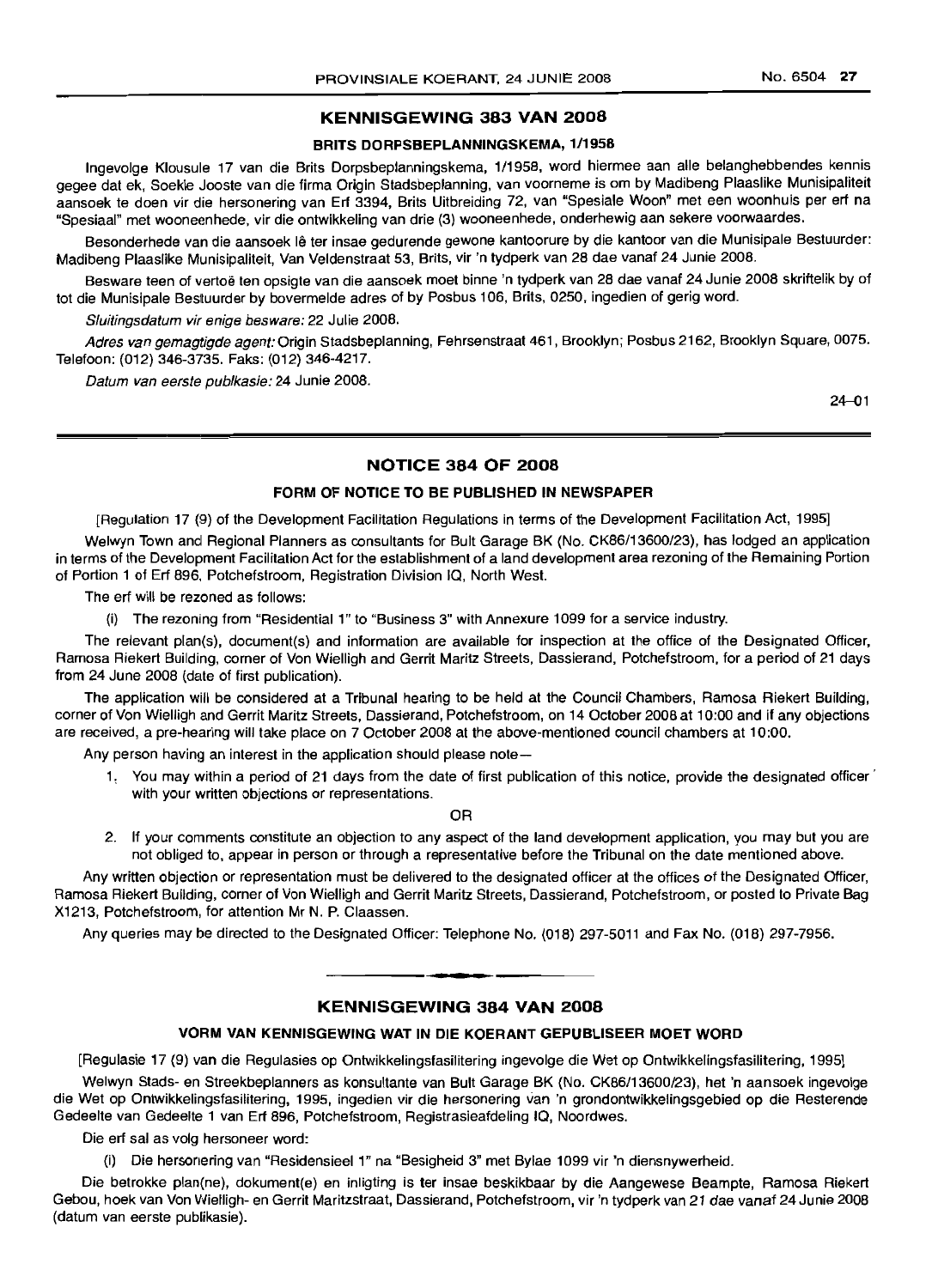### **KENNISGEWING 383 VAN 2008**

#### **BRITS DORPSBEPLANNINGSKEMA,** 1/1958

Ingevolge Klousule 17 van die Brits Dorpsbeplanningskema, 1/1958, word hiermee aan aile belanghebbendes kennis gegee dat ek, Soekie Jooste van die firma Origin Stadsbeplanning, van voorneme is om by Madibeng Plaaslike Munisipaliteit aansoek te doen vir die hersonering van Ert 3394, Brits Uitbreiding 72, van "Spesiale Woon" met een woonhuis per ert na "Spesiaal" met wooneenhede, vir die ontwikkeling van drie (3) wooneenhede, onderhewig aan sekere voorwaardes.

Besonderhede van die aansoek lê ter insae gedurende gewone kantoorure by die kantoor van die Munisipale Bestuurder: Madibeng Plaaslike Munisipaliteit, Van Veldenstraat 53, Brits, vir 'n tydperk van 28 dae vanaf 24 Junie 2008.

Besware teen of vertoë ten opsigte van die aansoek moet binne 'n tydperk van 28 dae vanaf 24 Junie 2008 skriftelik by of tot die Munisipale Besltuurder by bovermelde adres of by Posbus 106, Brits, 0250, ingedien of gerig word.

Sluitingsdatum vir enige besware: 22 Julie 2008.

Adres van gemagtigde agent: Origin Stadsbeplanning, Fehrsenstraat 461, Brooklyn; Posbus 2162, Brooklyn Square, 0075. Telefoon: (012) 346-3735. Faks: (012) 346-4217.

Datum van eerste publkasie: 24 Junie 2008.

24-01

### **NOTICE 384 OF 2008**

### **FORM OF NOTICE TO BE PUBLISHED IN NEWSPAPER**

[Regulation 17 (9) of the Development Facilitation Regulations in terms of the Development Facilitation Act, 1995]

Welwyn Town and Regional Planners as consultants for Bult Garage BK (No. CK86/13600/23), has lodged an application in terms of the Development Facilitation Act for the establishment of a land development area rezoning of the Remaining Portion of Portion 1 of Ert 896, Potchefstroom, Registration Division IQ, North West.

The ert will be rezoned as follows:

(i) The rezoning from "Residential 1" to "Business 3" with Annexure 1099 for a service industry.

The relevant plan(s), document(s) and information are available for inspection at the office of the Designated Officer, Ramosa Riekert Building, corner of Von Wielligh and Gerrit Maritz Streets, Dassierand, Potchefstroom, for a period of 21 days from 24 June 2008 (date of first publication).

The application will be considered at a Tribunal hearing to be held at the Council Chambers, Ramosa Riekert Building, corner of Von Wielligh and Gerrit Maritz Streets, Dassierand, Potchefstroom, on 14 October 2008 at 10:00 and if any objections are received, a pre-hearing will take place on 7 October 2008 at the above-mentioned council chambers at 10:00.

Any person having an interest in the application should please note-

1: You may within a period of 21 days from the date of first publication of this notice, provide the designated officer' with your written objections or representations.

OR

2. If your comments constitute an objection to any aspect of the land development application, you may but you are not obliged to, appear in person or through a representative before the Tribunal on the date mentioned above.

Any written objection or representation must be delivered to the designated officer at the offices of the Designated Officer, Ramosa Riekert Building, corner of Von Wielligh and Gerrit Maritz Streets, Dassierand, Potchefstroom, or posted to Private Bag X1213, Potchefstroom, for attention Mr N. P. Claassen.

Any queries may be directed to the Designated Officer: Telephone No. (018) 297-5011 and Fax No. (018) 297-7956.

## **• KENNISGEWING 384 VAN 2008**

### **VORM VAN KENNISGEWING WAT IN DIE KOERANT GEPUBLISEER MOET WORD**

[Regulasie 17 (9) van die Regulasies op Ontwikkelingsfasilitering ingevolge die Wet op Ontwikkelingsfasilitering, 1995]

Welwyn Stads- en Streekbeplanners as konsultante van Bult Garage BK (No. CK86/13600/23), het 'n aansoek ingevolge die Wet op Ontwikkelingsfasilitering, 1995, ingedien vir die hersonering van 'n grondontwikkelingsgebied op die Resterende Gedeelte van Gedeelte 1 van Ert 896, Potchefstroom, Registrasieafdeling IQ, Noordwes.

Die ert sal as volg hersoneer word:

(i) Die hersonering van "Residensieel 1" na "Besigheid 3" met Bylae 1099 vir 'n diensnywerheid.

Die betrokke plan(ne), dokument(e) en inligting is ter insae beskikbaar by die Aangewese Beampte, Ramosa Riekert Gebou, hoek van Von Wielligh- en Gerrit Maritzstraat, Dassierand, Potchefstroom, vir 'n tydperk van 21 dae vanaf 24 Junie 2008 (datum van eerste publikasie).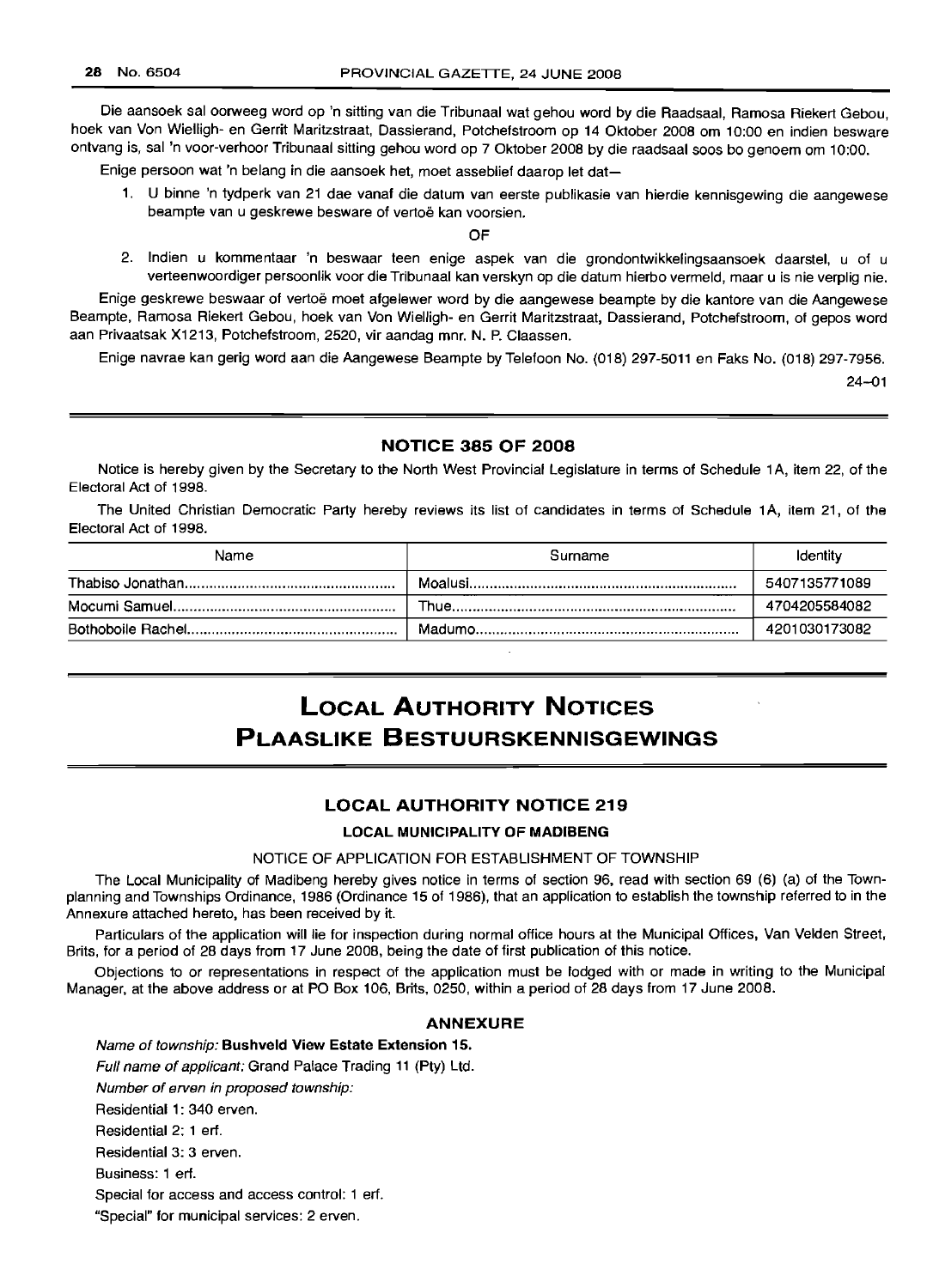Die aansoek sal oorweeg word op 'n sitting van die Tribunaal wat gehou word by die Raadsaal, Ramosa Riekert Gebou, hoek van Von Wielligh- en Gerrit Maritzstraat, Dassierand, Potchefstroom op 14 Oktober 2008 om 10:00 en indien besware ontvang is, sal 'n voor-verhoor Tribunaal sitting gehou word op 7 Oktober 2008 by die raadsaal soos bo genoem om 10:00.

Enige persoon wat 'n belang in die aansoek het, moet asseblief daarop let dat-

1. U binne 'n tydperk van 21 dae vanaf die datum van eerste publikasie van hierdie kennisgewing die aangewese beampte van u geskrewe besware of vertoë kan voorsien.

OF

2. Indien u kommentaar 'n beswaar teen enige aspek van die grondontwikkelingsaansoek daarstel, u of u verteenwoordiger persoonlik voor die Tribunaal kan verskyn op die datum hierbo vermeld, maar u is nie verplig nie.

Enige geskrewe beswaar of vertoe moet afgelewer word by die aangewese beampte by die kantore van die Aangewese Beampte, Ramosa Riekert Gebou, hoek van Von Wielligh- en Gerrit Maritzstraat, Dassierand, Potchefstroom, of gepos word aan Privaatsak X1213, Potchefstroom, 2520, vir aandag mnr. N. P. Claassen.

Enige navrae kan gerig word aan die Aangewese Beampte by Telefoon No. (018) 297-5011 en Faks No. (018) 297-7956.

24-01

### NOTICE 385 OF 2008

Notice is hereby given by the Secretary to the North West Provincial Legislature in terms of Schedule 1A, item 22, of the Electoral Act of 1998.

The United Christian Democratic Party hereby reviews its list of candidates in terms of Schedule 1A, item 21, of the Electoral Act of 1998.

| Name | Surname | Identity      |  |
|------|---------|---------------|--|
|      |         | 5407135771089 |  |
|      |         | 4704205584082 |  |
|      |         | 4201030173082 |  |
|      |         |               |  |

# LOCAL AUTHORITY NOTICES PLAASLIKE BESTUURSKENNISGEWINGS

### LOCAL AUTHORITY NOTICE 219

#### LOCAL MUNICIPALITY OF MADIBENG

### NOTICE OF APPLICATION FOR ESTABLISHMENT OF TOWNSHIP

The Local Municipality of Madibeng hereby gives notice in terms of section 96, read with section 69 (6) (a) of the Townplanning and Townships Ordinance, 1986 (Ordinance 15 of 1986), that an application to establish the township referred to in the Annexure attached hereto, has been received by it.

Particulars of the application will lie for inspection during normal office hours at the Municipal Offices, Van Velden Street, Brits, for a period of 28 days from 17 June 2008, being the date of first publication of this notice.

Objections to or representations in respect of the application must be lodged with or made in writing to the Municipal Manager, at the above address or at PO Box 106, Brits, 0250, within a period of 28 days from 17 June 2008.

### ANNEXURE

Name of township: Bushveld View Estate Extension 15.

Full name of applicant: Grand Palace Trading 11 (Pty) Ltd.

Number of erven in proposed township:

Residential 1: 340 erven.

Residential 2: 1 ert.

Residential 3: 3 erven.

Business: 1 ert.

Special for access and access control: 1 ert.

"Special" for municipal services: 2 erven.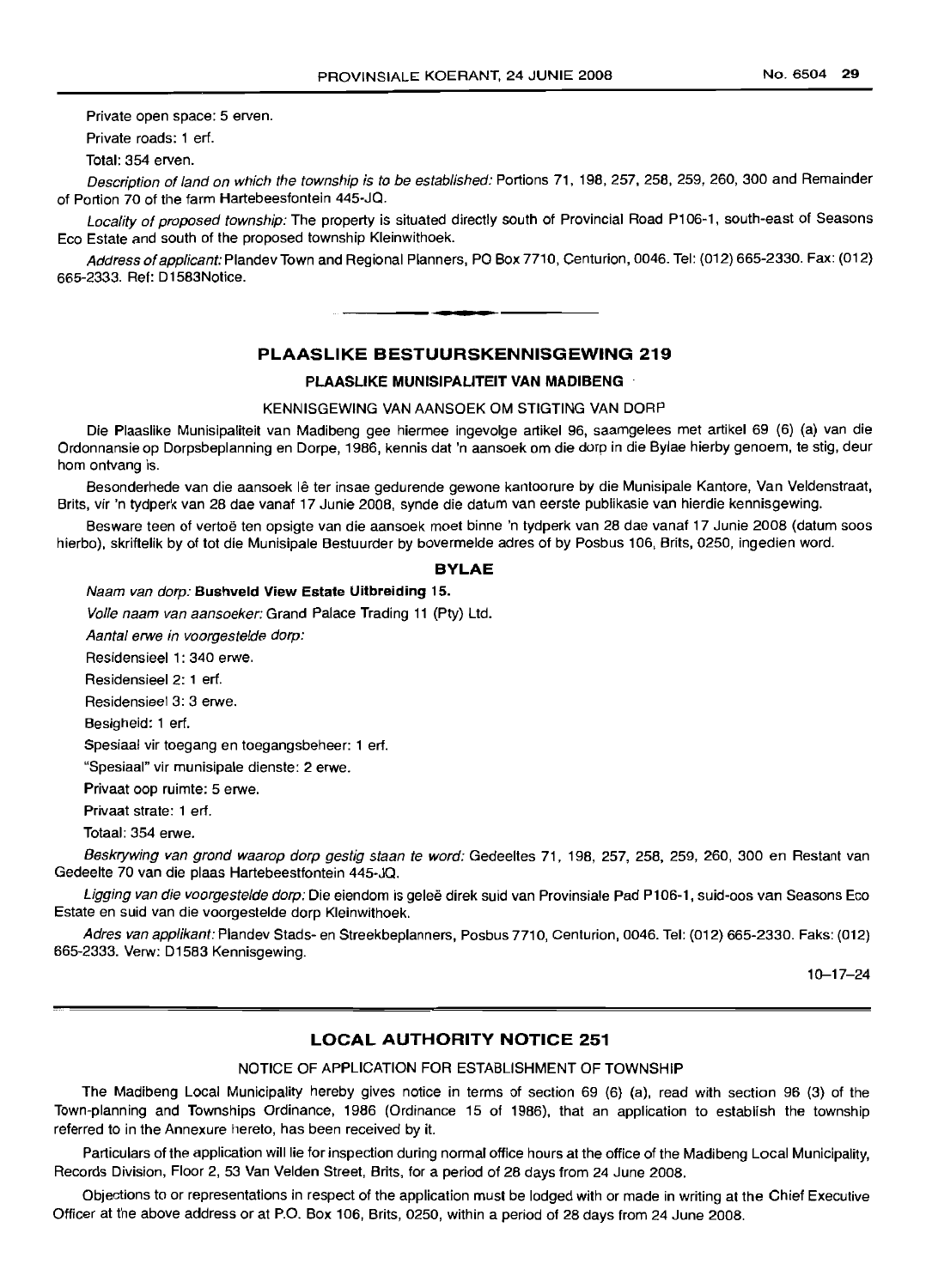Private open space: 5 erven.

Private roads: 1 ert.

Total: 354 erven.

Description of land on which the township is to be established: Portions 71, 198, 257, 258, 259, 260, 300 and Remainder of Portion 70 of the farm Hartebeesfontein 445-JQ.

Locality of proposed township: The property is situated directly south of Provincial Road P106-1, south-east of Seasons Eco Estate and south of the proposed township Kleinwithoek.

Address of applicant: Plandev Town and Regional Planners, PO Box 7710, Centurion, 0046. Tel: (012) 665-2330. Fax: (012) 665-2333. Ref: D1583Notice. .**-.**

### **PLAASLIKE BESTUURSKENNISGEWING 219**

#### **PLAASLIKE MUNISIPALITEIT VAN MADIBENG**

#### KENNISGEWING VAN AANSOEK OM STIGTING VAN DORP

Die Plaaslike Munisipaliteit van Madibeng gee hiermee ingevolge artikel 96, saamgelees met artikel 69 (6) (a) van die Ordonnansie op Dorpsbeplanning en Dorpe, 1986, kennis dat 'n aansoek om die dorp in die Bylae hierby genoem, te stig, deur hom ontvang is.

Besonderhede van die aansoek lê ter insae gedurende gewone kantoorure by die Munisipale Kantore, Van Veldenstraat, Brits, vir 'n tydperk van 28 dae vanaf 17 Junie 2008, synde die datum van eerste publikasie van hierdie kennisgewing.

Besware teen of vertoë ten opsigte van die aansoek moet binne 'n tydperk van 28 dae vanaf 17 Junie 2008 (datum soos hierbo), skriftelik by of tot die Munisipale Bestuurder by bovermelde adres of by Posbus 106, Brits, 0250, ingedien word.

#### **BVLAE**

Naam van dorp: **Bushveld** View **Estate Uitbreiding** 15.

Volle naam van aansoeker: Grand Palace Trading 11 (Pty) Ltd.

Aantal erwe in voorgestelde dorp:

Residensieel 1: 340 erwe.

Residensieel 2: 1 ert.

Residensieel 3: 3 erwe.

Besigheid: 1 ert.

Spesiaal vir toegang en toegangsbeheer: 1 ert.

"Spesiaal" vir munisipale dienste: 2 erwe.

Privaat oop ruimte: 5 erwe.

Privaat strate: 1 ert.

Totaal: 354 erwe.

Beskrywing van grond waarop dorp gestig staan te word: Gedeeltes 71, 198, 257, 258, 259, 260, 300 en Restant van Gedeelte 70 van die plaas Hartebeestfontein 445-JQ.

Ligging van die voorgestelde dorp: Die eiendom is geleë direk suid van Provinsiale Pad P106-1, suid-oos van Seasons Eco Estate en suid van die voorgestelde dorp Kleinwithoek.

Adres van applikant: Plandev Stads- en Streekbeplanners, Posbus 7710, Centurion, 0046. Tel: (012) 665-2330. Faks: (012) 665-2333. Verw: D1583 Kennisgewing.

10-17-24

### **LOCAL AUTHORITY NOTICE 251**

### NOTICE OF APPLICATION FOR ESTABLISHMENT OF TOWNSHIP

The Madibeng Local Municipality hereby gives notice in terms of section 69 (6) (a), read with section 96 (3) of the Town-planning and Townships Ordinance, 1986 (Ordinance 15 of 1986), that an application to establish the township referred to in the Annexure hereto, has been received by it.

Particulars of the application will lie for inspection during normal office hours at the office of the Madibeng Local Municipality, Records Division, Floor 2, 53 Van Velden Street, Brits, for a period of 28 days from 24 June 200B.

Objections to or representations in respect of the application must be lodged with or made in writing at the Chief Executive Officer at the above address or at P.O. Box 106, Brits, 0250, within a period of 28 days from 24 June 2008.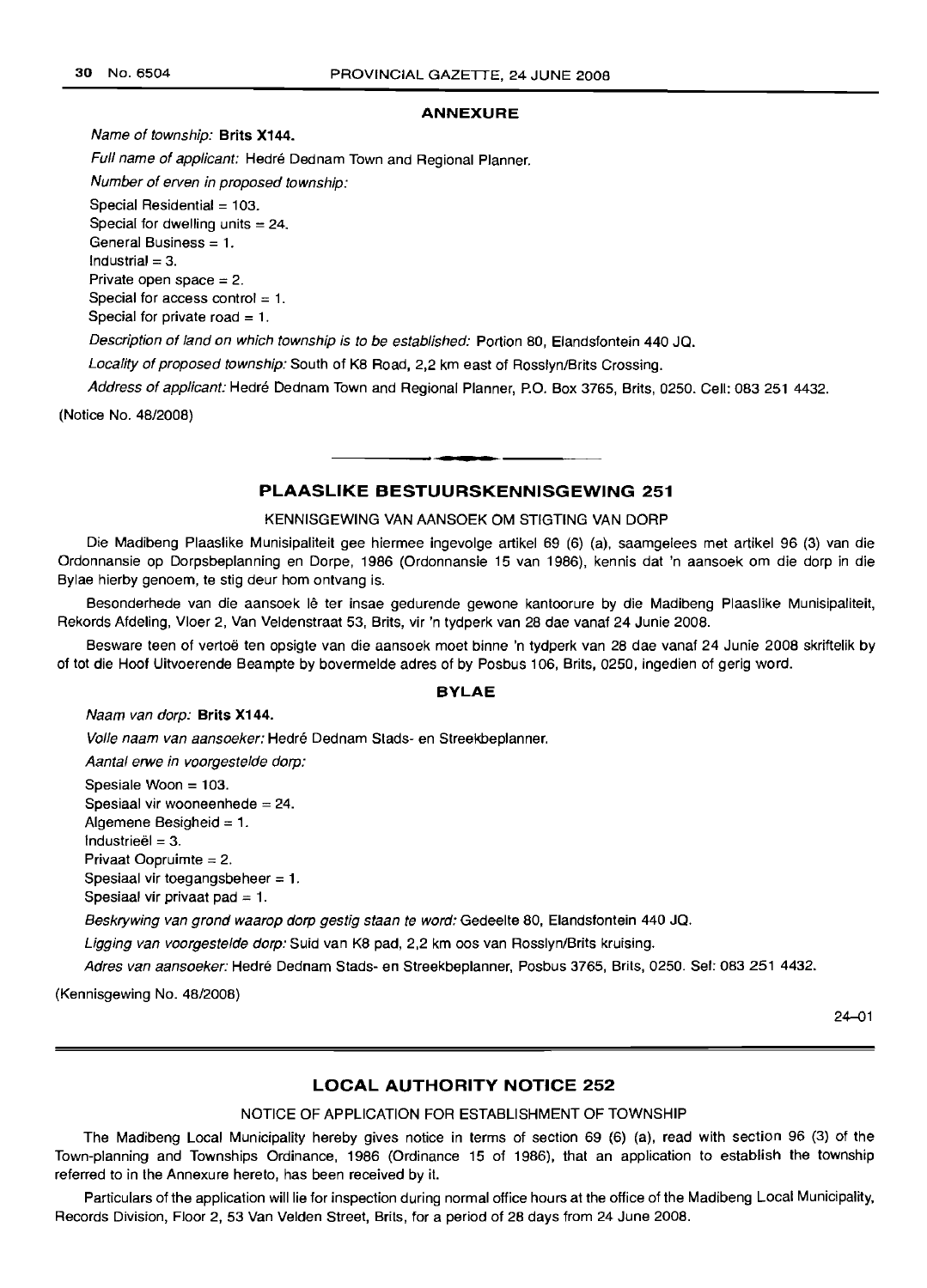#### **ANNEXURE**

Name of township: **Brits X144.**

Full name of applicant: Hedré Dednam Town and Regional Planner.

Number of erven in proposed township:

Special Residential = 103.

Special for dwelling units  $=24$ . General Business = 1.  $Industrial = 3$ . Private open space  $= 2$ . Special for access control  $= 1$ .

Special for private road  $=1$ .

Description of land on which township is to be established: Portion 80, Elandsfontein 440 JQ.

Locality of proposed township: South of K8 Road, 2,2 km east of Rosslyn/Brits Crossing.

Address of applicant: Hedré Dednam Town and Regional Planner, P.O. Box 3765, Brits, 0250. Cell: 083 251 4432.

(Notice No. 48/2008)

### **PLAASLIKE BESTUURSKENNISGEWING 251**

#### KENNISGEWING VAN AANSOEK OM STIGTING VAN DORP

Die Madibeng Plaaslike Munisipaliteit gee hiermee ingevolge artikel 69 (6) (a), saamgelees met artikel 96 (3) van die Ordonnansie op Dorpsbeplanning en Dorpe, 1986 (Ordonnansie 15 van 1986), kennis dat 'n aansoek om die dorp in die Bylae hierby genoem, te stig deur hom ontvang is.

Besonderhede van die aansoek lê ter insae gedurende gewone kantoorure by die Madibeng Plaaslike Munisipaliteit, Rekords Afdeling, Vloer 2, Van Veldenstraat 53, Brits, vir 'n tydperk van 28 dae vanaf 24 Junie 2008.

Besware teen of vertoe ten opsigte van die aansoek moet binne 'n tydperk van 28 dae vanaf 24 Junie 2008 skriftelik by of tot die Hoof Uitvoerende Beampte by bovermelde adres of by Posbus 106, Brits, 0250, ingedien of gerig word.

### **BYLAE**

#### Naam van dorp: **Brits X144.**

Volle naam van aansoeker: Hedré Dednam Stads- en Streekbeplanner.

Aantal erwe in voorgestelde dorp:

Spesiale Woon = 103. Spesiaal vir wooneenhede = 24. Aigemene Besigheid = 1.  $Industrieël = 3.$ Privaat Oopruimte  $= 2$ . Spesiaal vir toegangsbeheer  $= 1$ . Spesiaal vir privaat pad  $= 1$ .

Beskrywing van grond waarop dorp gestig staan te word: Gedeelte 80, Elandsfontein 440 JQ.

Ligging van voorgestelde dorp: Suid van K8 pad, 2,2 km oos van Rosslyn/Brits kruising.

Adres van aansoeker: Hedre Dednam Stads- en Streekbeplanner, Posbus 3765, Brits, 0250. Sel: 083 251 4432.

(Kennisgewing No. 48/2008)

24-01

#### **LOCAL AUTHORITY NOTICE 252**

### NOTICE OF APPLICATION FOR ESTABLISHMENT OF TOWNSHIP

The Madibeng Local Municipality hereby gives notice in terms of section 69 (6) (a), read with section 96 (3) of the Town-planning and Townships Ordinance, 1986 (Ordinance 15 of 1986), that an application to establish the township referred to in the Annexure hereto, has been received by it.

Particulars of the application will lie for inspection during normal office hours at the office of the Madibeng Local Municipality, Records Division, Floor 2, 53 Van Velden Street, Brits, for a period of 28 days from 24 June 2008.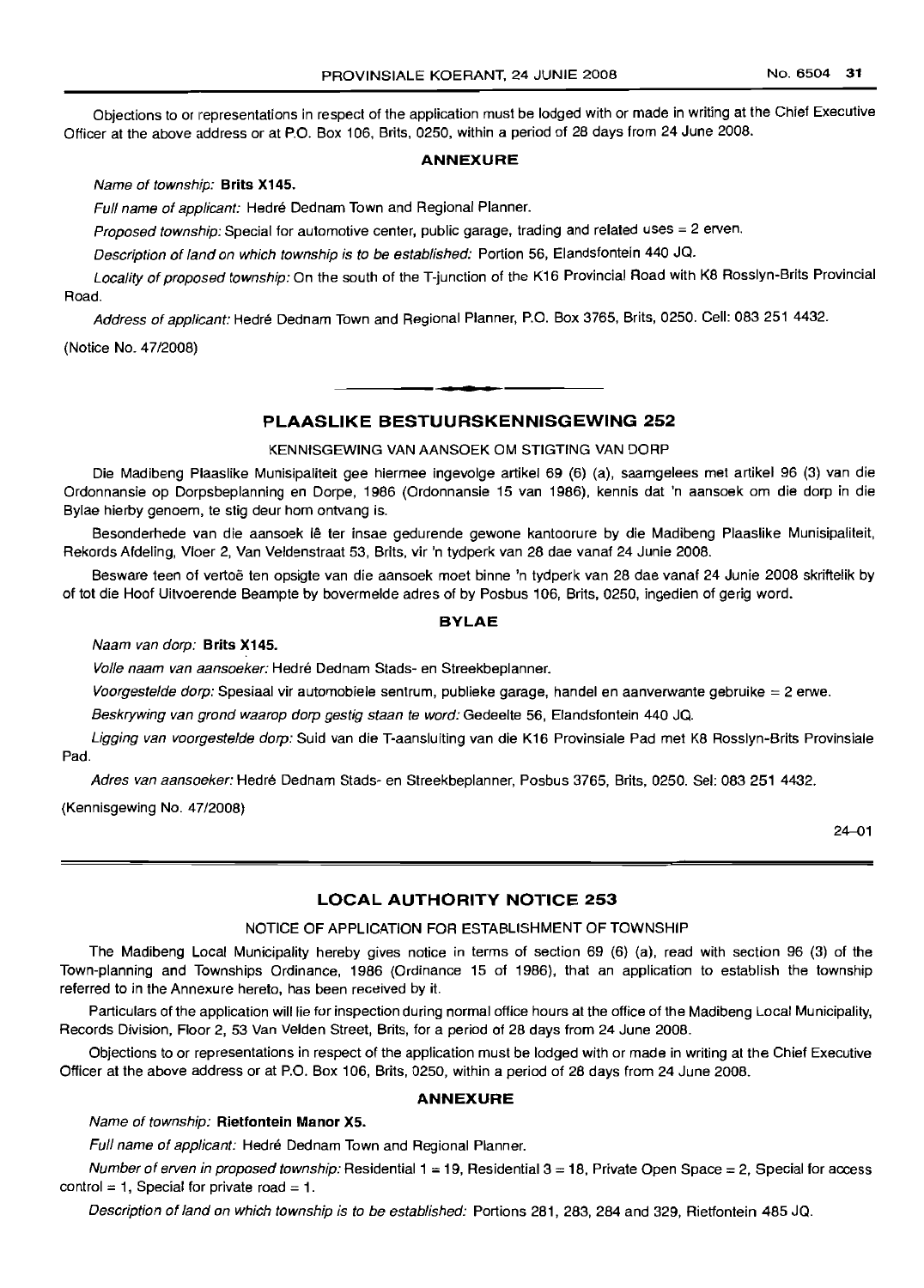Objections to or representations in respect of the application must be lodged with or made in writing at the Chief Executive Officer at the above address or at P.O. Box 106, Brits, 0250, within a period of 28 days from 24 June 2008.

### **ANNEXURE**

Name of township: **Brits X145.**

Full name of applicant: Hedré Dednam Town and Regional Planner.

Proposed township: Special for automotive center, public garage, trading and related uses =2 erven.

Description of land on which township is to be established: Portion 56, Elandsfontein 440 JQ.

Locality of proposed township: On the south of the T-junction of the K16 Provincial Road with K8 Rosslyn-Brits Provincial Road.

Address of applicant: Hedré Dednam Town and Regional Planner, P.O. Box 3765, Brits, 0250. Cell: 083 251 4432.

(Notice No. 47/2008)

### **PLAASLIKE BESTUURSKENNISGEWING 252**

**-**

KENNISGEWING VAN AANSOEK OM STIGTING VAN DORP

Die Madibeng Plaaslike Munisipaliteit gee hiermee ingevolge artikel 69 (6) (a), saamgelees met artikel 96 (3) van die Ordonnansie op Dorpsbeplanning en Dorpe, 1986 (Ordonnansie 15 van 1986), kennis dat 'n aansoek om die dorp in die Bylae hierby genoem, te stig deur hom ontvang is.

Besonderhede van die aansoek lê ter insae gedurende gewone kantoorure by die Madibeng Plaaslike Munisipaliteit, Rekords Afdeling, Vloer 2, Van Veldenstraat 53, Brits, vir 'n tydperk van 28 dae vanaf 24 Junie 2008.

Besware teen of vertoe ten opsigte van die aansoek moet binne 'n tydperk van 28 dae vanaf 24 Junie 2008 skriftelik by of tot die Hoof Uitvoerende Beampte by bovermelde adres of by Posbus 106, Brits, 0250, ingedien of gerig word.

### **BYLAE**

#### Naam van dorp: **Brits X145.**

Volle naam van aansoeker: Hedre Dednam Stads- en Streekbeplanner.

Voorgestelde dorp: Spesiaal vir automobiele sentrum, publieke garage, handel en aanverwante gebruike = 2 erwe.

Beskrywing van grond waarop dorp gestig staan te word: Gedeelte 56, Elandsfontein 440 JQ.

Ligging van voorgestelde dorp: Suid van die T-aansluiting van die K16 Provinsiale Pad met K8 Rosslyn-Brits Provinsiale Pad.

Adres van aansoeker: Hedre Dednam Stads- en Streekbeplanner, Posbus 3765, Brits, 0250. Sel: 083 251 4432.

(Kennisgewing No. 47/2008)

 $24 - 01$ 

### **LOCAL AUTHORITY NOTICE 253**

### NOTICE OF APPLICATION FOR ESTABLISHMENT OF TOWNSHIP

The Madibeng Local Municipality hereby gives notice in terms of section 69 (6) (a), read with section 96 (3) of the Town-planning and Townships Ordinance, 1986 (Ordinance 15 of 1986), that an application to establish the township referred to in the Annexure hereto, has been received by it.

Particulars of the application will lie for inspection during normal office hours at the office of the Madibeng Local Municipality, Records Division, Floor 2, 53 Van Velden Street, Brits, for a period of 28 days from 24 June 2008.

Objections to or representations in respect of the application must be lodged with or made in writing at the Chief Executive Officer at the above address or at P.O. Box 106, Brits, 0250, within a period of 28 days from 24 June 2008.

#### **ANNEXURE**

### Name of township: **Rietfontein Manor** X5.

Full name of applicant: Hedré Dednam Town and Regional Planner.

Number of erven in proposed township: Residential  $1 = 19$ , Residential  $3 = 18$ , Private Open Space = 2, Special for access control = 1, Special for private road = 1.

Description of land on which township is to be established: Portions 281, 283, 284 and 329, Rietfontein 485 JQ.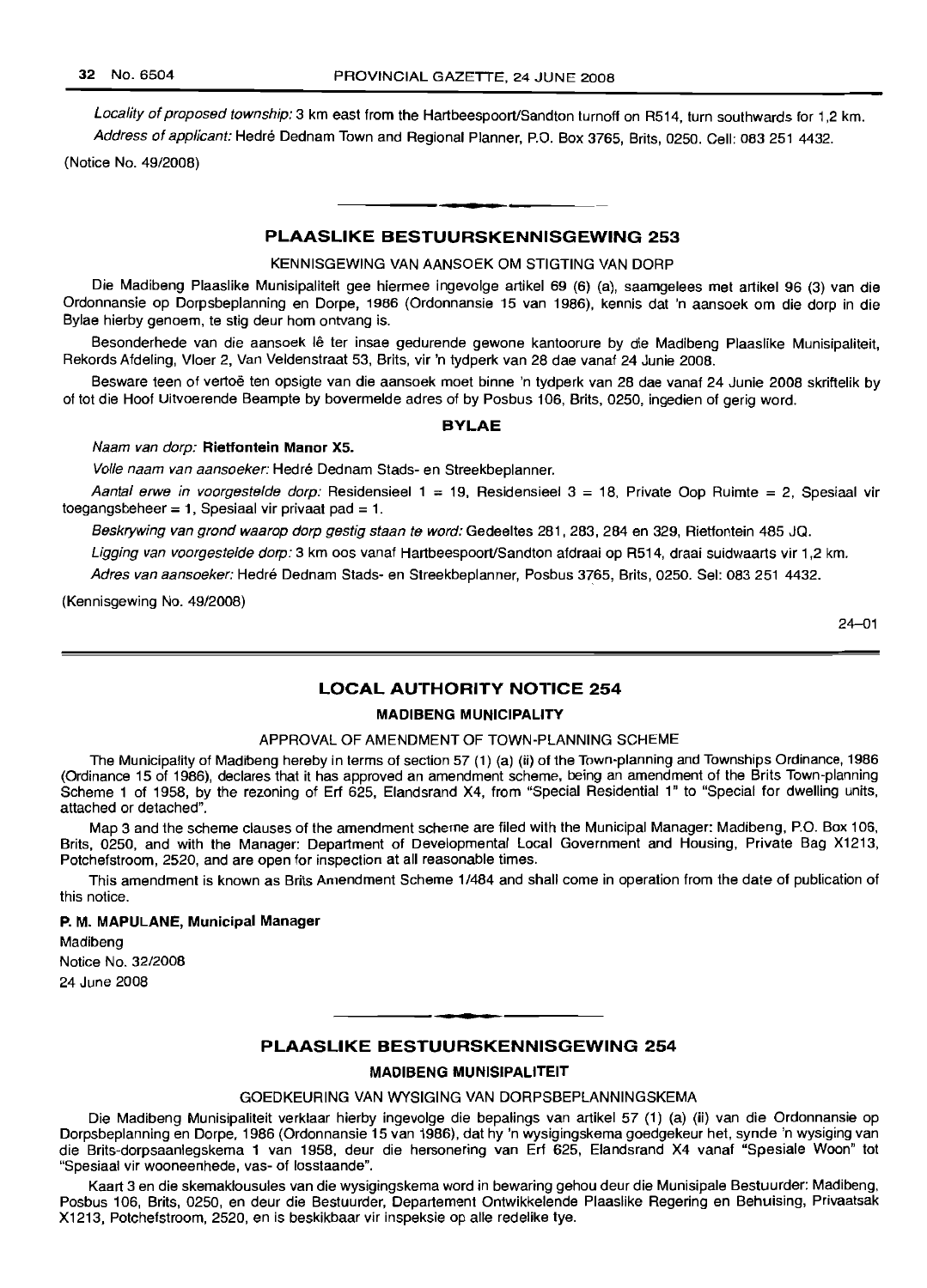Locality of proposed township: 3 km east from the Hartbeespoort/Sandton turnoff on R514, turn southwards for 1,2 km. Address of applicant: Hedré Dednam Town and Regional Planner, P.O. Box 3765, Brits, 0250. Cell: 083 251 4432.

(Notice No. 49/2008)

### PLAASLIKE BESTUURSKENNISGEWING 253

**• I**

KENNISGEWING VAN AANSOEK OM STIGTING VAN DORP

Die Madibeng Plaaslike Munisipaliteit gee hiermee ingevolge artikel 69 (6) (a), saamgelees met artikel 96 (3) van die Ordonnansie op Dorpsbeplanning en Darpe, 1986 (Ordonnansie 15 van 1986), kennis dat 'n aansoek om die dorp in die Bylae hierby genoem, te stig deur hom ontvang is.

Besonderhede van die aansoek lê ter insae gedurende gewone kantoorure by die Madibeng Plaaslike Munisipaliteit, Rekords Afdeling, Vloer 2, Van Veldenstraat 53, Brits, vir 'n tydperk van 28 dae vanaf 24 Junie 2008.

Besware teen of vertoë ten opsigte van die aansoek moet binne 'n tydperk van 28 dae vanaf 24 Junie 2008 skriftelik by of tot die Hoof Uitvoerende Beampte by bovermelde adres of by Posbus 106, Brits, 0250, ingedien of gerig word.

#### BYLAE

#### Naam van dorp: Rietfontein Manor X5.

Volle naam van aansoeker: Hedre Dednam Stads- en Streekbeplanner.

Aantal erwe in voorgestelde dorp: Residensieel  $1 = 19$ , Residensieel  $3 = 18$ , Private Oop Ruimte = 2, Spesiaal vir toegangsbeheer = 1, Spesiaal vir privaat pad = 1.

Beskrywing van grond waarop dorp gestig staan te word: Gedeeltes 281, 283, 284 en 329, Rietfontein 485 JQ.

Ligging van voorgestelde dorp: 3 km oos vanaf Hartbeespoort/Sandton afdraai op R514, draai suidwaarts vir 1,2 km.

Adres van aansoeker: Hedré Dednam Stads- en Streekbeplanner, Posbus 3765, Brits, 0250. Sel: 083 251 4432.

(Kennisgewing No. 49/2008)

24-01

### LOCAL AUTHORITY NOTICE 254

### MADIBENG MUNICIPALITY

### APPROVAL OF AMENDMENT OF TOWN-PLANNING SCHEME

The Municipality of Madibeng hereby in terms of section 57 (1) (a) (ii) of the Town-planning and Townships Ordinance, 1986 (Ordinance 15 of 1986), declares that it has approved an amendment scheme, being an amendment of the Brits Town-planning Scheme 1 of 1958, by the rezoning of Erf 625, Elandsrand X4, from "Special Residential 1" to "Special for dwelling units, attached or detached".

Map 3 and the scheme clauses of the amendment scheme are filed with the Municipal Manager: Madibeng, P.O. Box 106, Brits, 0250, and with the Manager: Department of Developmental Local Government and Housing, Private Bag X1213, Potchefstroom, 2520, and are open for inspection at all reasonable times.

This amendment is known as Brits Amendment Scheme 1/484 and shall come in operation from the date of publication of this notice.

#### P. M. MAPULANE, Municipal Manager

Madibeng Notice No. 32/2008 24 June 2008

### PLAASLIKE BESTUURSKENNISGEWING 254

.**-.**

### MADIBENG MUNISIPALITEIT

GOEDKEURING VAN WYSIGING VAN DORPSBEPLANNINGSKEMA

Die Madibeng Munisipaliteit verklaar hierby ingevolge die bepalings van artikel 57 (1) (a) (ii) van die Ordonnansie op Dorpsbeplanning en Dorpe, 1986 (Ordonnansie 15 van 1986), dat hy 'n wysigingskema goedgekeur hat, synde 'n wysiging van die Brits-dorpsaanlegskema 1 van 1958, deur die hersonering van Erf 625, Elandsrand X4 vanaf "Spesiale Woon" tot "Spesiaal vir wooneenhede, vas- of losstaande".

Kaart 3 en die skemaklousules van die wysigingskema word in bewaring gehou deur die Munisipale Bestuurder: Madibeng, Posbus 106, Brits, 0250, en deur die Bestuurder, Departement Ontwikkelende Plaaslike Regering en Behuising, Privaatsak X1213, Potchefstroom, 2520, en is beskikbaar vir inspeksie op aile redelike tye.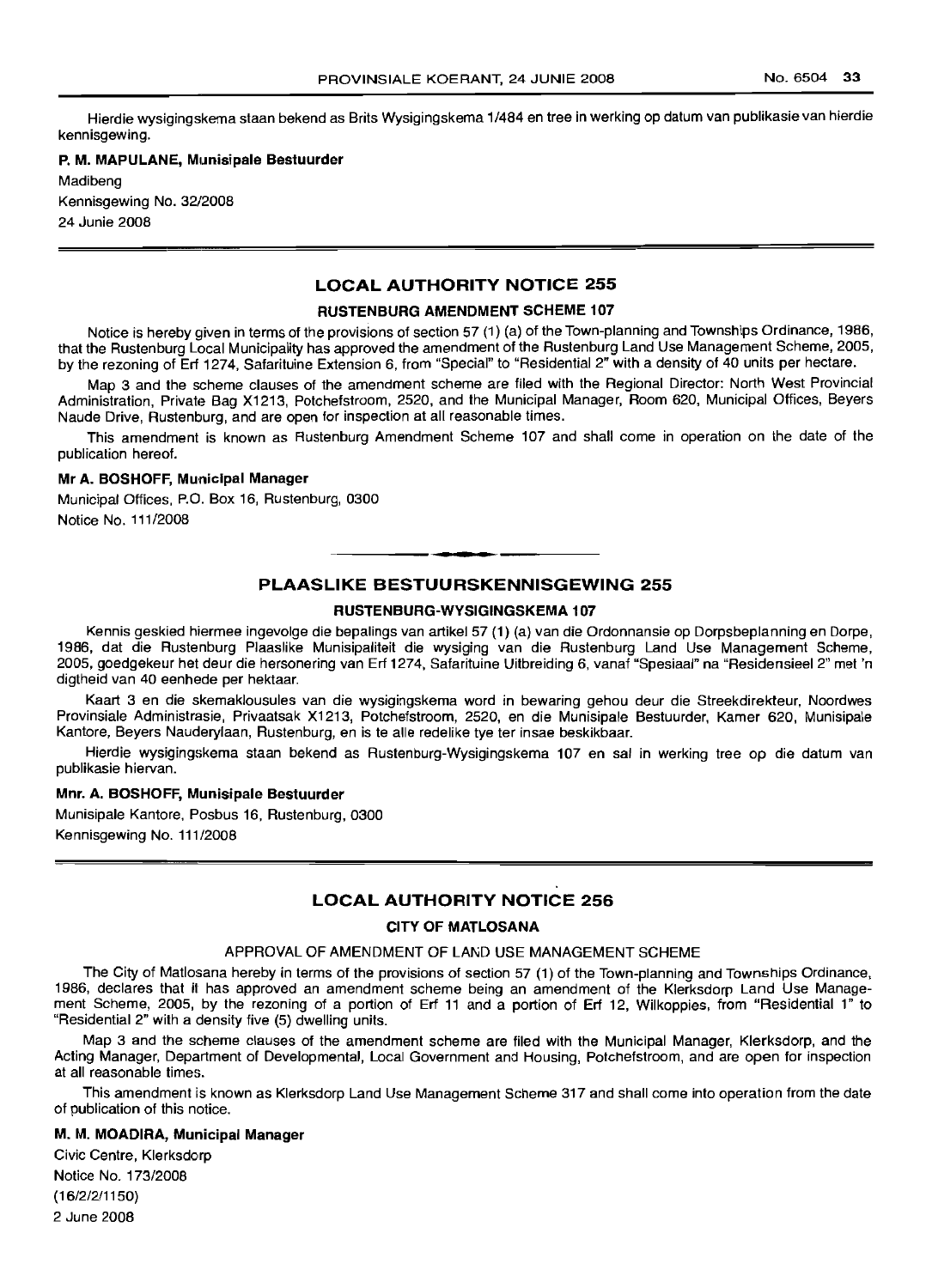Hierdie wysigingskema staan bekend as Brits Wysigingskema 1/484 en tree in werking op datum van publikasie van hierdie kennisgewing.

### P. M. MAPULANE, Munisipale Bestuurder

Madibeng Kennisgewing No. 32/2008 24 Junie 2008

### **LOCAL AUTHORITY NOTICE** 255

#### RUSTENBURG AMENDMENT SCHEME 107

Notice is hereby given in terms of the provisions of section 57 (1) (a) of the Town-planning and Townships Ordinance, 1986, that the Rustenburg Local Municipality has approved the amendment of the Rustenburg Land Use Management Scheme, 2005, by the rezoning of Erf 1274, Safarituine Extension 6, from "Special" to "Residential 2" with a density of 40 units per hectare.

Map 3 and the scheme clauses of the amendment scheme are filed with the Regional Director: North West Provincial Administration, Private Bag X1213, Potchefstroom, 2520, and the Municipal Manager, Room 620, Municipal Offices, Beyers Naude Drive, Rustenburg, and are open for inspection at all reasonable times.

This amendment is known as Rustenburg Amendment Scheme 107 and shall come in operation on the date of the publication hereof.

#### Mr A. BOSHOFF, Municipal Manager

Municipal Offices, P.O. Box 16, Rustenburg, 0300 Notice No. 111/2008

### **PLAASLIKE BESTUURSKENNISGEWING** 255

.**- .**

#### RUSTENBURG-WYSIGINGSKEMA 107

Kennis geskied hiermee ingevolge die bepalings van artikel 57 (1) (a) van die Ordonnansie op Dorpsbeplanning en Dorpe, 1986, dat die Rustenburg Plaaslike Munisipaliteit die wysiging van die Rustenburg Land Use Management Scheme, 2005, goedgekeur het deur die hersonering van Erf 1274, Safarituine Uitbreiding 6, vanaf "Spesiaal" na "Residensieel 2" met 'n digtheid van 40 eenhede per hektaar.

Kaart 3 en die skemaklousules van die wysigingskema word in bewaring gehou deur die Streekdirekteur, Noordwes Provinsiale Administrasie, Privaatsak X1213, Potchefstroom, 2520, en die Munisipale Bestuurder, Kamer 620, Munisipale Kantore, Beyers Nauderylaan, Rustenburg, en is te aile redelike tye ter insae beskikbaar.

Hierdie wysigingskema staan bekend as Rustenburg-Wysigingskema 107 en sal in werking tree op die datum van publikasie hiervan.

#### Mnr. A. BOSHOFF, Munisipale Bestuurder

Munisipale Kantore, Posbus 16, Rustenburg, 0300 Kennisgewing No. 111/2008

### **LOCAL AUTHORITY NOTICE** 256

#### CITY OF MATLOSANA

#### APPROVAL OF AMENDMENT OF LAND USE MANAGEMENT SCHEME

The City of Matlosana hereby in terms of the provisions of section 57 (1) of the Town-planning and Townships Ordinance, 1986, declares that it has approved an amendment scheme being an amendment of the Klerksdorp Land Use Management Scheme, 2005, by the rezoning of a portion of Erf 11 and a portion of Erf 12, Wilkoppies, from "Residential 1" to "Residential 2" with a density five (5) dwelling units.

Map 3 and the scheme clauses of the amendment scheme are filed with the Municipal Manager, Klerksdorp, and the Acting Manager, Department of Developmental, Local Government and Housing, Potchefstroom, and are open for inspection at all reasonable times.

This amendment is known as Klerksdorp Land Use Management Scheme 317 and shall come into operation from the date of publication of this notice.

#### M. M. MOADIRA, Municipal Manager

Civic Centre, Klerksdorp Notice No. 173/2008 (16/2/2/1150) 2 June 2008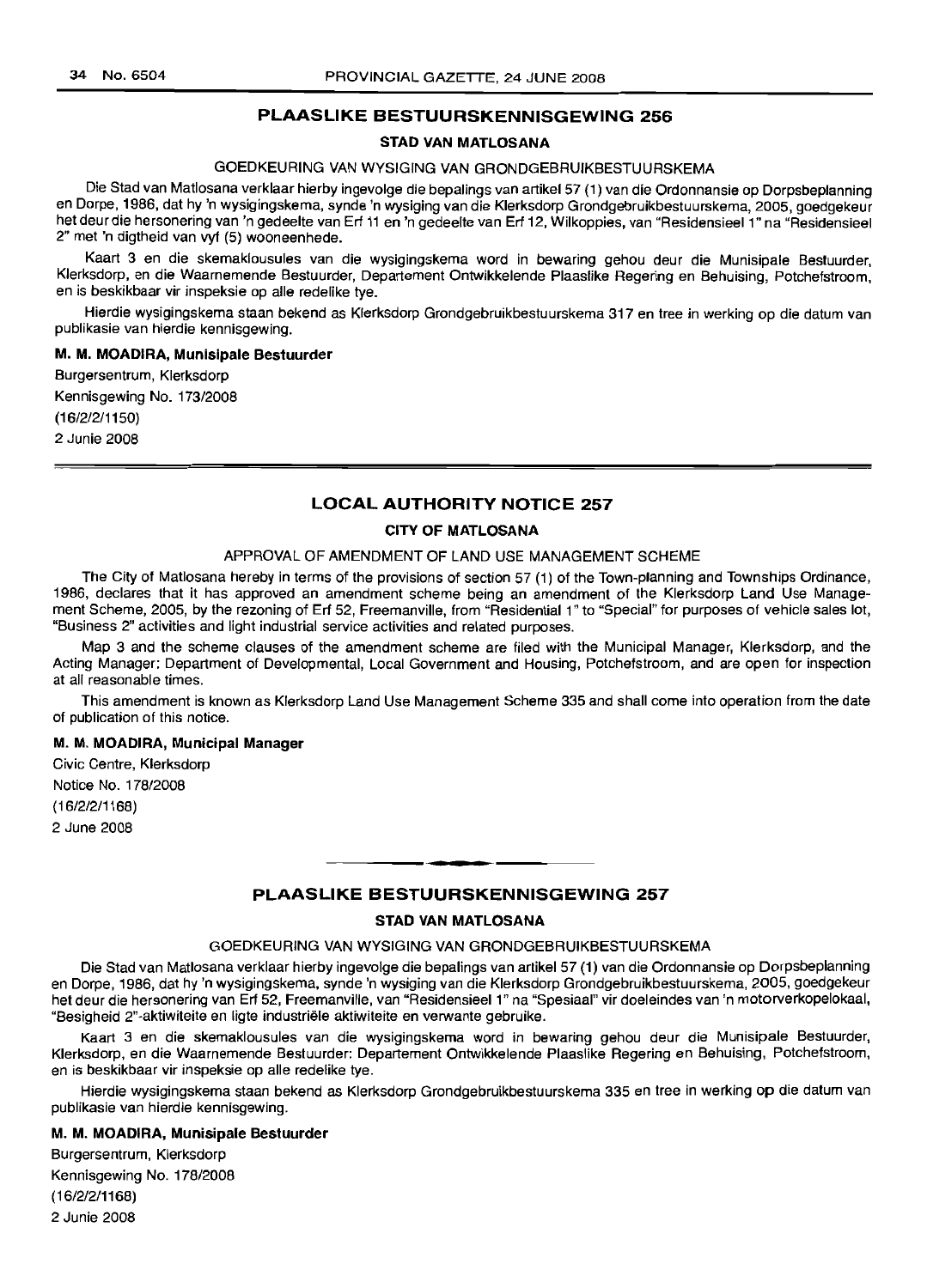### **PLAASLIKE BESTUURSKENNISGEWING 256**

### **STAD VAN MATLOSANA**

### GOEDKEURING VAN WYSIGING VAN GRONDGEBRUIKBESTUURSKEMA

Die Stad van Matlosana verklaar hierby ingevolge die bepalings van artikel 57 (1) van die Ordonnansie op Dorpsbeplanning en Dorpe, 1986, dat hy 'n wysigingskema, synde 'n wysiging van die Klerksdorp Grondgebruikbestuurskema, 2005, goedgekeur het deur die hersonering van 'n gedeelte van Erf 11 en 'n gedeelte van Erf 12, Wilkoppies, van "Residensieel 1" na "Residensieel 2" met 'n digtheid van vyf (5) wooneenhede.

Kaart 3 en die skemaklousules van die wysigingskema word in bewaring gehou deur die Munisipale Bestuurder, Klerksdorp, en die Waarnemende Bestuurder, Departement Ontwikkelende Plaaslike Regering en Behuising, Potchefstroom, en is beskikbaar vir inspeksie op aile redelike tye.

Hierdie wysigingskema staan bekend as Klerksdorp Grondgebruikbestuurskema 317 en tree in werking op die datum van publikasie van hierdie kennisgewing.

#### **M. M. MOADIRA, Munisipale Bestuurder**

Burgersentrum, Klerksdorp Kennisgewing No. 173/2008 (16/2/2/1150) 2 Junie 2008

### **LOCAL AUTHORITY NOTICE 257**

### **CITY OF MATLOSANA**

### APPROVAL OF AMENDMENT OF LAND USE MANAGEMENT SCHEME

The City of Matlosana hereby in terms of the provisions of section 57 (1) of the Town-planning and Townships Ordinance, 1986, declares that it has approved an amendment scheme being an amendment of the Klerksdorp Land Use Management Scheme, 2005, by the rezoning of Erf 52, Freemanville, from "Residential 1" to "Special" for purposes of vehicle sales lot, "Business 2" activities and light industrial service activities and related purposes.

Map 3 and the scheme clauses of the amendment scheme are filed with the Municipal Manager, Klerksdorp, and the Acting Manager: Department of Developmental, Local Government and Housing, Potchefstroom, and are open for inspection at all reasonable times.

This amendment is known as Klerksdorp Land Use Management Scheme 335 and shall come into operation from the date of publication of this notice.

### **M. M. MOADIRA, Municipal Manager**

Civic Centre, Klerksdorp Notice No. 178/2008 (16/2/2/1168) 2 June 2008

### **PLAASLIKE BESTUURSKENNISGEWING 257**

.**-.**

### **STAD VAN MATLOSANA**

### GOEDKEURING VAN WYSIGING VAN GRONDGEBRUIKBESTUURSKEMA

Die Stad van Matlosana verklaar hierby ingevolge die bepalings van artikel 57 (1) van die Ordonnansie op Dorpsbeplanning en Dorpe, 1986, dat hy 'n wysigingskema, synde 'n wysiging van die Klerksdorp Grondgebruikbestuurskema, 2005, goedgekeur het deur die hersonering van Erf 52, Freemanville, van "Residensieel 1" na "Spesiaal" vir doeleindes van 'n motorverkopelokaal, "Besigheid 2"-aktiwiteite en Iigte industrlele aktiwiteite en verwante gebruike.

Kaart 3 en die skemaklousules van die wysigingskema word in bewaring gehou deur die Munisipale Bestuurder, Klerksdorp, en die Waarnemende Bestuurder: Departement Ontwikkelende Plaaslike Regering en Behuising, Potchefstroom, en is beskikbaar vir inspeksie op aile redelike tye.

Hierdie wysigingskema staan bekend as Klerksdorp Grondgebruikbestuurskema 335 en tree in werking op die datum van publikasie van hierdie kennisgewing.

#### **M. M. MOADIRA, Munisipale Bestuurder**

Burgersentrum, Klerksdorp Kennisgewing No. 178/2008 (16/2/2/1168) 2 Junie 2008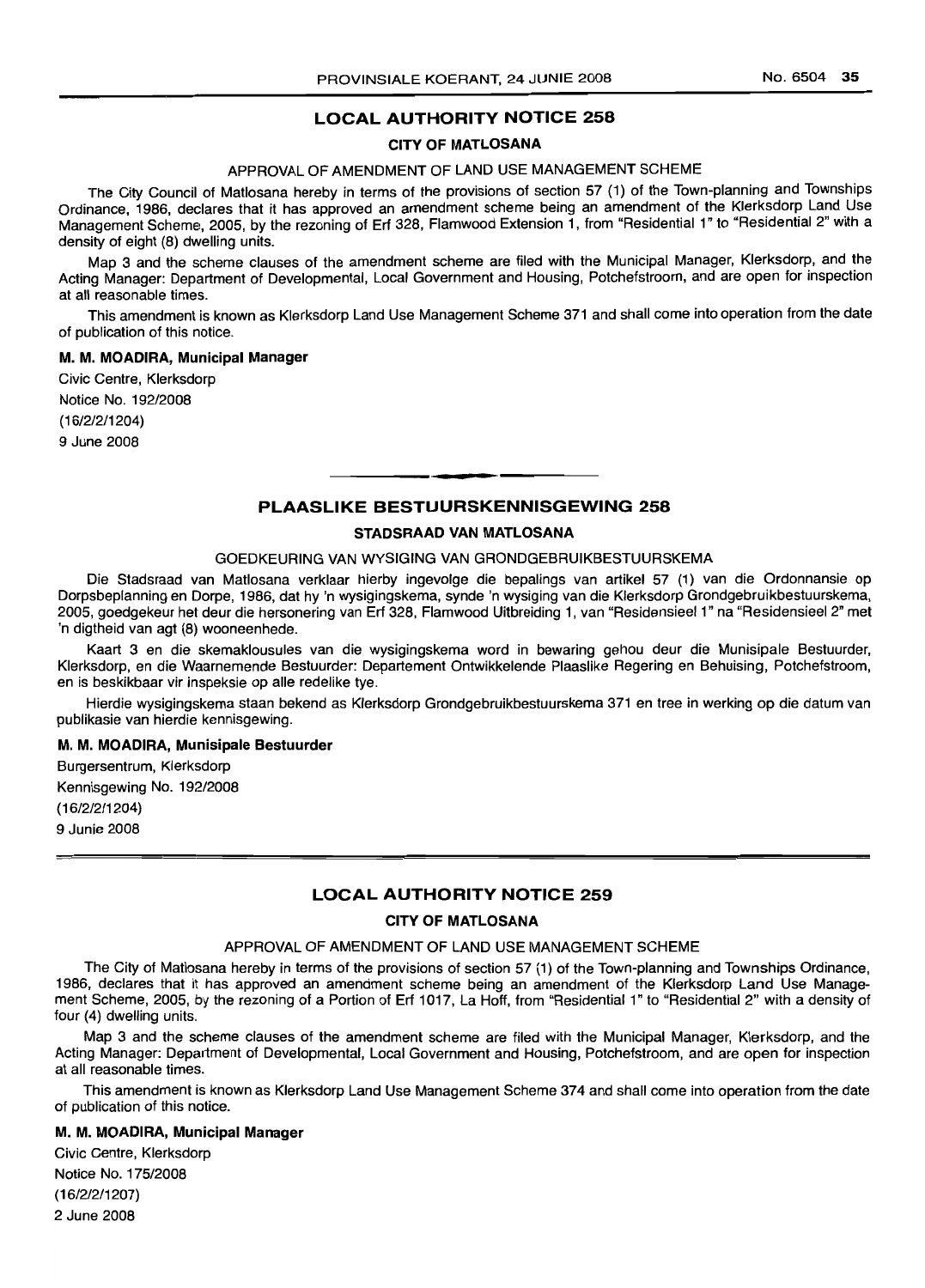### **LOCAL AUTHORITY NOTICE** 258

### CITY OF MATLOSANA

### APPROVAL OF AMENDMENT OF LAND USE MANAGEMENT SCHEME

The City Council of Matlosana hereby in terms of the provisions of section 57 (1) of the Town-planning and Townships Ordinance, 1986, declares that it has approved an amendment scheme being an amendment of the Klerksdorp Land Use Management Scheme, 2005, by the rezoning of Erf 328, Flamwood Extension 1, from "Residential 1" to "Residential 2" with a density of eight (8) dwelling units.

Map 3 and the scheme clauses of the amendment scheme are filed with the Municipal Manager, Klerksdorp, and the Acting Manager: Department of Developmental, Local Government and Housing, Potchefstroom, and are open for inspection at all reasonable times.

This amendment is known as Klerksdorp Land Use Management Scheme 371 and shall come into operation from the date of publication of this notice.

#### M. M. MOADIRA, Municipal Manager

Civic Centre, Klerksdorp Notice No. 192/2008 (16/2/2/1204) 9 June 2008

## • **• • PLAASLIKE BESTUURSKENNISGEWING** 258

#### STADSRAAD VAN MATLOSANA

#### GOEDKEURING VAN WYSIGING VAN GRONDGEBRUIKBESTUURSKEMA

Die Stadsraad van Matlosana verklaar hierby ingevolge die bepalings van artikel 57 (1) van die Ordonnansie op Dorpsbeplanning en Dorpe, 1986, dat hy 'n wysigingskema, synde 'n wysiging van die Klerksdorp Grondgebruikbestuurskema, 2005, goedgekeur het deur die hersonering van Erf 328, Flamwood Uitbreiding 1, van "Residensieel 1" na "Residensieel 2" met 'n digtheid van agt (8) wooneenhede.

Kaart 3 en die skemaklousules van die wysigingskema word in bewaring gehou deur die Munisipale Bestuurder, Klerksdorp, en die Waarnemende Bestuurder: Departement Ontwikkelende Plaaslike Regering en Behuising, Potchefstroom, en is beskikbaar vir inspeksie op aile redelike tye.

Hierdie wysigingskema staan bekend as Klerksdorp Grondgebruikbestuurskema 371 en tree in werking op die datum van publikasie van hierdie kennisgewing.

#### M. M. MOADIRA, Munisipale Bestuurder

Burgersentrum, Klerksdorp Kennisgewing No. 192/2008 (16/2/2/1204) 9 Junie 2008

### **LOCAL AUTHORITY NOTICE** 259

### CITY OF MATLOSANA

### APPROVAL OF AMENDMENT OF LAND USE MANAGEMENT SCHEME

The City of Matlosana hereby in terms of the provisions of section 57 (1) of the Town-planning and Townships Ordinance, 1986, declares that it has approved an amendment scheme being an amendment of the Klerksdorp Land Use Management Scheme, 2005, by the rezoning of a Portion of Erf 1017, La Hoff, from "Residential 1" to "Residential 2" with a density of four (4) dwelling units.

Map 3 and the scheme clauses of the amendment scheme are filed with the Municipal Manager, Klerksdorp, and the Acting Manager: Department of Developmental, Local Government and Housing, Potchefstroom, and are open for inspection at all reasonable times.

This amendment is known as Klerksdorp Land Use Management Scheme 374 and shall come into operation from the date of publication of this notice.

### M. M. MOADIRA, Municipal Manager

Civic Centre, Klerksdorp Notice No. 175/2008 (16/2/2/1207) 2 June 2008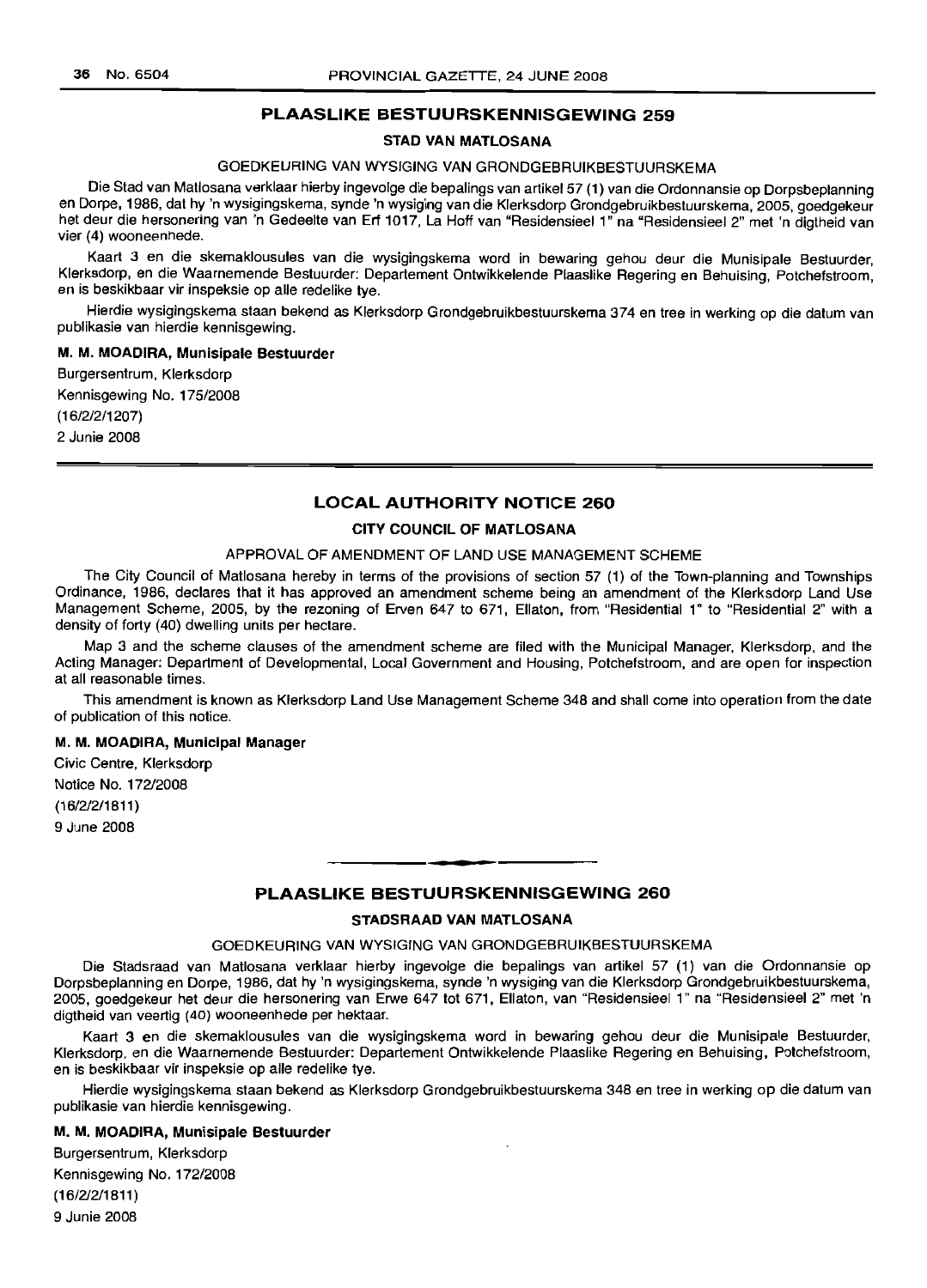### PLAASLIKE BESTUURSKENNISGEWING 259

#### STAD VAN MATLOSANA

### GOEDKEURING VAN WYSIGING VAN GRONDGEBRUIKBESTUURSKEMA

Die Stad van Matlosana verklaar hierby ingevolge die bepalings van artikel57 (1) van die Ordonnansie op Dorpsbeplanning en Dorpe, 1986, dat hy 'n wysigingskema, synde 'n wysiging van die Klerksdorp Grondgebruikbestuurskema, 2005, goedgekeur het deur die hersonering van 'n Gedeelte van Erf 1017, La Hoff van "Residensieel 1" na "Residensieel 2" met 'n digtheid van vier (4) wooneenhede.

Kaart 3 en die skemaklousules van die wysigingskema word in bewaring gehou deur die Munisipale Bestuurder, Klerksdorp, en die Waarnemende Bestuurder: Departement Ontwikkelende Plaaslike Regering en Behuising, Potchefstroom, en is beskikbaar vir inspeksie op aile redelike tye.

Hierdie wysigingskema staan bekend as Klerksdorp Grondgebruikbestuurskema 374 en tree in werking op die datum van publikasie van hierdie kennisgewing.

#### M. M. MOADIRA, Munisipale Bestuurder

Burgersentrum, Klerksdorp Kennisgewing No. 175/2008 (1612/2/1207) 2 Junie 2008

### LOCAL AUTHORITY NOTICE 260

#### CITY COUNCIL OF MATLOSANA

#### APPROVAL OF AMENDMENT OF LAND USE MANAGEMENT SCHEME

The City Council of Matlosana hereby in terms of the provisions of section 57 (1) of the Town-planning and Townships Ordinance, 1986, declares that it has approved an amendment scheme being an amendment of the Klerksdorp Land Use Management Scheme, 2005, by the rezoning of Erven 647 to 671, Ellaton, from "Residential 1" to "Residential 2" with a density of forty (40) dwelling units per hectare.

Map 3 and the scheme clauses of the amendment scheme are filed with the Municipal Manager, Klerksdorp, and the Acting Manager: Department of Developmental, Local Government and Housing, Potchefstroom, and are open for inspection at all reasonable times.

This amendment is known as Klerksdorp Land Use Management Scheme 348 and shall come into operation from the date of publication of this notice.

#### M. M. MOADIRA, Municipal Manager

Civic Centre, Klerksdorp Notice No. 172/2008 (16/2/2/1811 ) 9 June 2008

## **•** PLAASLIKE BESTUURSKENNISGEWING 260

#### STADSRAAD VAN MATLOSANA

### GOEDKEURING VAN WYSIGING VAN GRONDGEBRUIKBESTUURSKEMA

Die Stadsraad van Matlosana verklaar hierby ingevolge die bepalings van artikel 57 (1) van die Ordonnansie op Dorpsbeplanning en Dorpe, 1986, dat hy 'n wysigingskema, synde 'n wysiging van die Klerksdorp Grondgebruikbestuurskema, 2005, goedgekeur het deur die hersonering van Erwe 647 tot 671, Ellaton, van "Residensieel 1" na "Residensieel 2" met 'n digtheid van veertig (40) wooneenhede per hektaar.

Kaart 3 en die skemaklousules van die wysigingskema word in bewaring gehou deur die Munisipale Bestuurder, Klerksdorp, en die Waarnemende Bestuurder: Departement Ontwikkelende Plaaslike Regering en Behuising, Potchefstroom, en is beskikbaar vir inspeksie op aile redelike tye.

Hierdie wysigingskema staan bekend as Klerksdorp Grondgebruikbestuurskema 348 en tree in werking op die datum van publikasie van hierdie kennisgewing.

#### M. M. MOADIRA, Munisipale Bestuurder

Burgersentrum, Klerksdorp Kennisgewing No. 172/2008 (16/2/2/1811) 9 Junie 2008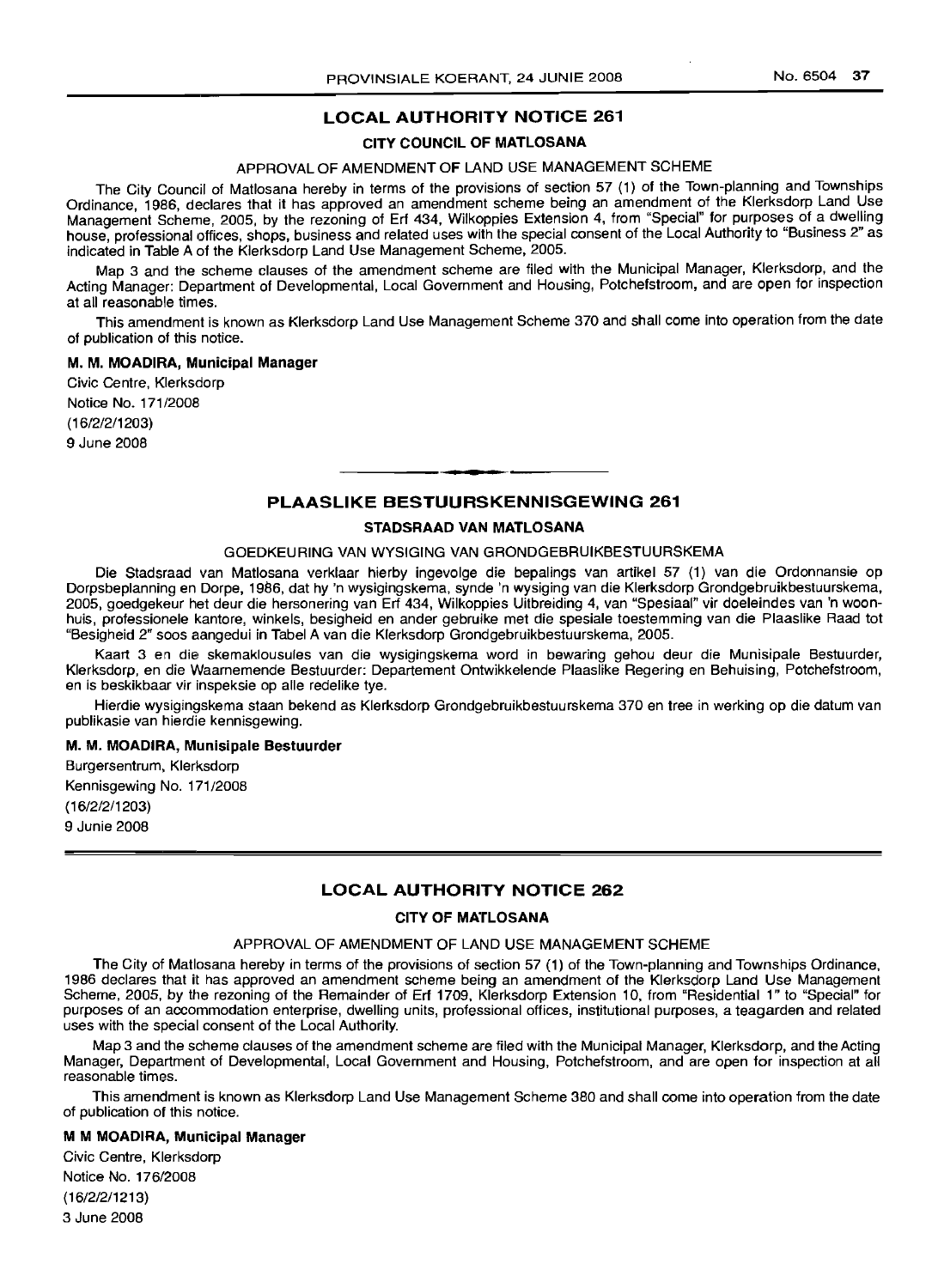### LOCAL AUTHORITY NOTICE 261

### CITY COUNCIL OF MATLOSANA

### APPROVAL OF AMENDMENT OF LAND USE MANAGEMENT SCHEME

The City Council of Matlosana hereby in terms of the provisions of section 57 (1) of the Town-planning and Townships Ordinance, 1986, declares that it has approved an amendment scheme being an amendment of the Klerksdorp Land Use Management Scheme, 2005, by the rezoning of Erf 434, Wilkoppies Extension 4, from "Special" for purposes of a dwelling house, professional offices, shops, business and related uses with the special consent of the Local Authonty to "Business 2" as indicated in Table A of the Klerksdorp Land Use Management Scheme, 2005.

Map 3 and the scheme clauses of the amendment scheme are filed with the Municipal Manager, Klerksdorp, and the Acting Manager: Department of Developmental, Local Government and Housing, Potchefstroom, and are open for inspection at all reasonable times.

This amendment is known as Klerksdorp Land Use Management Scheme 370 and shall come into operation from the date of publication of this notice.

#### M. M. MOADIRA, Municipal Manager

Civic Centre, Klerksdorp Notice No. 171/2008 (16/2/2/1203)

9 June 2008

### PLAASLIKE BESTUURSKENNISGEWING 261

**1\_.**

#### STADSRAAD VAN MATLOSANA

#### GOEDKEURING VAN WYSIGING VAN GRONDGEBRUIKBESTUURSKEMA

Die Stadsraad van Matlosana verklaar hierby ingevolge die bepalings van artikel 57 (1) van die Ordonnansie op Dorpsbeplanning en Dorpe, 1986, dat hy 'n wysigingskema, synde 'n wysiging van die Klerksdorp Grondgebruikbestuurskema, 2005, goedgekeur het deur die hersonering van Erf 434, Wilkoppies Uitbreiding 4, van "Spesiaal" vir doeleindes van 'n woonhuis, professionele kantore, winkels, besigheid en ander gebruike met die spesiale toestemming van die Plaaslike Raad tot "Besigheid 2" soos aangedui in Tabel A van die Klerksdorp Grondgebruikbestuurskema, 2005.

Kaart 3 en die skemaklousules van die wysigingskema word in bewaring gehou deur die Munisipale Bestuurder, Klerksdorp, en die Waarnemende Bestuurder: Departement Ontwikkelende Plaaslike Regering en Behuising, Potchefstroom, en is beskikbaar vir inspeksie op aile redelike tye.

Hierdie wysigingskema staan bekend as Klerksdorp Grondgebruikbestuurskema 370 en tree in werking op die datum van publikasie van hierdie kennisgewing.

#### M. M. MOADIRA, Munisipale Bestuurder

Burgersentrum, Klerksdorp Kennisgewing No. 171/2008

(16/2/2/1203) 9 Junie 2008

### LOCAL AUTHORITY NOTICE 262

### CITY OF MATLOSANA

#### APPROVAL OF AMENDMENT OF LAND USE MANAGEMENT SCHEME

The City of Matlosana hereby in terms of the provisions of section 57 (1) of the Town-planning and Townships Ordinance, 1986 declares that it has approved an amendment scheme being an amendment of the Klerksdorp Land Use Management Scheme, 2005, by the rezoning of the Remainder of Erf 1709, Klerksdorp Extension 10, from "Residential 1" to "Special" for purposes of an accommodation enterprise, dwelling units, professional offices, institutional purposes, a teagarden and related uses with the special consent of the Local Authority.

Map 3 and the scheme clauses of the amendment scheme are filed with the Municipal Manager, Klerksdorp, and the Acting Manager, Department of Developmental, Local Government and Housing, Potchefstroom, and are open for inspection at all reasonable times.

This amendment is known as Klerksdorp Land Use Management Scheme 380 and shall come into operation from the date of publication of this notice.

### M M MOADIRA, Municipal Manager

Civic Centre, Klerksdorp Notice No. 176/2008 (16/2/2/1213) 3 June 2008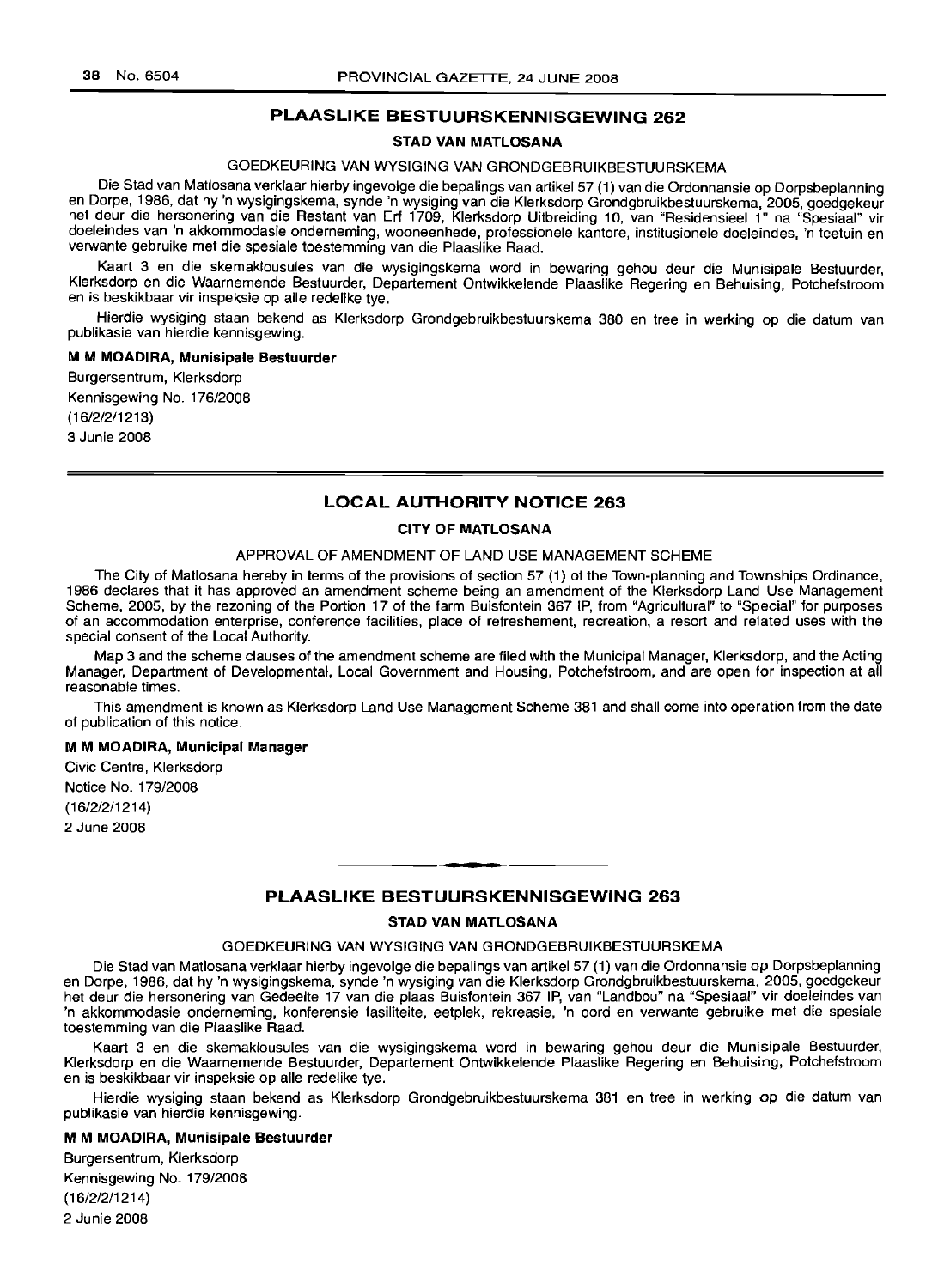### **PLAASLIKE BESTUURSKENNISGEWING 262**

### **STAD VAN MATLOSANA**

### GOEDKEURING VAN WYSIGING VAN GRONDGEBRUIKBESTUURSKEMA

Die Stad van Matlosana verklaar hierby ingevolge die bepalings van artikel 57 (1) van die Ordonnansie op Dorpsbeplanning en Dorpe, 1986, dat hy 'n wysigingskema, synde 'n wysiging van die Klerksdorp Grondgbruikbestuurskema, 2005, goedgekeur het deur die hersonering van die Restant van Erf 1709, Klerksdorp Uitbreiding 10, van "Residensieel 1" na "Spesiaal" vir doeleindes van 'n akkommodasie onderneming, wooneenhede, professionele kantore, institusionele doeleindes, 'n teetuin en verwante gebruike met die spesiale toestemming van die Plaaslike Raad.

Kaart 3 en. die skemaklousules van die wysigingskema word in bewaring gehou deur die Munisipale Bestuurder, Klerksdorp en die Waarnemende Bestuurder, Departement Ontwikkelende Plaaslike Regering en Behuising, Potchefstroom en is beskikbaar vir inspeksie op aile redelike tye.

Hierdie wysiging staan bekend as Klerksdorp Grondgebruikbestuurskema 380 en tree in werking op die datum van publikasie van hierdie kennisgewing.

#### M **M MOADIRA, Munisipale Bestuurder**

Burgersentrum, Klerksdorp Kennisgewing No. 176/2008 (16/2/2/1213) 3 Junie 2008

### **LOCAL AUTHORITY NOTICE 263**

### **CITY OF MATLOSANA**

#### APPROVAL OF AMENDMENT OF LAND USE MANAGEMENT SCHEME

The City of Matlosana hereby in terms of the provisions of section 57 (1) of the Town-planning and Townships Ordinance, 1986 declares that it has approved an amendment scheme being an amendment of the Klerksdorp Land Use Management Scheme, 2005, by the rezoning of the Portion 17 of the farm Buisfontein 367 IP, from "Agricultural" to "Special" for purposes of an accommodation enterprise, conference facilities, place of refreshement, recreation, a resort and related uses with the special consent of the Local Authority.

Map 3 and the scheme clauses of the amendment scheme are filed with the Municipal Manager, Klerksdorp, and the Acting Manager, Department of Developmental, Local Government and Housing, Potchefstroom, and are open for inspection at all reasonable times.

This amendment is known as Klerksdorp Land Use Management Scheme 381 and shall come into operation from the date of publication of this notice.

#### M **M MOADIRA, Municipal Manager**

Civic Centre, Klerksdorp Notice No. 179/2008 (16/2/2/1214)

2 June 2008

#### **PLAASLIKE BESTUURSKENNISGEWING 263**

**•**

#### **STAD VAN MATLOSANA**

#### GOEDKEURING VAN WYSIGING VAN GRONDGEBRUIKBESTUURSKEMA

Die Stad van Matlosana verklaar hierby ingevolge die bepalings van artikel57 (1) van die Ordonnansie op Dorpsbeplanning en Dorpe, 1986, dat hy 'n wysigingskema, synde 'n wysiging van die Klerksdorp Grondgbruikbestuurskema, 2005, goedgekeur het deur die hersonering van Gedeelte 17 van die plaas Buisfontein 367 IP, van "Landbou" na "Spesiaal" vir doeleindes van 'n akkommodasie onderneming, konferensie fasiliteite, eetplek, rekreasie, 'n oord en verwante gebruike met die spesiale toestemming van die Plaaslike Raad.

Kaart 3 en die skemaklousules van die. wysigingskema word in bewaring gehou deur die Munisipale Bestuurder, Klerksdorp en die Waarnemende Bestuurder, Departement Ontwikkelende Plaaslike Regering en Behuising, Potchefstroom en is beskikbaar vir inspeksie op aile redelike tye.

Hierdie wysiging staan bekend as Klerksdorp Grondgebruikbestuurskema 381 en tree in werking op die datum van publikasie van hierdie kennisgewing.

#### M **M MOADIRA, Munisipale Bestuurder**

Burgersentrum, Klerksdorp Kennisgewing No. 179/2008 (16/2/2/1214) 2 Junie 2008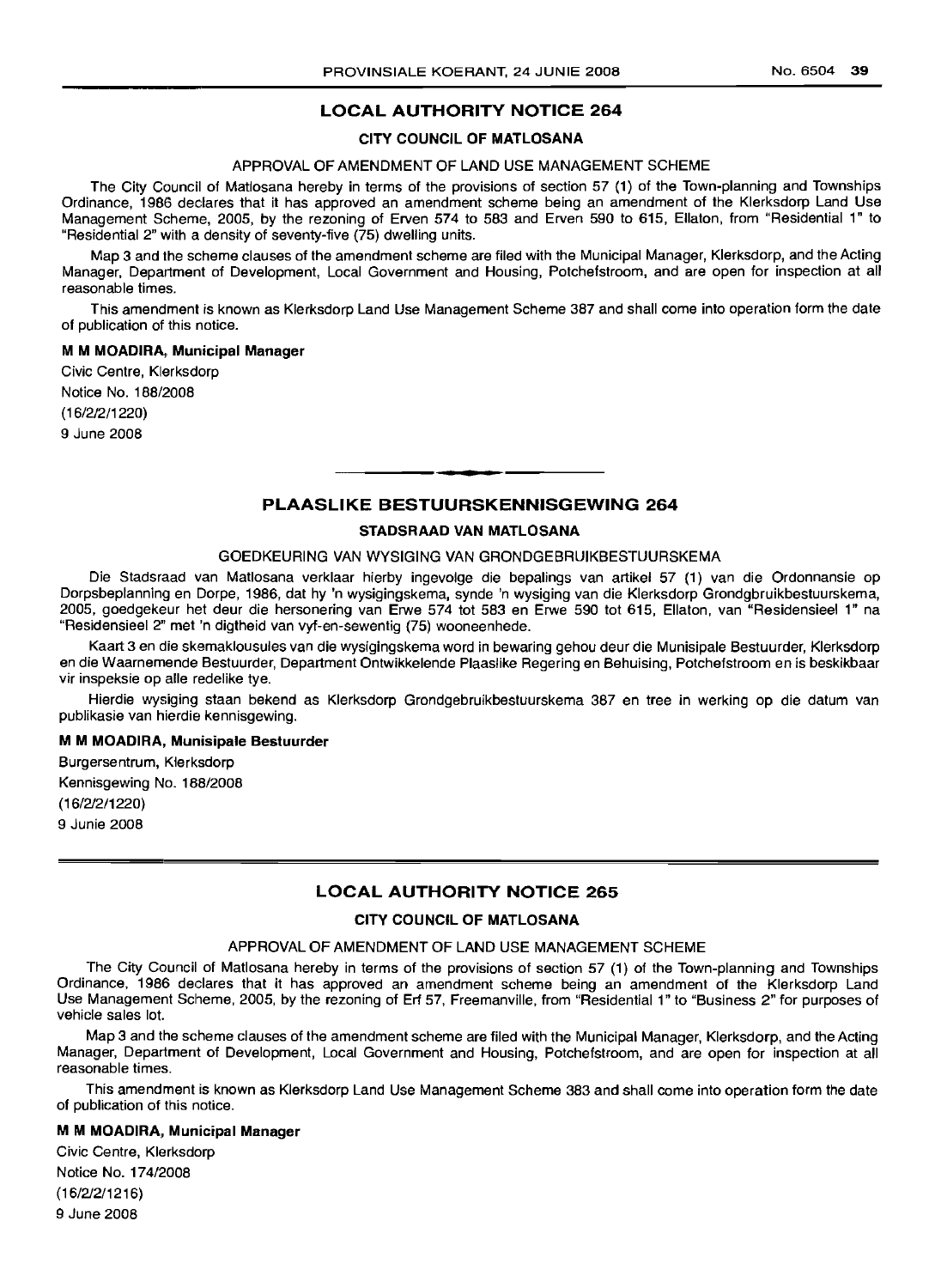### **LOCAL AUTHORITY NOTICE 264**

### **CITY COUNCIL OF MATLOSANA**

#### APPROVAL OF AMENDMENT OF LAND USE MANAGEMENT SCHEME

The City Council of Matlosana hereby in terms of the provisions of section 57 (1) of the Town-planning and Townships Ordinance, 1986 declares that it has approved an amendment scheme being an amendment of the Klerksdorp Land Use Management Scheme, 2005, by the rezoning of Erven 574 to 583 and Erven 590 to 615, Ellaton, from "Residential 1" to "Residential 2" with a density of seventy-five (75) dwelling units.

Map 3 and the scheme clauses of the amendment scheme are filed with the Municipal Manager, Klerksdorp, and the Acting Manager, Department of Development, Local Government and Housing, Potchefstroom, and are open for inspection at all reasonable times.

This amendment is known as Klerksdorp Land Use Management Scheme 387 and shall come into operation form the date of publication of this notice.

#### M **M MOADIRA,. Municipal Manager**

Civic Centre, Klerksdorp Notice No. 188/2008 (16/2/2/1220)

9 June 2008

### **PLAASLIKE BESTUURSKENNISGEWING 264**

**• •**

### **STADSRAAD VAN MATLOSANA**

#### GOEDKEURING VAN WYSIGING VAN GRONDGEBRUIKBESTUURSKEMA

Die Stadsraad *van* Matlosana verklaar hierby ingevolge die bepalings *van* artikel 57 (1) van die Ordonnansie op Dorpsbeplanning en Dorpe, 1986, dat hy 'n wysigingskema, synde 'n wysiging *van* die Klerksdorp Grondgbruikbestuurskema, 2005, goedgekeur het deur die hersonering *van* Erwe 574 tot 583 en Erwe 590 tot 615, Ellaton, *van* "Residensieel 1" na "Residensieel 2" met 'n digtheid *van* vyf-en-sewentig (75) wooneenhede.

Kaart 3 en die skemaklousules van die wysigingskema word in bewaring gehou deur die Munisipale Bestuurder, Klerksdorp en die Waarnemende Bestuurder, Department Ontwikkelende Plaaslike Regering en Behuising, Potchefstroom en is beskikbaar vir inspeksie op aile redelike tye.

Hierdie wysiging staan bekend as Klerksdorp Grondgebruikbestuurskema 387 en tree in werking op die datum *van* publikasie *van* hierdie kennisgewing.

#### M **M MOADIRA, Munisipale Bestuurder**

Burgersentrum, Klerksdorp Kennisgewing No. 188/2008 (16/2/2/1220) 9 Junie 2008

### **LOCAL AUTHORITY NOTICE 265**

### **CITY COUNCIL OF MATLOSANA**

### APPROVAL OF AMENDMENT OF LAND USE MANAGEMENT SCHEME

The City Council of Matlosana hereby in terms of the provisions of section 57 (1) of the Town-planning and Townships Ordinance, 1986 declares that it has approved an amendment scheme being an amendment of the Klerksdorp Land Use Management Scheme, 2005, by the rezoning of Erf 57, Freemanville, from "Residential 1" to "Business 2" for purposes of vehicle sales lot.

Map 3 and the scheme clauses of the amendment scheme are filed with the Municipal Manager, Klerksdorp, and the Acting Manager, Department of Development, Local *Government* and Housing, Potchefstroom, and are open for inspection at all reasonable times.

This amendment is known as Klerksdorp Land Use Management Scheme 383 and shall come into operation form the date of publication of this notice.

### M **M MOADIRA, Municipal Manager**

Civic Centre, Klerksdorp Notice No. 174/2008 (16/2/2/1216) 9 June 2008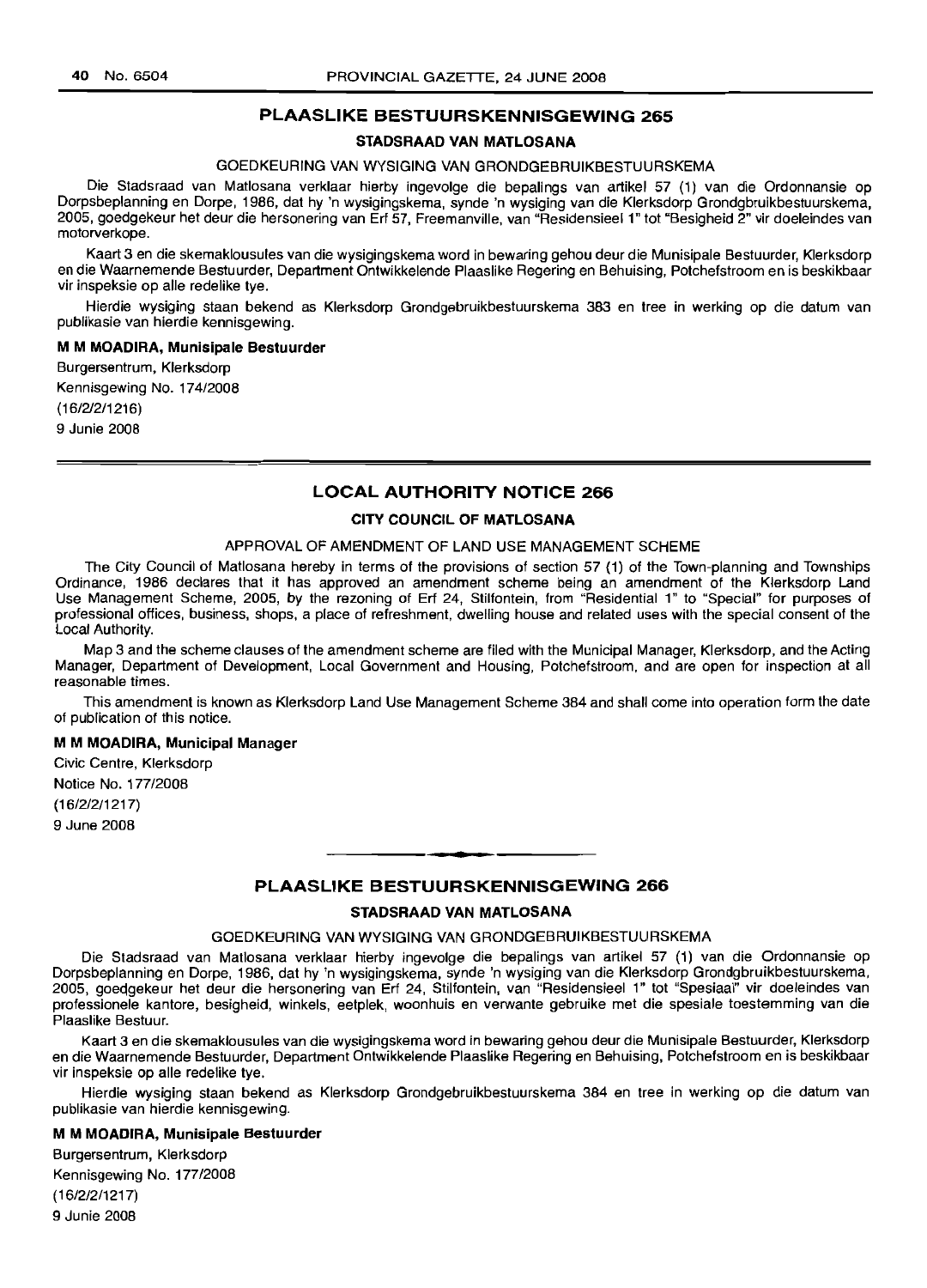### **PLAASLIKE BESTUURSKENNISGEWING 265**

#### **STADSRAAD VAN MATLOSANA**

### GOEDKEURING VAN WYSIGING VAN GRONDGEBRUIKBESTUURSKEMA

Die Stadsraad van Matlosana verklaar hierby ingevolge die bepalings van artikel 57 (1) van die Ordonnansie op Dorpsbeplanning en Dorpe, 1986, dat hy 'n wysigingskema, synde 'n wysiging van die Klerksdorp Grondgbruikbestuurskema, 2005, goedgekeur het deur die hersonering van Erf 57, Freemanville, van "ResidensieeI1" tot "Besigheid 2" vir doeleindes van motorverkope.

Kaart 3 en die skemaklousules van die wysigingskema word in bewaring gehou deur die Munisipale Bestuurder, Klerksdorp en die Waarnemende Bestuurder, Department Ontwikkelende Plaaslike Regering en Behuising, Potchefstroom en is beskikbaar vir inspeksie op aile redelike tye.

Hierdie wysiging staan bekend as Klerksdorp Grondgebruikbestuurskema 383 en tree in werking op die datum van pubfikasie van hierdie kennisgewing.

#### M **M MOADIRA, Munisipale Bestuurder**

Burgersentrum, Klerksdorp Kennisgewing No. 174/2008 (16/2/2/1216)

9 Junie 2008

### **LOCAL AUTHORITY NOTICE 266**

#### **CITY COUNCIL OF MATLOSANA**

#### APPROVAL OF AMENDMENT OF LAND USE MANAGEMENT SCHEME

The City Council of Matlosana hereby in terms of the provisions of section 57 (1) of the Town-planning and Townships Ordinance, 1986 declares that it has approved an amendment scheme being an amendment of the Klerksdorp Land Use Management Scheme, 2005, by the rezoning of Erf 24, Stilfontein, from "Residential 1" to "Special" for purposes of professional offices, business, shops, a place of refreshment, dwelling house and related uses with the special consent of the Local Authority.

Map 3 and the scheme clauses of the amendment scheme are filed with the Municipal Manager, Klerksdorp, and the Acting Manager, Department of Development, Local Government and Housing, Potchefstroom, and are open for inspection at all reasonable times.

This amendment is known as Klerksdorp Land Use Management Scheme 384 and shall come into operation form the date of publication of this notice.

#### M **M MOADIRA, Municipal Manager**

Civic Centre, Klerksdorp Notice No. 177/2008 (16/2/2/1217) 9 June 2008

### **PLAASLIKE BESTUURSKENNISGEWING 266**

**. -**

#### **STADSRAAD VAN MATLOSANA**

#### GOEDKEURING VAN WYSIGING VAN GRONDGEBRUIKBESTUURSKEMA

Die Stadsraad van Matlosana verklaar hierby ingevolge die bepalings van artikel 57 (1) van die Ordonnansie op Dorpsbeplanning en Dorpe, 1986, dat hy 'n wysigingskema, synde 'n wysiging van die Klerksdorp Grondgbruikbestuurskema, 2005, goeqgekeur het deur die hersonering van Erf 24, Stilfontein, van "Residensieel 1" tot "Spesiaal" vir doeleindes van professionele kantore, besigheid, winkels, eetplek, woonhuis en verwante gebruike met die spesiale toestemming van die Plaaslike Bestuur.

Kaart 3 en die skemaklousules van die wysigingskema word in bewaring gehou deur die Munisipale Bestuurder, Klerksdorp en die Waarnemende Bestuurder, Department Ontwikkelende Plaaslike Regering en Behuising, Potchefstroom en is beskikbaar vir inspeksie op aile redelike tye.

Hierdie wysiging staan bekend as Klerksdorp Grondgebruikbestuurskema 384 en tree in werking op die datum van publikasie van hierdie kennisgewing.

#### M **M MOADIRA, Munisipale Bestuurder**

Burgersentrum, Klerksdorp Kennisgewing No. 177/2008 (16/2/2/1217) 9 Junie 2008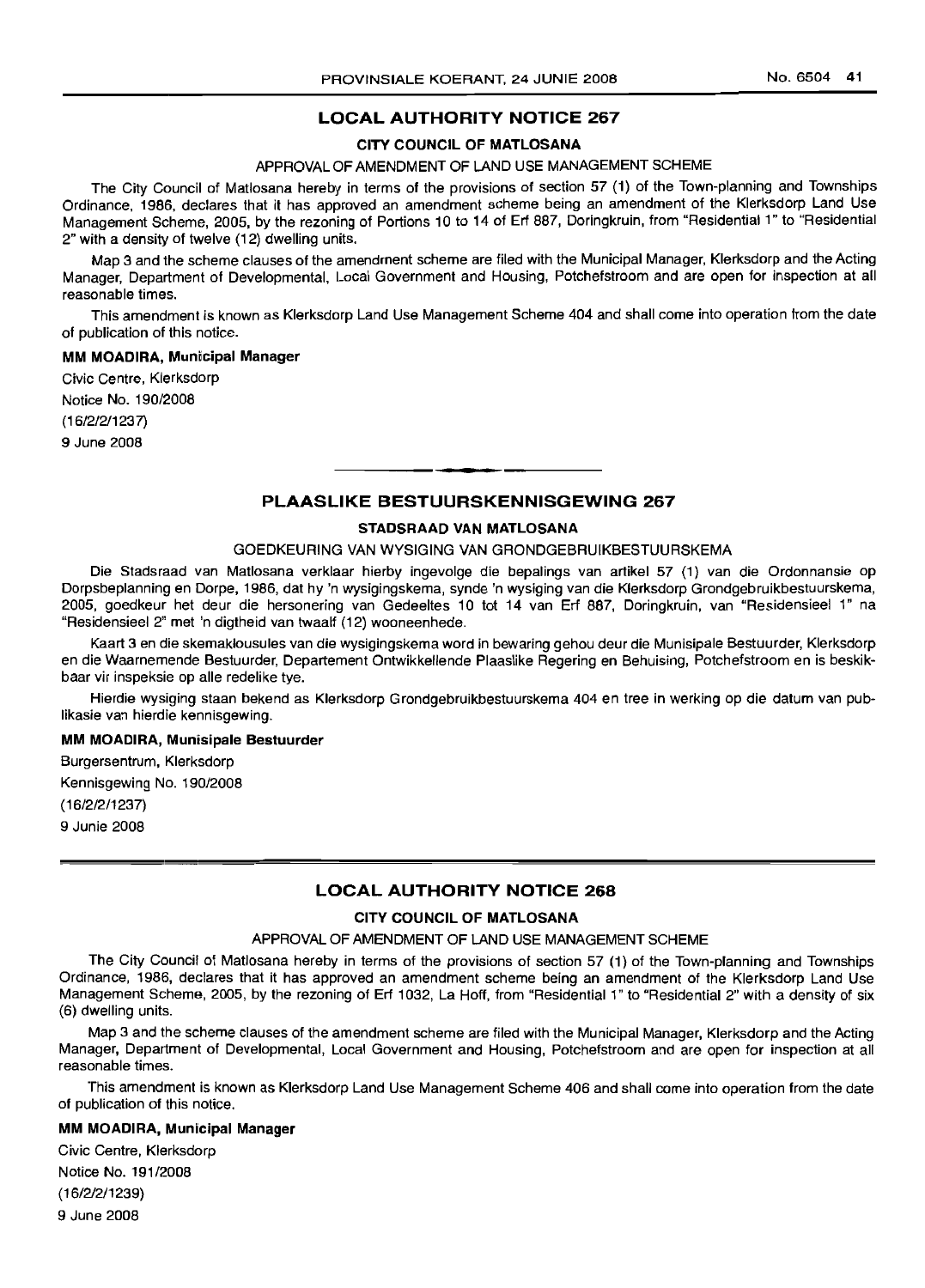### **LOCAL AUTHORITY NOTICE 267**

### **CITY COUNCIL OF MATLOSANA**

#### APPROVAL OF AMENDMENT OF LAND USE MANAGEMENT SCHEME

The City Council of Matlosana hereby in terms of the provisions of section 57 (1) of the Town-planning and Townships Ordinance, 1986, declares that it has approved an amendment scheme being an amendment of the Klerksdorp Land Use Management Scheme, 2005, by the rezoning of Portions 10 to 14 of Erf 887, Doringkruin, from "Residential 1" to "Residential 2" with a density of twelve (12) dwelling units.

Map 3 and the scheme clauses of the amendment scheme are filed with the Municipal Manager, Klerksdorp and the Acting Manager, Department of Developmental, Local Government and Housing, Potchefstroom and are open for inspection at all reasonable times.

This amendment is known as Klerksdorp Land Use Management Scheme 404 and shall come into operation from the date of publication of this notice.

#### **MM MOADIRA, Municipal Manager**

Civic Centre, Klerksdorp Notice No. 190/2008 (16/2/2/1237) 9 June 2008

### **PLAASLIKE BESTUURSKENNISGEWING 267**

**••**

#### **STADSRAAD VAN MATLOSANA**

#### GOEDKEURING VAN WYSIGING VAN GRONDGEBRUIKBESTUURSKEMA

Die Stadsraad van Matlosana verklaar hierby ingevolge die bepalings van artikel 57 (1) van die Ordonnansie op Dorpsbeplanning en Dorpe, 1986, dat hy 'n wysigingskema, synde 'n wysiging van die Klerksdorp Grondgebruikbestuurskema, 2005, goedkeur het deur die hersonering van Gedeeltes 10 tot 14 van Erf 887, Doringkruin, van "Residensieel 1" na "Residensieel 2" met 'n digtheid van twaalf (12) wooneenhede.

Kaart 3 en die skemaklousules van die wysigingskema word in bewaring gehou deur die Munisipale Bestuurder, Klerksdorp en die Waarnemende Bestuurder, Departement Ontwikkellende Plaaslike Regering en Behuising, Potchefstroom en is beskikbaar vir inspeksie op aile redelike tye.

Hierdie wysiging staan bekend as Klerksdorp Grondgebruikbestuurskema 404 en tree in werking op die datum van publikasie van hierdie kennisgewing.

#### **MM MOADIRA, Munisipale Bestuurder**

Burgersentrum, Klerksdorp Kennisgewing No. 190/2008 (16/2/2/1237) 9 Junie 2008

#### **LOCAL AUTHORITY NOTICE 268**

### **CITY COUNCIL OF MATLOSANA**

#### APPROVAL OF AMENDMENT OF LAND USE MANAGEMENT SCHEME

The City Council of Matlosana hereby in terms of the provisions of section 57 (1) of the Town-planning and Townships Ordinance, 1986, declares that it has approved an amendment scheme being an amendment of the Klerksdorp Land Use Management Scheme, 2005, by the rezoning of Erf 1032, La Hoff, from "Residential 1" to "Residential 2" with a density of six (6) dwelling units.

Map 3 and the scheme clauses of the amendment scheme are filed with the Municipal Manager, Klerksdorp and the Acting Manager, Department of Developmental, Local Government and Housing, Potchefstroom and are open for inspection at all reasonable times.

This amendment is known as Klerksdorp Land Use Management Scheme 406 and shall come into operation from the date of publication of this notice.

#### **MM MOADIRA, Municipal Manager**

Civic Centre, Klerksdorp Notice No. 191/2008 (16/212/1239) 9 June 2008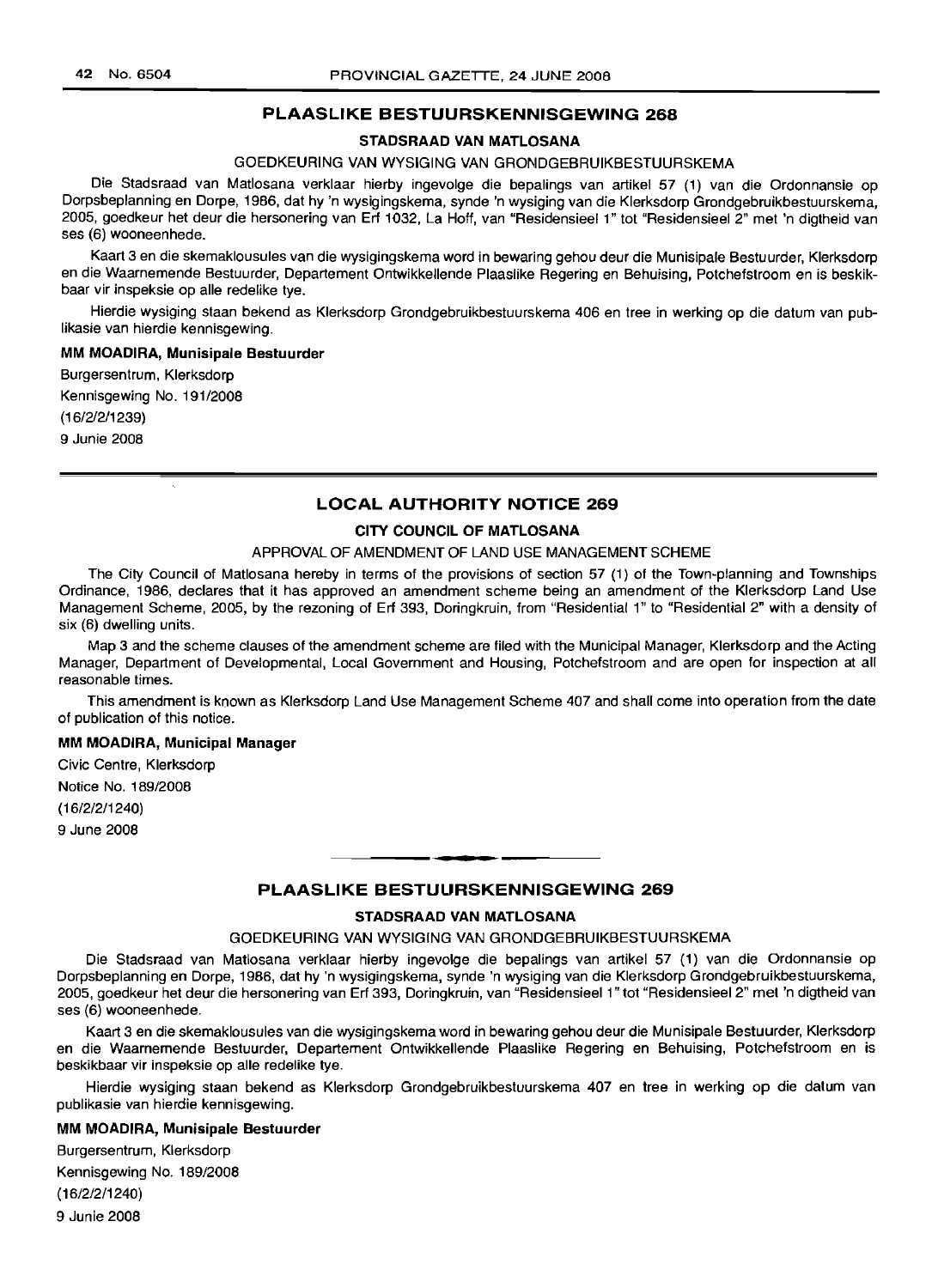### **PLAASLIKE BESTUURSKENNISGEWING 268**

### **STADSRAAD VAN MATLOSANA**

### GOEDKEURING VAN WYSIGING VAN GRONDGEBRUIKBESTUURSKEMA

Die Stadsraad van Matlosana verklaar hierby ingevolge die bepalings van artikel 57 (1) van die Ordonnansie op Dorpsbeplanning en Dorpe, 1986, dat hy 'n wysigingskema, synde 'n wysiging van die Klerksdorp Grondgebruikbestuurskema, 2005, goedkeur het deur die hersonering van Erf 1032, La Hoff, van "Residensieel 1" tot "Residensieel 2" met 'n digtheid van ses (6) wooneenhede.

Kaart 3 en die skemaklousules van die wysigingskema word in bewaring gehou deur die Munisipale Bestuurder, Klerksdorp en die Waarnemende Bestuurder, Departement Ontwikkellende Plaaslike Regering en Behuising, Potchefstroom en is beskikbaar vir inspeksie op aile redelike tye.

Hierdie wysiging staan bekend as Klerksdorp Grondgebruikbestuurskema 406 en tree in werking op die datum van pub-Iikasie van hierdie kennisgewing.

#### **MM MOADIRA, Munisipale Bestuurder**

Burgersentrum, Klerksdorp

Kennisgewing No. 191/2008

(16/2/2/1239)

9 Junie 2008

### **LOCAL AUTHORITY NOTICE 269**

### **CITY COUNCIL OF MATLOSANA**

#### APPROVAL OF AMENDMENT OF LAND USE MANAGEMENT SCHEME

The City Council of Matiosana hereby in terms of the provisions of section 57 (1) of the Town-planning and Townships Ordinance, 1986, declares that it has approved an amendment scheme being an amendment of the Klerksdorp Land Use Management Scheme, 2005, by the rezoning of Erf 393, Doringkruin, from "Residential 1" to "Residential 2" with a density of six (6) dwelling units.

Map 3 and the scheme clauses of the amendment scheme are filed with the Municipal Manager, Klerksdorp and the Acting Manager, Department of Developmental, Local Government and Housing, Potchefstroom and are open for inspection at all reasonable times.

This amendment is known as Klerksdorp Land Use Management Scheme 407 and shall come into operation from the date of publication of this notice.

#### **MM MOADIRA, Municipal Manager**

Civic Centre, Klerksdorp Notice No. 189/2008 (16/2/2/1240) 9 June 2008

### **PLAASLIKE BESTUURSKENNISGEWING 269**

T **\_ •**

#### **STADSRAAD VAN MATLOSANA**

#### GOEDKEURING VAN WYSIGING VAN GRONDGEBRUIKBESTUURSKEMA

Die Stadsraad van Matlosana verklaar hierby ingevolge die bepalings van artikel 57 (1) van die Ordonnansie op Dorpsbeplanning en Dorpe, 1986, dat hy 'n wysigingskema, synde 'n wysiging van die Klerksdorp Grondgebruikbestuurskema, 2005, goedkeur het deur die hersonering van Erf 393, Doringkruin, van "Residensieel 1" tot "Residensieel 2" met 'n digtheid van ses (6) wooneenhede.

Kaart 3 en die skemaklousules van die wysigingskema word in bewaring gehou deur die Munisipale Bestuurder, Klerksdorp en die Waarnemende Bestuurder, Departement Ontwikkellende Plaaslike Regering en Behuising, Potchefstroom en is beskikbaar vir inspeksie op aile redelike tye.

Hierdie wysiging staan bekend as Klerksdorp Grondgebruikbestuurskema 407 en tree in werking op die datum van publikasie van hierdie kennisgewing.

#### **MM MOADIRA, Munisipale Bestuurder**

Burgersentrum, Klerksdorp Kennisgewing No. 189/2008 (16/2/2/1240) 9 Junie 2008